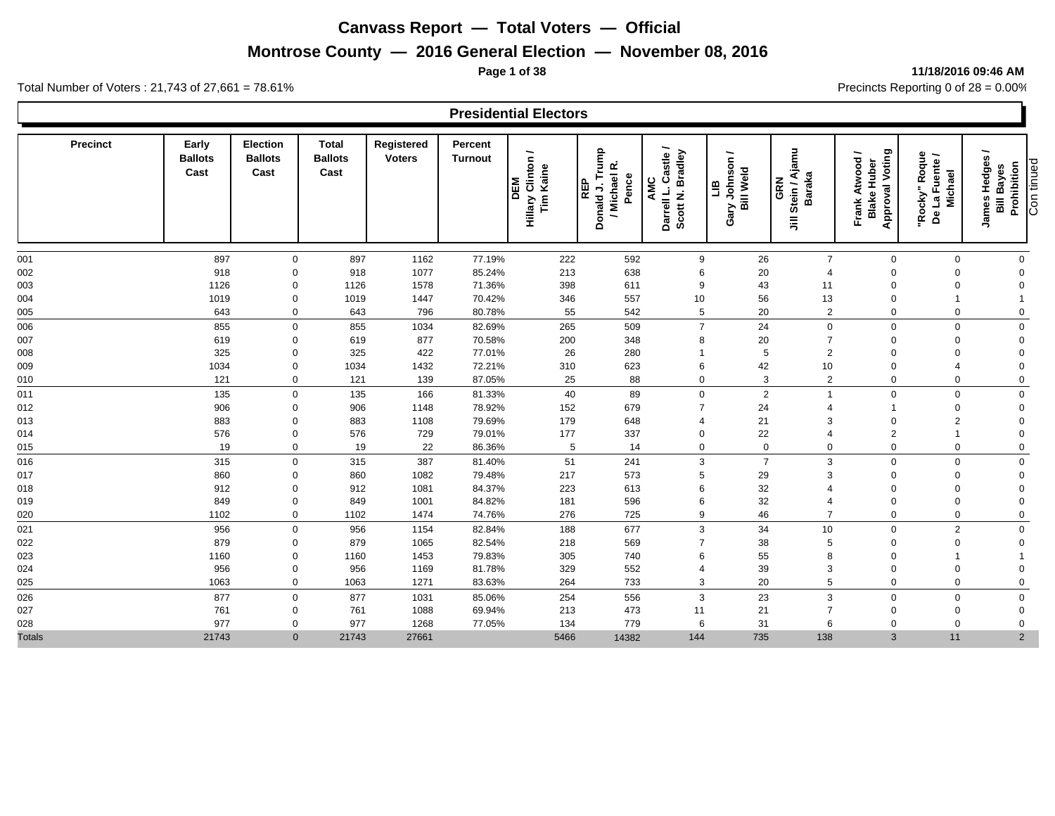## **Montrose County — 2016 General Election — November 08, 2016**

#### **Page 1 of 38 11/18/2016 09:46 AM**

|                 |                                 |                                    |                                        |                             |                           | <b>Presidential Electors</b>          |                                                        |                                                  |                                                |                                            |                                                                 |                                            |                                                                                            |
|-----------------|---------------------------------|------------------------------------|----------------------------------------|-----------------------------|---------------------------|---------------------------------------|--------------------------------------------------------|--------------------------------------------------|------------------------------------------------|--------------------------------------------|-----------------------------------------------------------------|--------------------------------------------|--------------------------------------------------------------------------------------------|
| <b>Precinct</b> | Early<br><b>Ballots</b><br>Cast | Election<br><b>Ballots</b><br>Cast | <b>Total</b><br><b>Ballots</b><br>Cast | Registered<br><b>Voters</b> | Percent<br><b>Turnout</b> | Hillary Clinton /<br>Tim Kaine<br>DEM | Donald J. Trump<br>/ Michael R.<br>Pence<br><b>REP</b> | Castle/<br>Scott N. Bradley<br>AMC<br>Darrell L. | ∽<br>Johnson<br>Gary Johnso<br>Bill Weld<br>ПB | Stein / Ajamu<br><b>Baraka</b><br>GRN<br>巪 | <b>Approval Voting</b><br>Atwood<br><b>Blake Huber</b><br>Frank | "Rocky" Roque<br>De La Fuente /<br>Michael | ∽<br>James Hedges<br>Con tinued<br>Prohibition<br><b>Bayes</b><br>$\bar{\bar{\mathbf{a}}}$ |
|                 | 897                             | $\mathbf 0$                        | 897                                    | 1162                        | 77.19%                    | 222                                   | 592                                                    | 9                                                |                                                | $\overline{7}$                             | $\mathbf 0$                                                     | $\mathbf 0$                                | $\mathbf 0$                                                                                |
| 001<br>002      | 918                             | $\Omega$                           | 918                                    | 1077                        | 85.24%                    | 213                                   |                                                        | 6                                                | 26                                             | $\overline{4}$                             | $\Omega$                                                        | $\mathbf 0$                                | $\mathbf 0$                                                                                |
| 003             | 1126                            | $\mathbf 0$                        | 1126                                   | 1578                        | 71.36%                    | 398                                   | 638<br>611                                             | 9                                                | 20<br>43                                       | 11                                         | $\mathbf 0$                                                     | $\mathbf 0$                                | $\mathbf 0$                                                                                |
| 004             | 1019                            | $\mathbf 0$                        | 1019                                   | 1447                        | 70.42%                    | 346                                   | 557                                                    | 10                                               | 56                                             | 13                                         | $\mathbf 0$                                                     | $\mathbf{1}$                               | $\overline{1}$                                                                             |
| 005             | 643                             | $\mathbf 0$                        | 643                                    | 796                         | 80.78%                    | 55                                    | 542                                                    | 5                                                | 20                                             | $\overline{2}$                             | $\mathbf 0$                                                     | $\mathbf 0$                                | $\mathsf 0$                                                                                |
| 006             | 855                             | $\mathbf 0$                        | 855                                    | 1034                        | 82.69%                    | 265                                   | 509                                                    | $\overline{7}$                                   | 24                                             | $\mathbf 0$                                | $\mathbf 0$                                                     | $\mathbf 0$                                | $\mathsf 0$                                                                                |
| 007             | 619                             | $\mathbf 0$                        | 619                                    | 877                         | 70.58%                    | 200                                   | 348                                                    | 8                                                | 20                                             | $\overline{7}$                             | $\mathbf 0$                                                     | $\mathbf 0$                                | $\mathbf 0$                                                                                |
| 008             | 325                             | $\mathbf 0$                        | 325                                    | 422                         | 77.01%                    | 26                                    | 280                                                    |                                                  | $5\phantom{.0}$                                | $\overline{2}$                             | $\mathbf 0$                                                     | $\mathbf 0$                                | $\mathbf 0$                                                                                |
| 009             | 1034                            | $\mathbf 0$                        | 1034                                   | 1432                        | 72.21%                    | 310                                   | 623                                                    | 6                                                | 42                                             | 10                                         | $\Omega$                                                        | 4                                          | $\mathbf 0$                                                                                |
| 010             | 121                             | $\mathbf 0$                        | 121                                    | 139                         | 87.05%                    | 25                                    | 88                                                     | $\mathbf 0$                                      | 3                                              | $\overline{2}$                             | $\mathbf 0$                                                     | $\mathbf 0$                                | $\mathbf 0$                                                                                |
| 011             | 135                             | $\mathbf 0$                        | 135                                    | 166                         | 81.33%                    | 40                                    | 89                                                     | $\mathbf 0$                                      | $\overline{2}$                                 |                                            | $\mathbf 0$                                                     | $\mathbf 0$                                | $\mathsf 0$                                                                                |
| 012             | 906                             | $\mathbf 0$                        | 906                                    | 1148                        | 78.92%                    | 152                                   | 679                                                    | $\overline{7}$                                   | 24                                             | $\overline{4}$                             | $\overline{1}$                                                  | $\mathbf 0$                                | $\mathbf 0$                                                                                |
| 013             | 883                             | $\mathbf 0$                        | 883                                    | 1108                        | 79.69%                    | 179                                   | 648                                                    | $\overline{4}$                                   | 21                                             | 3                                          | $\mathbf 0$                                                     | 2                                          | $\mathbf 0$                                                                                |
| 014             | 576                             | $\mathbf 0$                        | 576                                    | 729                         | 79.01%                    | 177                                   | 337                                                    | $\mathbf 0$                                      | 22                                             | $\overline{4}$                             | $\overline{2}$                                                  |                                            | $\mathbf 0$                                                                                |
| 015             | 19                              | $\mathbf 0$                        | 19                                     | 22                          | 86.36%                    | $\overline{5}$                        | 14                                                     | $\mathbf 0$                                      | $\mathbf 0$                                    | $\mathbf 0$                                | $\mathbf 0$                                                     | $\mathbf 0$                                | $\mathbf 0$                                                                                |
| 016             | 315                             | $\mathbf 0$                        | 315                                    | 387                         | 81.40%                    | 51                                    | 241                                                    | 3                                                | $\overline{7}$                                 | 3                                          | $\mathbf 0$                                                     | $\mathbf 0$                                | $\mathbf 0$                                                                                |
| 017             | 860                             | $\Omega$                           | 860                                    | 1082                        | 79.48%                    | 217                                   | 573                                                    | 5                                                | 29                                             | 3                                          | $\Omega$                                                        | $\mathbf 0$                                | $\mathbf 0$                                                                                |
| 018             | 912                             | $\mathbf 0$                        | 912                                    | 1081                        | 84.37%                    | 223                                   | 613                                                    | 6                                                | 32                                             | $\overline{4}$                             | $\Omega$                                                        | $\mathbf 0$                                | $\mathbf 0$                                                                                |
| 019             | 849                             | $\mathbf 0$                        | 849                                    | 1001                        | 84.82%                    | 181                                   | 596                                                    | 6                                                | 32                                             | $\overline{4}$                             | $\mathbf 0$                                                     | $\mathbf 0$                                | $\mathbf 0$                                                                                |
| 020             | 1102                            | $\mathbf 0$                        | 1102                                   | 1474                        | 74.76%                    | 276                                   | 725                                                    | 9                                                | 46                                             | $\overline{7}$                             | $\mathbf 0$                                                     | $\mathbf 0$                                | $\mathbf 0$                                                                                |
| 021             | 956                             | $\mathbf 0$                        | 956                                    | 1154                        | 82.84%                    | 188                                   | 677                                                    | 3                                                | 34                                             | 10                                         | $\mathbf 0$                                                     | $\overline{2}$                             | $\mathsf 0$                                                                                |
| 022             | 879                             | $\mathbf 0$                        | 879                                    | 1065                        | 82.54%                    | 218                                   | 569                                                    |                                                  | 38                                             | 5                                          | $\Omega$                                                        | $\mathbf 0$                                | $\mathbf 0$                                                                                |
| 023             | 1160                            | $\mathbf 0$                        | 1160                                   | 1453                        | 79.83%                    | 305                                   | 740                                                    | 6                                                | 55                                             | 8                                          | $\Omega$                                                        |                                            | $\overline{1}$                                                                             |
| 024             | 956                             | $\mathbf 0$                        | 956                                    | 1169                        | 81.78%                    | 329                                   | 552                                                    |                                                  | 39                                             | 3                                          | $\Omega$                                                        | $\mathbf 0$                                | $\mathbf 0$                                                                                |
| 025             | 1063                            | $\mathbf 0$                        | 1063                                   | 1271                        | 83.63%                    | 264                                   | 733                                                    | 3                                                | 20                                             | 5                                          | $\mathbf 0$                                                     | $\mathbf 0$                                | $\mathbf 0$                                                                                |
| 026             | 877                             | $\mathbf 0$                        | 877                                    | 1031                        | 85.06%                    | 254                                   | 556                                                    | 3                                                | 23                                             | 3                                          | $\mathbf 0$                                                     | $\mathbf 0$                                | $\mathbf 0$                                                                                |
| 027             | 761                             | $\mathbf 0$                        | 761                                    | 1088                        | 69.94%                    | 213                                   | 473                                                    | 11                                               | 21                                             | $\overline{7}$                             | $\mathbf 0$                                                     | $\mathbf 0$                                | $\mathbf 0$                                                                                |
| 028             | 977                             | 0                                  | 977                                    | 1268                        | 77.05%                    | 134                                   | 779                                                    | 6                                                | 31                                             | 6                                          | $\Omega$                                                        | $\mathbf 0$                                | $\mathbf 0$                                                                                |
| <b>Totals</b>   | 21743                           | $\mathbf{0}$                       | 21743                                  | 27661                       |                           | 5466                                  | 14382                                                  | 144                                              | 735                                            | 138                                        | $\mathbf{3}$                                                    | 11                                         | $\overline{2}$                                                                             |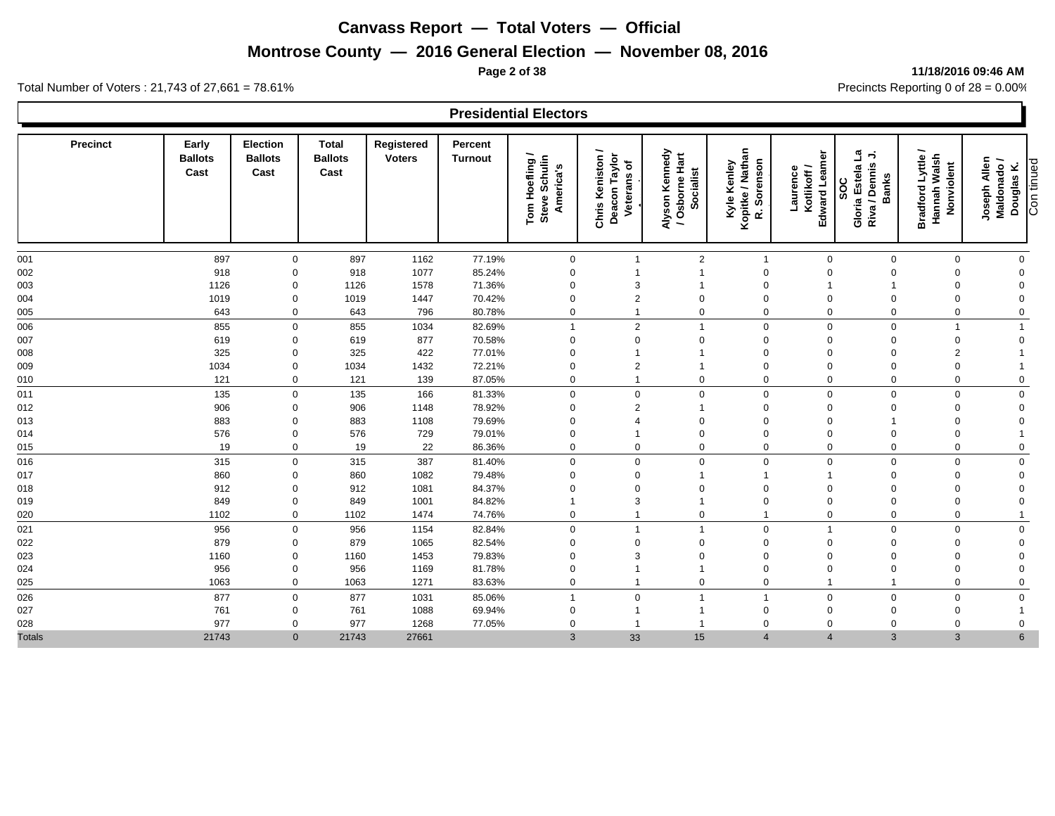## **Montrose County — 2016 General Election — November 08, 2016**

#### **Page 2 of 38 11/18/2016 09:46 AM**

|                 |                                 |                                    |                                        |                             |                           | <b>Presidential Electors</b>                 |                                                         |                                               |                                                |                                         |                                                                                        |                                                           |                                                         |
|-----------------|---------------------------------|------------------------------------|----------------------------------------|-----------------------------|---------------------------|----------------------------------------------|---------------------------------------------------------|-----------------------------------------------|------------------------------------------------|-----------------------------------------|----------------------------------------------------------------------------------------|-----------------------------------------------------------|---------------------------------------------------------|
| <b>Precinct</b> | Early<br><b>Ballots</b><br>Cast | Election<br><b>Ballots</b><br>Cast | <b>Total</b><br><b>Ballots</b><br>Cast | Registered<br><b>Voters</b> | Percent<br><b>Turnout</b> | Tom Hoefling /<br>Steve Schulin<br>America's | Deacon Taylor<br><b>Chris Keniston</b><br>৳<br>Veterans | Alyson Kennedy<br>/ Osborne Hart<br>Socialist | Kopitke / Nathan<br>R. Sorenson<br>Kyle Kenley | Edward Leame<br>Laurence<br>Kotlikoff / | ئ<br>$\overline{\phantom{a}}$<br>Riva / Dennis<br>Gloria Estela<br><b>Banks</b><br>SOC | -<br>Hannah Walsh<br><b>Bradford Lyttle</b><br>Nonviolent | Joseph Allen<br>Maldonado /<br>Con tinued<br>Douglas K. |
| 001             | 897                             | $\mathbf 0$                        | 897                                    | 1162                        | 77.19%                    | $\mathbf 0$                                  | $\overline{1}$                                          | $\overline{2}$                                | $\overline{1}$                                 | $\mathbf 0$                             | $\Omega$                                                                               | $\mathbf 0$                                               | $\mathbf 0$                                             |
| 002             | 918                             | $\mathbf 0$                        | 918                                    | 1077                        | 85.24%                    | $\mathbf 0$                                  | $\overline{\mathbf{1}}$                                 |                                               | $\mathbf 0$                                    | $\mathbf 0$                             | $\Omega$                                                                               | $\Omega$                                                  | $\Omega$                                                |
| 003             | 1126                            | $\mathbf 0$                        | 1126                                   | 1578                        | 71.36%                    | $\mathbf 0$                                  | 3                                                       |                                               | $\mathbf 0$                                    | -1                                      |                                                                                        | 0                                                         | $\mathbf 0$                                             |
| 004             | 1019                            | $\mathbf 0$                        | 1019                                   | 1447                        | 70.42%                    | $\mathbf 0$                                  | $\overline{2}$                                          | $\mathbf 0$                                   | $\mathbf 0$                                    | $\mathbf 0$                             |                                                                                        | $\Omega$                                                  | $\mathbf 0$                                             |
| 005             | 643                             | $\mathbf 0$                        | 643                                    | 796                         | 80.78%                    | $\mathbf 0$                                  | $\mathbf{1}$                                            | $\mathbf 0$                                   | $\mathbf 0$                                    | $\mathbf 0$                             | $\Omega$                                                                               | $\mathbf 0$                                               | $\mathbf 0$                                             |
| 006             | 855                             | $\mathbf 0$                        | 855                                    | 1034                        | 82.69%                    |                                              | $\overline{2}$                                          | $\overline{1}$                                | $\mathbf 0$                                    | $\mathbf 0$                             | $\mathbf 0$                                                                            | 1                                                         | $\mathbf{1}$                                            |
| 007             | 619                             | $\mathbf 0$                        | 619                                    | 877                         | 70.58%                    | $\mathbf 0$                                  | $\mathbf 0$                                             | $\Omega$                                      | $\mathbf 0$                                    | $\mathbf 0$                             | $\Omega$                                                                               | $\mathbf{0}$                                              | $\mathbf 0$                                             |
| 008             | 325                             | $\mathbf 0$                        | 325                                    | 422                         | 77.01%                    | $\mathbf 0$                                  | $\overline{1}$                                          | $\overline{1}$                                | $\mathbf 0$                                    | $\mathbf 0$                             | $\Omega$                                                                               | $\overline{2}$                                            |                                                         |
| 009             | 1034                            | $\mathbf 0$                        | 1034                                   | 1432                        | 72.21%                    | $\mathbf 0$                                  | $\overline{2}$                                          |                                               | $\mathbf 0$                                    | $\mathbf 0$                             |                                                                                        | $\Omega$                                                  |                                                         |
| 010             | 121                             | $\mathbf 0$                        | 121                                    | 139                         | 87.05%                    | $\mathbf 0$                                  | $\overline{1}$                                          | $\mathbf 0$                                   | $\mathbf 0$                                    | $\mathbf 0$                             | $\mathbf 0$                                                                            | $\mathbf 0$                                               | $\mathbf 0$                                             |
| 011             | 135                             | $\mathbf 0$                        | 135                                    | 166                         | 81.33%                    | $\mathbf 0$                                  | $\boldsymbol{0}$                                        | $\mathbf 0$                                   | $\mathbf 0$                                    | $\mathbf 0$                             | $\mathbf 0$                                                                            | $\mathbf 0$                                               | $\mathbf 0$                                             |
| 012             | 906                             | $\mathbf 0$                        | 906                                    | 1148                        | 78.92%                    | $\mathbf 0$                                  | $\overline{2}$                                          | $\overline{1}$                                | $\mathbf 0$                                    | $\mathbf 0$                             | $\Omega$                                                                               | $\Omega$                                                  | $\overline{0}$                                          |
| 013             | 883                             | $\mathbf 0$                        | 883                                    | 1108                        | 79.69%                    | 0                                            | $\overline{4}$                                          | $\Omega$                                      | $\mathbf 0$                                    | $\mathbf 0$                             |                                                                                        | 0                                                         | $\mathbf 0$                                             |
| 014             | 576                             | $\mathbf 0$                        | 576                                    | 729                         | 79.01%                    | $\mathbf 0$                                  | $\overline{1}$                                          | $\mathbf 0$                                   | $\mathbf 0$                                    | $\mathbf 0$                             | $\Omega$                                                                               | $\Omega$                                                  | $\overline{\mathbf{1}}$                                 |
| 015             | 19                              | $\mathbf 0$                        | 19                                     | 22                          | 86.36%                    | $\mathbf 0$                                  | $\mathbf 0$                                             | $\mathbf 0$                                   | $\mathbf 0$                                    | $\mathbf 0$                             | $\mathbf 0$                                                                            | $\mathbf 0$                                               | $\mathbf 0$                                             |
| 016             | 315                             | $\mathbf 0$                        | 315                                    | 387                         | 81.40%                    | $\mathbf 0$                                  | $\mathbf 0$                                             | $\mathbf 0$                                   | $\mathbf 0$                                    | $\mathbf 0$                             | $\Omega$                                                                               | $\mathbf 0$                                               | $\mathbf 0$                                             |
| 017             | 860                             | $\mathbf 0$                        | 860                                    | 1082                        | 79.48%                    | $\mathbf 0$                                  | $\mathbf 0$                                             | $\overline{1}$                                | $\mathbf{1}$                                   | -1                                      | $\Omega$                                                                               | $\Omega$                                                  | $\Omega$                                                |
| 018             | 912                             | $\Omega$                           | 912                                    | 1081                        | 84.37%                    | $\mathbf 0$                                  | $\mathbf 0$                                             | $\mathbf 0$                                   | $\mathbf 0$                                    | $\mathbf 0$                             | $\Omega$                                                                               | $\Omega$                                                  | $\Omega$                                                |
| 019             | 849                             | $\mathbf 0$                        | 849                                    | 1001                        | 84.82%                    |                                              | 3                                                       | $\overline{1}$                                | $\mathbf 0$                                    | $\mathbf 0$                             | $\Omega$                                                                               | 0                                                         | $\mathbf 0$                                             |
| 020             | 1102                            | $\mathbf 0$                        | 1102                                   | 1474                        | 74.76%                    | $\mathbf 0$                                  | $\mathbf{1}$                                            | $\mathbf 0$                                   | $\mathbf{1}$                                   | $\mathbf 0$                             | $\mathbf 0$                                                                            | $\mathbf 0$                                               | $\overline{\mathbf{1}}$                                 |
| 021             | 956                             | $\mathbf 0$                        | 956                                    | 1154                        | 82.84%                    | $\mathbf 0$                                  | $\overline{1}$                                          | $\overline{1}$                                | $\mathbf 0$                                    | $\overline{1}$                          | $\Omega$                                                                               | $\mathbf 0$                                               | $\mathbf 0$                                             |
| 022             | 879                             | $\mathbf 0$                        | 879                                    | 1065                        | 82.54%                    | $\mathbf 0$                                  | $\mathbf 0$                                             | $\mathbf 0$                                   | $\mathbf 0$                                    | $\mathbf 0$                             | $\Omega$                                                                               | $\Omega$                                                  | $\mathbf 0$                                             |
| 023             | 1160                            | $\mathbf 0$                        | 1160                                   | 1453                        | 79.83%                    | $\mathbf 0$                                  | 3                                                       | $\Omega$                                      | $\mathbf 0$                                    | $\mathbf 0$                             | $\Omega$                                                                               | $\Omega$                                                  | $\overline{0}$                                          |
| 024             | 956                             | $\mathbf 0$                        | 956                                    | 1169                        | 81.78%                    | 0                                            | $\overline{1}$                                          | $\mathbf{1}$                                  | $\mathbf 0$                                    | $\mathbf 0$                             |                                                                                        | $\Omega$                                                  | $\mathbf 0$                                             |
| 025             | 1063                            | $\mathbf 0$                        | 1063                                   | 1271                        | 83.63%                    | $\mathbf 0$                                  | $\overline{1}$                                          | $\mathbf 0$                                   | $\mathbf 0$                                    | $\overline{1}$                          |                                                                                        | $\Omega$                                                  | $\mathbf 0$                                             |
| 026             | 877                             | $\mathbf 0$                        | 877                                    | 1031                        | 85.06%                    | 1                                            | $\mathbf 0$                                             | $\overline{1}$                                | $\mathbf{1}$                                   | $\mathbf 0$                             | $\Omega$                                                                               | $\mathbf 0$                                               | $\mathbf 0$                                             |
| 027             | 761                             | $\mathbf 0$                        | 761                                    | 1088                        | 69.94%                    | 0                                            | $\overline{1}$                                          | -1                                            | $\mathbf 0$                                    | $\mathbf 0$                             | $\Omega$                                                                               | $\Omega$                                                  | $\mathbf{1}$                                            |
| 028             | 977                             | $\mathbf 0$                        | 977                                    | 1268                        | 77.05%                    | $\mathbf 0$                                  | $\mathbf 1$                                             | $\mathbf{1}$                                  | $\mathbf 0$                                    | $\mathbf 0$                             | $\Omega$                                                                               | $\Omega$                                                  | $\mathbf 0$                                             |
| <b>Totals</b>   | 21743                           | $\mathbf{0}$                       | 21743                                  | 27661                       |                           | $\mathbf{3}$                                 | 33                                                      | 15                                            | $\overline{4}$                                 | $\overline{4}$                          | 3                                                                                      | $\mathbf{3}$                                              | $6\phantom{1}$                                          |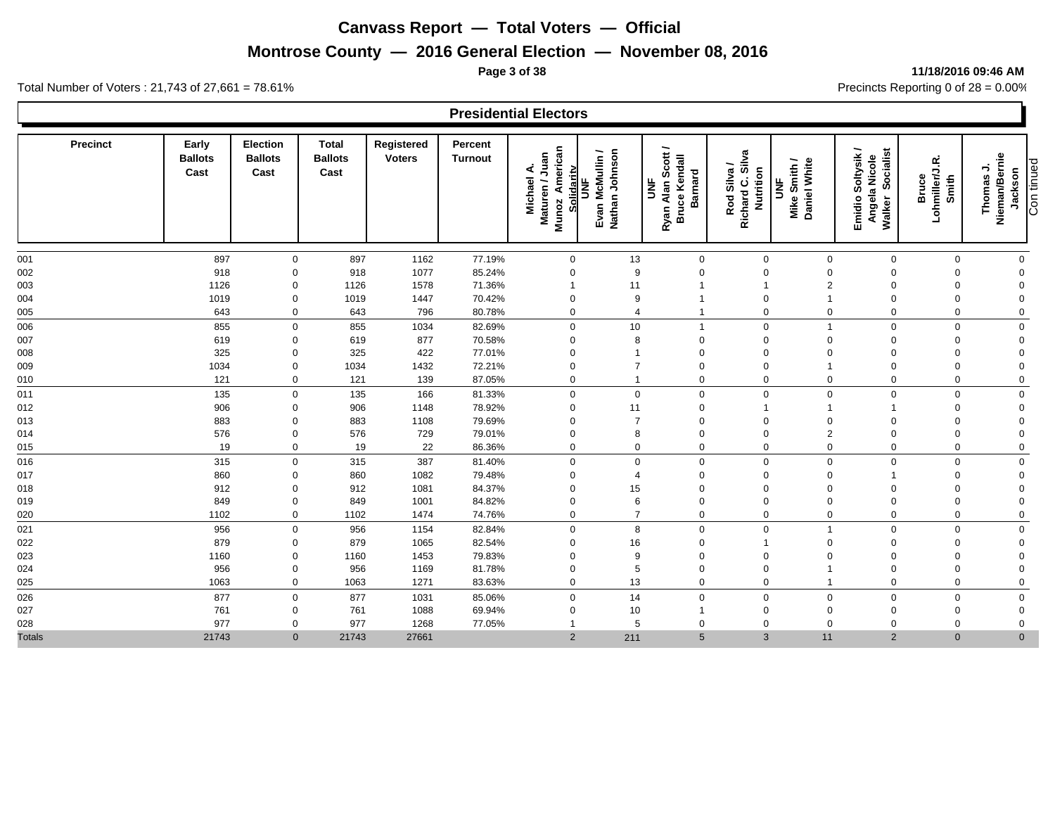## **Montrose County — 2016 General Election — November 08, 2016**

#### **Page 3 of 38 11/18/2016 09:46 AM**

Ъ

Total Number of Voters : 21,743 of 27,661 = 78.61% Precincts Reporting 0 of 28 = 0.00%

Г

|               |                                 |                                           |                                        |                             |                           | <b>Presidential Electors</b>                                      |                                        |                                                           |                                              |                                   |                                                                  |                                  |                                                       |
|---------------|---------------------------------|-------------------------------------------|----------------------------------------|-----------------------------|---------------------------|-------------------------------------------------------------------|----------------------------------------|-----------------------------------------------------------|----------------------------------------------|-----------------------------------|------------------------------------------------------------------|----------------------------------|-------------------------------------------------------|
| Precinct      | Early<br><b>Ballots</b><br>Cast | <b>Election</b><br><b>Ballots</b><br>Cast | <b>Total</b><br><b>Ballots</b><br>Cast | Registered<br><b>Voters</b> | Percent<br><b>Turnout</b> | American<br>Maturen / Juan<br>Solidaritv<br>∢<br>Michael<br>Munoz | Evan McMullin /<br>Nathan Johnson<br>š | Ryan Alan Scott /<br><b>Bruce Kendall</b><br>Barnard<br>š | Rod Silva /<br>Richard C. Silva<br>Nutrition | Daniel White<br>Mike Smith /<br>š | Emidio Soltysik /<br><b>Socialist</b><br>Angela Nicole<br>Walker | Bruce<br>Lohmiller/J.R.<br>Smith | Nieman/Bernie<br>Con tinued<br>⇒<br>Jackson<br>Thomas |
| 001           | 897                             | $\mathbf 0$                               | 897                                    | 1162                        | 77.19%                    | $\mathbf 0$                                                       | 13                                     | $\mathbf 0$                                               | $\mathbf 0$                                  | $\mathbf 0$                       | $\mathbf 0$                                                      | $\mathbf 0$                      | $\pmb{0}$                                             |
| 002           | 918                             | $\mathbf 0$                               | 918                                    | 1077                        | 85.24%                    | $\mathbf 0$                                                       | 9                                      | $\Omega$                                                  | $\mathbf 0$                                  | $\mathbf 0$                       | $\mathbf 0$                                                      | $\mathbf 0$                      | $\mathbf 0$                                           |
| 003           | 1126                            | $\mathbf 0$                               | 1126                                   | 1578                        | 71.36%                    | $\overline{1}$                                                    | 11                                     |                                                           |                                              | $\overline{2}$                    | $\Omega$                                                         | $\Omega$                         | $\mathbf 0$                                           |
| 004           | 1019                            | $\mathbf 0$                               | 1019                                   | 1447                        | 70.42%                    | $\mathbf 0$                                                       | 9                                      |                                                           | $\mathbf 0$                                  |                                   | $\mathbf 0$                                                      | $\mathbf 0$                      | $\boldsymbol{0}$                                      |
| 005           | 643                             | $\mathbf 0$                               | 643                                    | 796                         | 80.78%                    | $\mathbf{0}$                                                      | $\overline{4}$                         |                                                           | $\overline{0}$                               | 0                                 | $\mathbf 0$                                                      | $\mathbf 0$                      | $\pmb{0}$                                             |
| 006           | 855                             | $\mathbf 0$                               | 855                                    | 1034                        | 82.69%                    | $\mathbf 0$                                                       | 10                                     |                                                           | $\mathsf 0$                                  |                                   | $\mathbf 0$                                                      | $\mathbf 0$                      | $\mathbf 0$                                           |
| 007           | 619                             | $\mathbf 0$                               | 619                                    | 877                         | 70.58%                    | $\mathbf 0$                                                       | 8                                      | $\Omega$                                                  | $\mathbf 0$                                  | $\mathbf 0$                       | $\mathbf 0$                                                      | $\Omega$                         | $\boldsymbol{0}$                                      |
| 008           | 325                             | $\mathbf 0$                               | 325                                    | 422                         | 77.01%                    | $\mathbf 0$                                                       |                                        | $\Omega$                                                  | $\mathbf 0$                                  | $\mathbf 0$                       | $\mathbf 0$                                                      | $\Omega$                         | $\boldsymbol{0}$                                      |
| 009           | 1034                            | $\mathbf 0$                               | 1034                                   | 1432                        | 72.21%                    | $\mathbf 0$                                                       | $\overline{7}$                         | $\Omega$                                                  | $\mathbf 0$                                  |                                   | $\mathbf 0$                                                      | $\mathbf 0$                      | $\mathbf 0$                                           |
| 010           | 121                             | $\mathbf 0$                               | 121                                    | 139                         | 87.05%                    | $\mathbf 0$                                                       |                                        | $\Omega$                                                  | $\mathbf 0$                                  | $\mathbf 0$                       | $\mathbf 0$                                                      | $\mathbf 0$                      | $\mathbf 0$                                           |
| 011           | 135                             | $\mathbf 0$                               | 135                                    | 166                         | 81.33%                    | $\mathbf{0}$                                                      | $\mathbf 0$                            | $\mathbf 0$                                               | $\mathbf 0$                                  | $\Omega$                          | $\mathbf 0$                                                      | $\mathbf 0$                      | $\mathbf 0$                                           |
| 012           | 906                             | $\mathbf 0$                               | 906                                    | 1148                        | 78.92%                    | $\mathbf 0$                                                       | 11                                     | $\mathbf 0$                                               |                                              |                                   | $\overline{1}$                                                   | $\mathbf 0$                      | $\mathbf 0$                                           |
| 013           | 883                             | $\mathbf 0$                               | 883                                    | 1108                        | 79.69%                    | $\mathbf 0$                                                       | $\overline{7}$                         | $\mathbf 0$                                               | $\mathbf 0$                                  | $\mathbf 0$                       | $\mathbf 0$                                                      | 0                                | $\pmb{0}$                                             |
| 014           | 576                             | $\mathbf 0$                               | 576                                    | 729                         | 79.01%                    | $\mathbf 0$                                                       | 8                                      | $\Omega$                                                  | $\overline{0}$                               | $\overline{2}$                    | $\mathbf 0$                                                      | 0                                | $\mathbf 0$                                           |
| 015           | 19                              | $\mathbf 0$                               | 19                                     | 22                          | 86.36%                    | $\mathbf 0$                                                       | $\mathbf 0$                            | $\mathbf 0$                                               | $\mathsf 0$                                  | $\mathbf 0$                       | $\mathbf 0$                                                      | $\mathbf 0$                      | $\mathbf 0$                                           |
| 016           | 315                             | $\mathbf 0$                               | 315                                    | 387                         | 81.40%                    | $\mathbf{0}$                                                      | $\Omega$                               | $\Omega$                                                  | $\mathbf 0$                                  | $\mathbf 0$                       | $\mathbf 0$                                                      | $\mathbf 0$                      | $\pmb{0}$                                             |
| 017           | 860                             | $\mathbf{0}$                              | 860                                    | 1082                        | 79.48%                    | $\Omega$                                                          | $\overline{4}$                         | $\Omega$                                                  | $\mathbf 0$                                  | $\mathbf 0$                       | $\overline{1}$                                                   | $\Omega$                         | $\mathbf 0$                                           |
| 018           | 912                             | $\mathbf{0}$                              | 912                                    | 1081                        | 84.37%                    | $\Omega$                                                          | 15                                     | $\Omega$                                                  | $\mathbf 0$                                  | $\Omega$                          | $\mathbf 0$                                                      | $\Omega$                         | $\mathbf 0$                                           |
| 019           | 849                             | $\mathbf 0$                               | 849                                    | 1001                        | 84.82%                    | $\Omega$                                                          | 6                                      | $\Omega$                                                  | $\mathbf 0$                                  | $\mathbf 0$                       | $\mathbf 0$                                                      | $\mathbf 0$                      | $\mathbf 0$                                           |
| 020           | 1102                            | $\mathbf 0$                               | 1102                                   | 1474                        | 74.76%                    | $\mathbf{0}$                                                      | $\overline{7}$                         | $\Omega$                                                  | $\mathbf 0$                                  | 0                                 | $\mathbf 0$                                                      | $\mathbf 0$                      | $\pmb{0}$                                             |
| 021           | 956                             | $\mathbf 0$                               | 956                                    | 1154                        | 82.84%                    | $\mathbf 0$                                                       | 8                                      | $\mathbf 0$                                               | $\mathbf 0$                                  | $\mathbf{1}$                      | $\mathbf 0$                                                      | $\mathbf 0$                      | $\pmb{0}$                                             |
| 022           | 879                             | $\mathbf 0$                               | 879                                    | 1065                        | 82.54%                    | $\mathbf 0$                                                       | 16                                     | $\Omega$                                                  | $\overline{1}$                               | $\mathbf 0$                       | $\Omega$                                                         | $\Omega$                         | $\mathbf 0$                                           |
| 023           | 1160                            | $\mathbf 0$                               | 1160                                   | 1453                        | 79.83%                    | $\Omega$                                                          | 9                                      | $\Omega$                                                  | $\mathbf 0$                                  | $\Omega$                          | $\Omega$                                                         | $\Omega$                         | $\mathbf 0$                                           |
| 024           | 956                             | $\mathbf 0$                               | 956                                    | 1169                        | 81.78%                    | $\mathbf 0$                                                       | 5                                      | $\Omega$                                                  | $\mathbf 0$                                  |                                   | $\Omega$                                                         | $\Omega$                         | $\mathbf 0$                                           |
| 025           | 1063                            | $\mathbf 0$                               | 1063                                   | 1271                        | 83.63%                    | $\mathbf{0}$                                                      | 13                                     | $\Omega$                                                  | $\mathbf 0$                                  |                                   | $\mathbf 0$                                                      | $\mathbf 0$                      | $\mathbf 0$                                           |
| 026           | 877                             | $\mathbf 0$                               | 877                                    | 1031                        | 85.06%                    | $\mathbf 0$                                                       | 14                                     | $\mathbf 0$                                               | $\mathbf 0$                                  | $\mathbf 0$                       | $\mathbf 0$                                                      | $\mathbf 0$                      | $\mathbf 0$                                           |
| 027           | 761                             | $\mathbf 0$                               | 761                                    | 1088                        | 69.94%                    | $\Omega$                                                          | 10                                     |                                                           | $\mathbf 0$                                  | $\mathbf 0$                       | $\mathbf 0$                                                      | 0                                | $\mathbf 0$                                           |
| 028           | 977                             | 0                                         | 977                                    | 1268                        | 77.05%                    |                                                                   | 5                                      | $\Omega$                                                  | $\mathbf 0$                                  | $\Omega$                          | $\Omega$                                                         | $\Omega$                         | $\mathbf 0$                                           |
| <b>Totals</b> | 21743                           | $\mathbf 0$                               | 21743                                  | 27661                       |                           | $\overline{2}$                                                    | 211                                    | $5\overline{5}$                                           | $\mathbf{3}$                                 | 11                                | $\overline{2}$                                                   | $\mathbf{0}$                     | $\mathbf 0$                                           |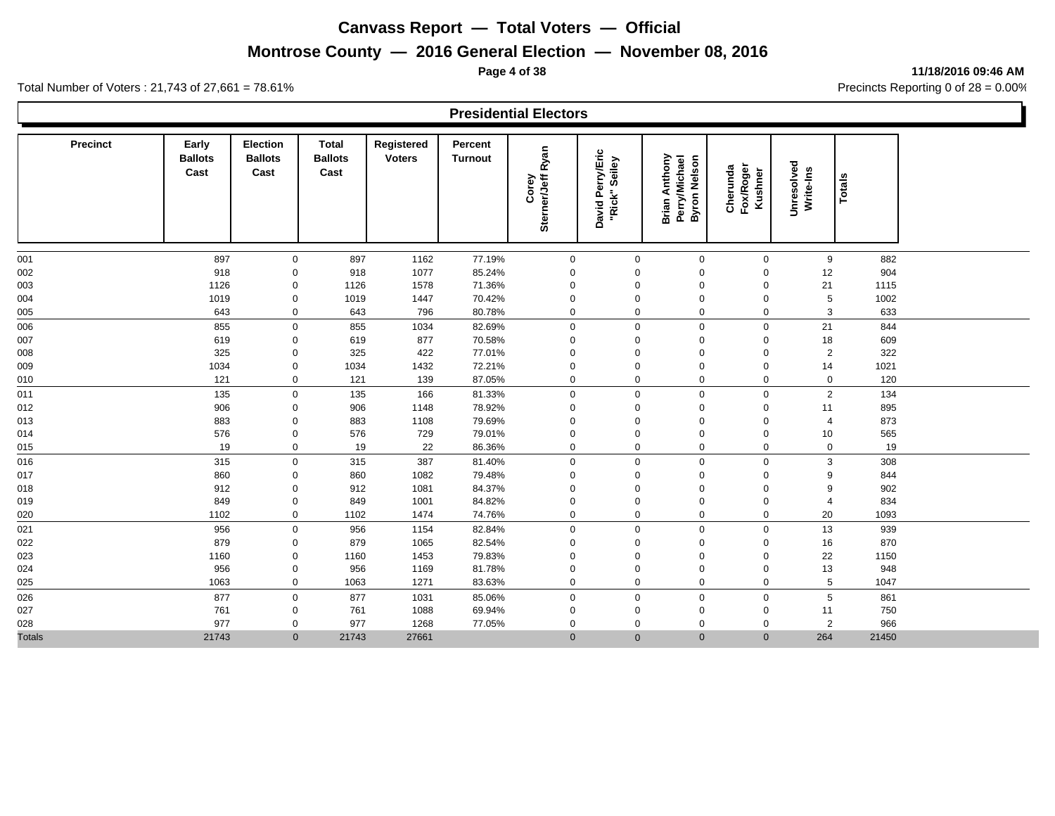# **Montrose County — 2016 General Election — November 08, 2016**

**Page 4 of 38 11/18/2016 09:46 AM**

Total Number of Voters : 21,743 of 27,661 = 78.61% Precincts Reporting 0 of 28 = 0.00%

#### **Presidential Electors**

| <b>Precinct</b> | Early<br><b>Ballots</b><br>Cast | Election<br><b>Ballots</b><br>Cast | Total<br><b>Ballots</b><br>Cast | Registered<br><b>Voters</b> | Percent<br><b>Turnout</b> | Sterner/Jeff Ryan<br>Corey | David Perry/Eric<br>Seiley<br>"Rick" | <b>Brian Anthony</b><br><b>Perry/Michael</b><br><b>Byron Nelson</b> | Cherunda<br>Fox/Roger<br>Kushner | Unresolved<br>Write-Ins | <b>Totals</b> |  |
|-----------------|---------------------------------|------------------------------------|---------------------------------|-----------------------------|---------------------------|----------------------------|--------------------------------------|---------------------------------------------------------------------|----------------------------------|-------------------------|---------------|--|
| 001             | 897                             | 0                                  | 897                             | 1162                        | 77.19%                    | $\mathbf 0$                | $\mathbf 0$                          | $\mathbf 0$                                                         | $\mathbf 0$                      | 9                       | 882           |  |
| 002             | 918                             | 0                                  | 918                             | 1077                        | 85.24%                    | $\mathbf 0$                | 0                                    | $\Omega$                                                            | $\mathbf 0$                      | 12                      | 904           |  |
| 003             | 1126                            | $\mathsf{O}\xspace$                | 1126                            | 1578                        | 71.36%                    | $\mathbf 0$                | 0                                    | $\Omega$                                                            | $\Omega$                         | 21                      | 1115          |  |
| 004             | 1019                            | $\mathbf 0$                        | 1019                            | 1447                        | 70.42%                    | $\mathbf 0$                | 0                                    | $\mathbf 0$                                                         | $\mathbf 0$                      | $5\phantom{.0}$         | 1002          |  |
| 005             | 643                             | $\mathbf 0$                        | 643                             | 796                         | 80.78%                    | $\mathbf 0$                | 0                                    | $\mathbf 0$                                                         | $\mathbf 0$                      | 3                       | 633           |  |
| 006             | 855                             | $\pmb{0}$                          | 855                             | 1034                        | 82.69%                    | $\mathbf 0$                | $\mathsf{O}\xspace$                  | $\mathbf 0$                                                         | $\mathbf 0$                      | 21                      | 844           |  |
| 007             | 619                             | 0                                  | 619                             | 877                         | 70.58%                    | $\mathbf 0$                | 0                                    | $\mathbf 0$                                                         | $\mathbf 0$                      | 18                      | 609           |  |
| 008             | 325                             | 0                                  | 325                             | 422                         | 77.01%                    | $\mathbf 0$                | 0                                    | $\Omega$                                                            | 0                                | $\overline{2}$          | 322           |  |
| 009             | 1034                            | 0                                  | 1034                            | 1432                        | 72.21%                    | 0                          | 0                                    | $\Omega$                                                            | $\Omega$                         | 14                      | 1021          |  |
| 010             | 121                             | 0                                  | 121                             | 139                         | 87.05%                    | 0                          | 0                                    | $\mathbf 0$                                                         | $\mathbf 0$                      | $\mathbf 0$             | 120           |  |
| 011             | 135                             | $\mathbf 0$                        | 135                             | 166                         | 81.33%                    | $\mathbf 0$                | $\mathbf 0$                          | $\mathbf 0$                                                         | $\mathbf 0$                      | $\overline{2}$          | 134           |  |
| 012             | 906                             | 0                                  | 906                             | 1148                        | 78.92%                    | $\mathbf 0$                | 0                                    | $\mathbf 0$                                                         | $\mathbf 0$                      | 11                      | 895           |  |
| 013             | 883                             | 0                                  | 883                             | 1108                        | 79.69%                    | $\mathbf 0$                | 0                                    | $\mathbf 0$                                                         | $\mathbf 0$                      | $\overline{4}$          | 873           |  |
| 014             | 576                             | $\mathbf 0$                        | 576                             | 729                         | 79.01%                    | $\mathbf 0$                | 0                                    | $\mathbf 0$                                                         | $\mathbf 0$                      | 10                      | 565           |  |
| 015             | 19                              | $\mathbf 0$                        | 19                              | 22                          | 86.36%                    | $\mathbf 0$                | $\mathbf 0$                          | $\mathbf 0$                                                         | $\mathbf 0$                      | $\mathbf 0$             | 19            |  |
| 016             | 315                             | $\mathbf 0$                        | 315                             | 387                         | 81.40%                    | $\mathbf 0$                | $\mathbf 0$                          | $\mathbf 0$                                                         | $\mathbf 0$                      | 3                       | 308           |  |
| 017             | 860                             | 0                                  | 860                             | 1082                        | 79.48%                    | $\Omega$                   | 0                                    | $\Omega$                                                            | $\Omega$                         | 9                       | 844           |  |
| 018             | 912                             | 0                                  | 912                             | 1081                        | 84.37%                    | $\mathbf 0$                | 0                                    | $\Omega$                                                            | $\mathbf 0$                      | 9                       | 902           |  |
| 019             | 849                             | 0                                  | 849                             | 1001                        | 84.82%                    | $\mathbf{0}$               | 0                                    | $\Omega$                                                            | 0                                | $\overline{4}$          | 834           |  |
| 020             | 1102                            | 0                                  | 1102                            | 1474                        | 74.76%                    | $\mathbf 0$                | 0                                    | $\mathbf 0$                                                         | $\mathbf 0$                      | 20                      | 1093          |  |
| 021             | 956                             | $\mathbf 0$                        | 956                             | 1154                        | 82.84%                    | $\mathbf 0$                | $\mathbf 0$                          | $\mathbf 0$                                                         | $\mathbf 0$                      | 13                      | 939           |  |
| 022             | 879                             | 0                                  | 879                             | 1065                        | 82.54%                    | $\mathbf{0}$               | 0                                    | $\mathbf 0$                                                         | $\mathbf 0$                      | 16                      | 870           |  |
| 023             | 1160                            | 0                                  | 1160                            | 1453                        | 79.83%                    | $\mathbf 0$                | 0                                    | $\mathbf 0$                                                         | $\Omega$                         | 22                      | 1150          |  |
| 024             | 956                             | 0                                  | 956                             | 1169                        | 81.78%                    | $\mathbf 0$                | 0                                    | $\mathbf 0$                                                         | $\mathbf 0$                      | 13                      | 948           |  |
| 025             | 1063                            | $\mathbf 0$                        | 1063                            | 1271                        | 83.63%                    | $\mathbf 0$                | $\mathbf 0$                          | $\mathbf 0$                                                         | $\mathbf 0$                      | 5                       | 1047          |  |
| 026             | 877                             | $\mathbf 0$                        | 877                             | 1031                        | 85.06%                    | $\mathbf 0$                | $\mathbf 0$                          | $\mathbf 0$                                                         | $\mathbf 0$                      | $5\phantom{.0}$         | 861           |  |
| 027             | 761                             | 0                                  | 761                             | 1088                        | 69.94%                    | 0                          | 0                                    | $\mathbf 0$                                                         | $\mathbf 0$                      | 11                      | 750           |  |
| 028             | 977                             | $\mathbf 0$                        | 977                             | 1268                        | 77.05%                    | $\mathbf 0$                | 0                                    | $\Omega$                                                            | $\Omega$                         | $\overline{2}$          | 966           |  |
| <b>Totals</b>   | 21743                           | $\mathbf{0}$                       | 21743                           | 27661                       |                           | $\mathbf{0}$               | $\mathbf{0}$                         | $\mathbf{0}$                                                        | $\mathbf{0}$                     | 264                     | 21450         |  |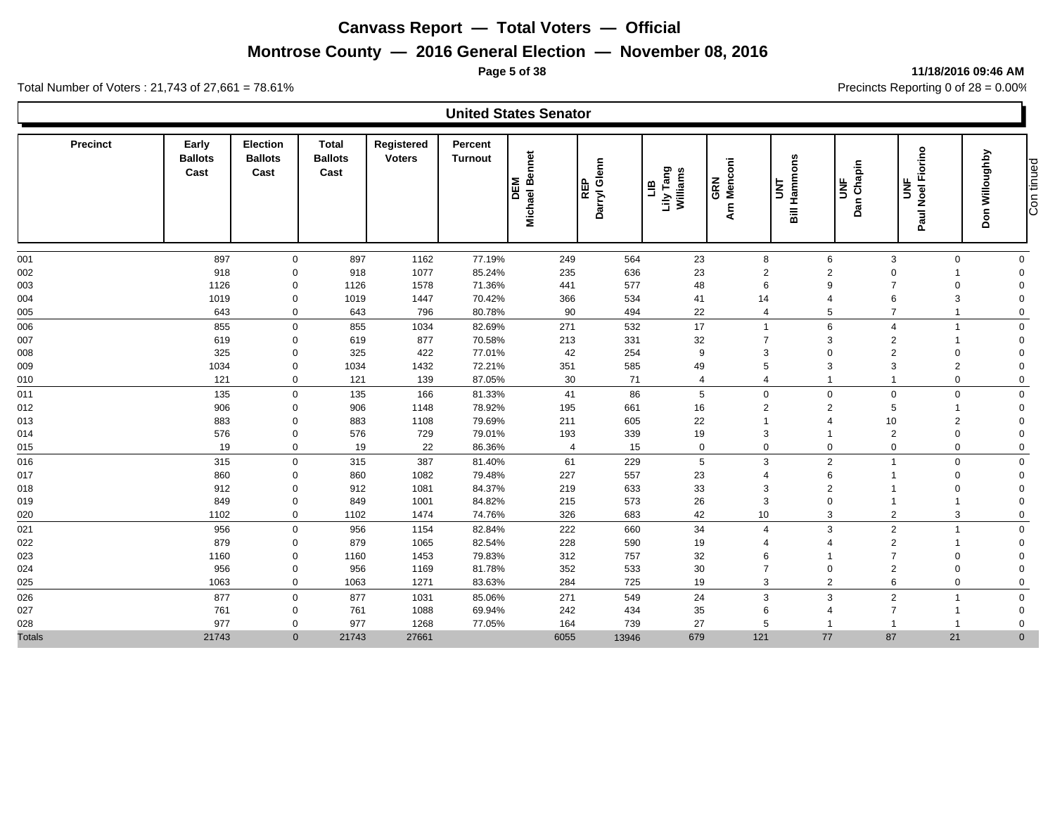## **Montrose County — 2016 General Election — November 08, 2016**

#### **Page 5 of 38 11/18/2016 09:46 AM**

Total Number of Voters : 21,743 of 27,661 = 78.61% Precincts Reporting 0 of 28 = 0.00%

| <b>United States Senator</b> |  |
|------------------------------|--|
|------------------------------|--|

| <b>Precinct</b> | Early<br><b>Ballots</b><br>Cast | <b>Election</b><br><b>Ballots</b><br>Cast | Total<br><b>Ballots</b><br>Cast | Registered<br><b>Voters</b> | Percent<br><b>Turnout</b> | <b>Bennet</b><br>DEM<br>Michael | Darryl Glenn<br><b>REP</b> | Lily Tang<br>Williams<br>Ξ | Arn Menconi<br>GRN | <b>Bill Hammons</b><br>š<br><b>UNF</b> | Dan Chapin     | Paul Noel Fiorino<br>$\overline{5}$ | Don Willoughby<br>Con tinued |
|-----------------|---------------------------------|-------------------------------------------|---------------------------------|-----------------------------|---------------------------|---------------------------------|----------------------------|----------------------------|--------------------|----------------------------------------|----------------|-------------------------------------|------------------------------|
| 001             | 897                             | 0                                         | 897                             | 1162                        | 77.19%                    | 249                             | 564                        | 23                         | 8                  | 6                                      | 3              | $\mathbf 0$                         | $\mathbf 0$                  |
| 002             | 918                             | $\mathbf 0$                               | 918                             | 1077                        | 85.24%                    | 235                             | 636                        | 23                         | $\overline{2}$     | $\overline{2}$                         | 0              |                                     | $\Omega$                     |
| 003             | 1126                            | $\mathbf 0$                               | 1126                            | 1578                        | 71.36%                    | 441                             | 577                        | 48                         | 6                  | 9                                      | $\overline{7}$ | $\mathbf 0$                         | $\mathbf 0$                  |
| 004             | 1019                            | $\mathbf 0$                               | 1019                            | 1447                        | 70.42%                    | 366                             | 534                        | 41                         | 14                 |                                        | 6              | $\mathsf 3$                         | $\Omega$                     |
| 005             | 643                             | $\mathbf 0$                               | 643                             | 796                         | 80.78%                    | 90                              | 494                        | 22                         | $\overline{4}$     | 5                                      | $\overline{7}$ |                                     | $\mathbf 0$                  |
| 006             | 855                             | 0                                         | 855                             | 1034                        | 82.69%                    | 271                             | 532                        | 17                         | $\overline{1}$     | 6                                      | $\overline{4}$ | $\mathbf{1}$                        | $\mathbf 0$                  |
| 007             | 619                             | $\mathbf 0$                               | 619                             | 877                         | 70.58%                    | 213                             | 331                        | 32                         | $\overline{7}$     | 3                                      | $\overline{2}$ | 1                                   | $\mathbf 0$                  |
| 008             | 325                             | $\mathbf 0$                               | 325                             | 422                         | 77.01%                    | 42                              | 254                        | 9                          | 3                  | $\Omega$                               | $\overline{2}$ | $\mathbf 0$                         | $\Omega$                     |
| 009             | 1034                            | $\mathbf 0$                               | 1034                            | 1432                        | 72.21%                    | 351                             | 585                        | 49                         | 5                  | 3                                      | 3              | $\overline{c}$                      | $\mathbf 0$                  |
| 010             | 121                             | 0                                         | 121                             | 139                         | 87.05%                    | 30                              | 71                         | $\overline{4}$             | $\overline{4}$     |                                        |                | $\mathbf 0$                         | $\mathbf 0$                  |
| 011             | 135                             | 0                                         | 135                             | 166                         | 81.33%                    | 41                              | 86                         | 5                          | $\mathbf 0$        | $\Omega$                               | $\mathbf 0$    | $\mathbf 0$                         | $\mathbf 0$                  |
| 012             | 906                             | $\Omega$                                  | 906                             | 1148                        | 78.92%                    | 195                             | 661                        | 16                         | $\overline{2}$     | $\overline{2}$                         | 5              | 1                                   | $\mathbf 0$                  |
| 013             | 883                             | $\mathbf 0$                               | 883                             | 1108                        | 79.69%                    | 211                             | 605                        | 22                         | $\overline{1}$     | 4                                      | 10             | $\overline{2}$                      | $\Omega$                     |
| 014             | 576                             | $\mathbf 0$                               | 576                             | 729                         | 79.01%                    | 193                             | 339                        | 19                         | 3                  |                                        | $\overline{2}$ | $\mathbf 0$                         | $\Omega$                     |
| 015             | 19                              | $\mathbf 0$                               | 19                              | 22                          | 86.36%                    | $\overline{4}$                  | 15                         | $\mathbf 0$                | $\mathbf 0$        | $\mathbf 0$                            | $\mathbf 0$    | $\mathbf 0$                         | $\mathbf 0$                  |
| 016             | 315                             | 0                                         | 315                             | 387                         | 81.40%                    | 61                              | 229                        | 5                          | 3                  | $\overline{2}$                         |                | $\mathbf 0$                         | $\mathbf 0$                  |
| 017             | 860                             | $\mathbf 0$                               | 860                             | 1082                        | 79.48%                    | 227                             | 557                        | 23                         | $\overline{4}$     | 6                                      |                | $\mathbf 0$                         | $\mathbf 0$                  |
| 018             | 912                             | $\mathbf 0$                               | 912                             | 1081                        | 84.37%                    | 219                             | 633                        | 33                         | 3                  | $\overline{2}$                         |                | $\mathbf 0$                         | $\mathbf 0$                  |
| 019             | 849                             | $\mathbf 0$                               | 849                             | 1001                        | 84.82%                    | 215                             | 573                        | 26                         | 3                  | $\Omega$                               |                | 1                                   | $\Omega$                     |
| 020             | 1102                            | 0                                         | 1102                            | 1474                        | 74.76%                    | 326                             | 683                        | 42                         | 10                 | 3                                      | $\overline{2}$ | 3                                   | $\mathbf 0$                  |
| 021             | 956                             | 0                                         | 956                             | 1154                        | 82.84%                    | 222                             | 660                        | 34                         | $\overline{4}$     | 3                                      | 2              | $\overline{\mathbf{1}}$             | $\mathbf 0$                  |
| 022             | 879                             | $\Omega$                                  | 879                             | 1065                        | 82.54%                    | 228                             | 590                        | 19                         | $\overline{4}$     |                                        | $\overline{2}$ | 1                                   | $\mathbf 0$                  |
| 023             | 1160                            | $\Omega$                                  | 1160                            | 1453                        | 79.83%                    | 312                             | 757                        | 32                         | 6                  |                                        | $\overline{7}$ | $\mathbf 0$                         | $\mathbf 0$                  |
| 024             | 956                             | $\mathbf 0$                               | 956                             | 1169                        | 81.78%                    | 352                             | 533                        | 30                         | $\overline{7}$     | $\Omega$                               | $\overline{2}$ | 0                                   | $\Omega$                     |
| 025             | 1063                            | 0                                         | 1063                            | 1271                        | 83.63%                    | 284                             | 725                        | 19                         | 3                  | $\overline{2}$                         | 6              | $\mathbf 0$                         | $\mathbf 0$                  |
| 026             | 877                             | 0                                         | 877                             | 1031                        | 85.06%                    | 271                             | 549                        | 24                         | 3                  | 3                                      | $\overline{2}$ | $\overline{\mathbf{1}}$             | $\mathbf 0$                  |
| 027             | 761                             | $\mathbf 0$                               | 761                             | 1088                        | 69.94%                    | 242                             | 434                        | 35                         | 6                  |                                        | $\overline{7}$ | 1                                   | $\mathbf 0$                  |
| 028             | 977                             | $\Omega$                                  | 977                             | 1268                        | 77.05%                    | 164                             | 739                        | 27                         | 5                  |                                        |                |                                     | $\mathbf 0$                  |
| <b>Totals</b>   | 21743                           | $\overline{0}$                            | 21743                           | 27661                       |                           | 6055                            | 13946                      | 679                        | 121                | 77                                     | 87             | 21                                  | $\mathbf{0}$                 |

Con tinued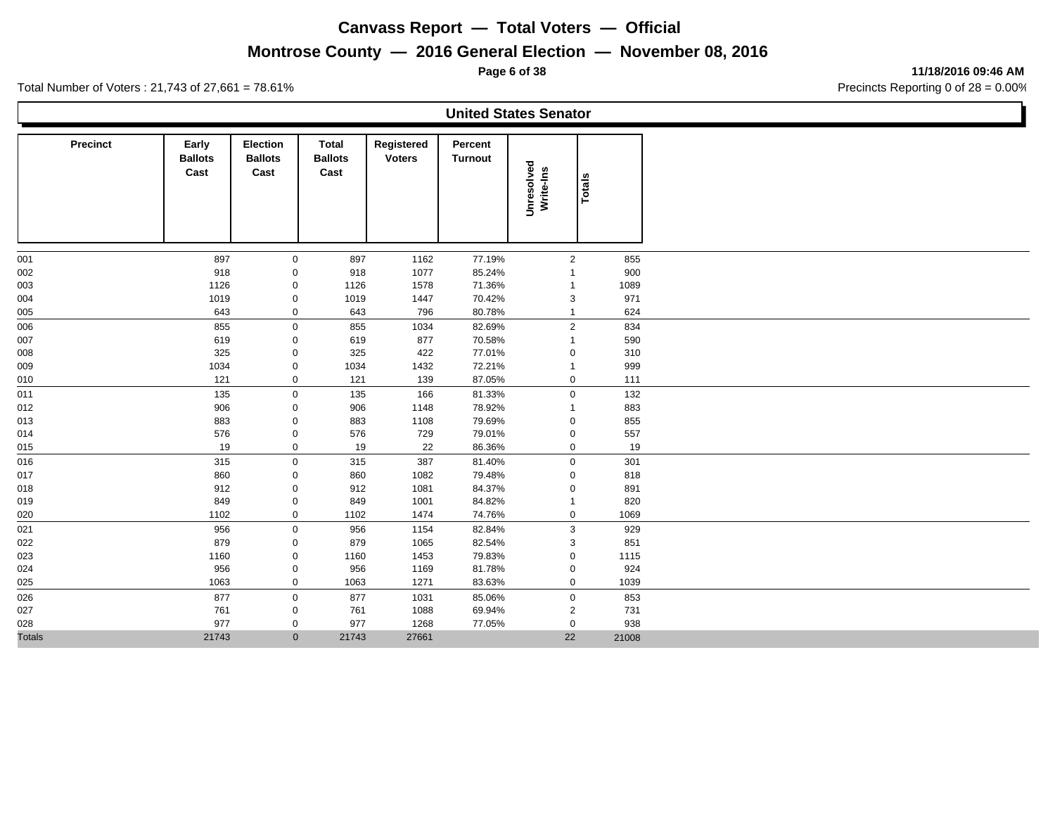# **Montrose County — 2016 General Election — November 08, 2016**

**Page 6 of 38 11/18/2016 09:46 AM**

| Total Number of Voters: 21,743 of 27,661 = $78.61\%$ |                                         |                                                   |                                         |                             |                    |                              | Precincts Reporting 0 of 28 = 0.00% |
|------------------------------------------------------|-----------------------------------------|---------------------------------------------------|-----------------------------------------|-----------------------------|--------------------|------------------------------|-------------------------------------|
|                                                      |                                         |                                                   |                                         |                             |                    | <b>United States Senator</b> |                                     |
| <b>Precinct</b>                                      | Early<br><b>Ballots</b><br>$\mathbf{r}$ | <b>Election</b><br><b>Ballots</b><br>$\mathbf{r}$ | Total<br><b>Ballots</b><br>$\mathbf{r}$ | Registered<br><b>Voters</b> | Percent<br>Turnout |                              |                                     |

|               | <b>Ballots</b><br>Cast | <b>Ballots</b><br>Cast | <b>Ballots</b><br>Cast | <b>Voters</b> | <b>Turnout</b> | Unresolved<br>Write-Ins | Totals |       |
|---------------|------------------------|------------------------|------------------------|---------------|----------------|-------------------------|--------|-------|
| 001           | 897                    | $\mathbf 0$            | 897                    | 1162          | 77.19%         | $\overline{2}$          |        | 855   |
| 002           | 918                    | 0                      | 918                    | 1077          | 85.24%         | -1                      |        | 900   |
| 003           | 1126                   | $\mathbf 0$            | 1126                   | 1578          | 71.36%         | $\overline{1}$          |        | 1089  |
| 004           | 1019                   | $\mathbf 0$            | 1019                   | 1447          | 70.42%         | 3                       |        | 971   |
| 005           | 643                    | $\mathbf 0$            | 643                    | 796           | 80.78%         | $\mathbf{1}$            |        | 624   |
| 006           | 855                    | $\mathbf 0$            | 855                    | 1034          | 82.69%         | $\overline{2}$          |        | 834   |
| 007           | 619                    | $\mathbf 0$            | 619                    | 877           | 70.58%         | $\mathbf{1}$            |        | 590   |
| 008           | 325                    | $\mathbf 0$            | 325                    | 422           | 77.01%         | $\mathbf 0$             |        | 310   |
| 009           | 1034                   | $\mathbf 0$            | 1034                   | 1432          | 72.21%         | $\mathbf{1}$            |        | 999   |
| 010           | 121                    | $\mathbf 0$            | 121                    | 139           | 87.05%         | $\mathbf 0$             |        | 111   |
| 011           | 135                    | $\mathbf 0$            | 135                    | 166           | 81.33%         | $\mathbf 0$             |        | 132   |
| 012           | 906                    | $\mathbf 0$            | 906                    | 1148          | 78.92%         | $\mathbf{1}$            |        | 883   |
| 013           | 883                    | $\mathbf 0$            | 883                    | 1108          | 79.69%         | $\mathbf 0$             |        | 855   |
| 014           | 576                    | $\mathbf 0$            | 576                    | 729           | 79.01%         | $\mathbf 0$             |        | 557   |
| 015           | 19                     | $\mathbf 0$            | 19                     | 22            | 86.36%         | $\mathbf 0$             |        | 19    |
| 016           | 315                    | $\mathbf 0$            | 315                    | 387           | 81.40%         | $\mathbf 0$             |        | 301   |
| 017           | 860                    | 0                      | 860                    | 1082          | 79.48%         | 0                       |        | 818   |
| 018           | 912                    | 0                      | 912                    | 1081          | 84.37%         | 0                       |        | 891   |
| 019           | 849                    | $\mathbf 0$            | 849                    | 1001          | 84.82%         | $\mathbf{1}$            |        | 820   |
| 020           | 1102                   | $\mathbf 0$            | 1102                   | 1474          | 74.76%         | $\mathbf 0$             |        | 1069  |
| 021           | 956                    | $\mathbf 0$            | 956                    | 1154          | 82.84%         | 3                       |        | 929   |
| 022           | 879                    | $\mathbf 0$            | 879                    | 1065          | 82.54%         | 3                       |        | 851   |
| 023           | 1160                   | $\mathbf 0$            | 1160                   | 1453          | 79.83%         | $\mathbf 0$             |        | 1115  |
| 024           | 956                    | 0                      | 956                    | 1169          | 81.78%         | $\mathbf 0$             |        | 924   |
| 025           | 1063                   | $\mathbf 0$            | 1063                   | 1271          | 83.63%         | $\mathbf 0$             |        | 1039  |
| 026           | 877                    | $\mathbf 0$            | 877                    | 1031          | 85.06%         | $\mathsf{O}\xspace$     |        | 853   |
| 027           | 761                    | $\mathbf 0$            | 761                    | 1088          | 69.94%         | $\overline{2}$          |        | 731   |
| 028           | 977                    | $\mathbf 0$            | 977                    | 1268          | 77.05%         | $\mathbf 0$             |        | 938   |
| <b>Totals</b> | 21743                  | $\overline{0}$         | 21743                  | 27661         |                | 22                      |        | 21008 |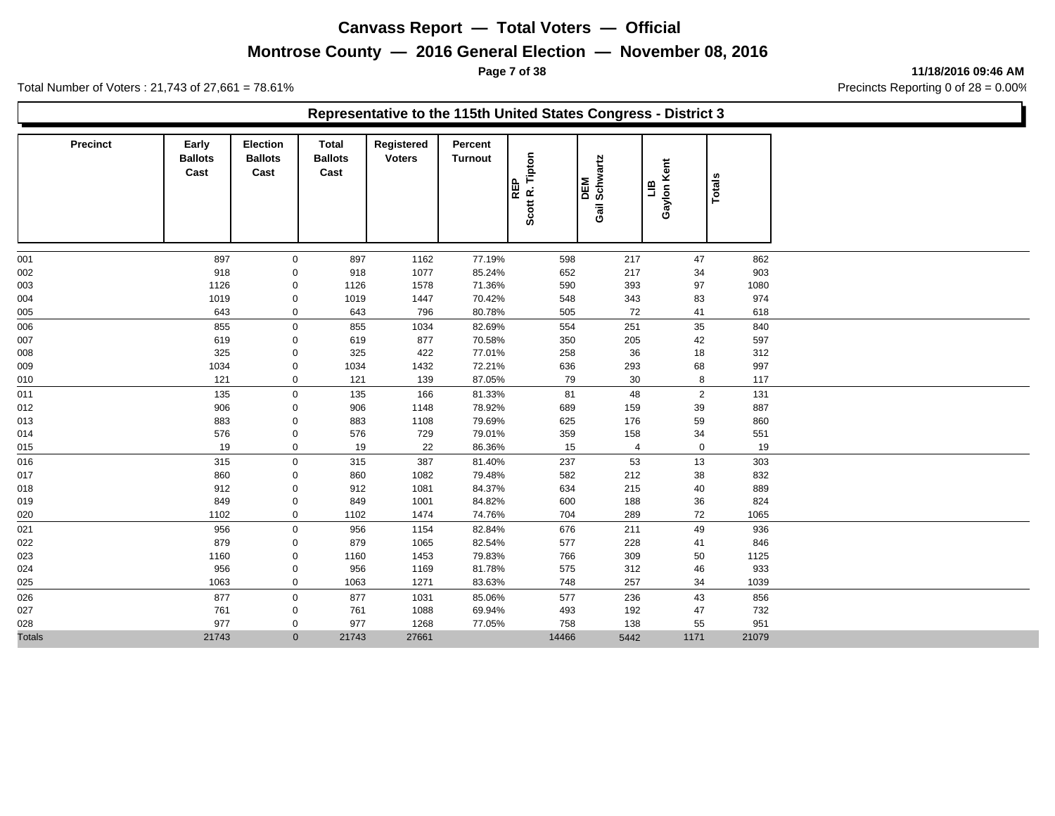## **Montrose County — 2016 General Election — November 08, 2016**

**Page 7 of 38 11/18/2016 09:46 AM**

Total Number of Voters : 21,743 of 27,661 = 78.61% Precincts Reporting 0 of 28 = 0.00%

#### **Representative to the 115th United States Congress - District 3**

| <b>Precinct</b> | Early<br><b>Ballots</b><br>Cast | <b>Election</b><br><b>Ballots</b><br>Cast | <b>Total</b><br><b>Ballots</b><br>Cast | Registered<br><b>Voters</b> | Percent<br>Turnout | REP<br>Scott R. Tipton | DEM<br>Gail Schwartz | Gaylon Kent<br>믑 | Totals |  |
|-----------------|---------------------------------|-------------------------------------------|----------------------------------------|-----------------------------|--------------------|------------------------|----------------------|------------------|--------|--|
| 001             | 897                             | $\mathbf 0$                               | 897                                    | 1162                        | 77.19%             | 598                    | 217                  | 47               | 862    |  |
| 002             | 918                             | 0                                         | 918                                    | 1077                        | 85.24%             | 652                    | 217                  | 34               | 903    |  |
| 003             | 1126                            | 0                                         | 1126                                   | 1578                        | 71.36%             | 590                    | 393                  | 97               | 1080   |  |
| 004             | 1019                            | 0                                         | 1019                                   | 1447                        | 70.42%             | 548                    | 343                  | 83               | 974    |  |
| 005             | 643                             | $\mathbf 0$                               | 643                                    | 796                         | 80.78%             | 505                    | 72                   | 41               | 618    |  |
| 006             | 855                             | $\mathbf 0$                               | 855                                    | 1034                        | 82.69%             | 554                    | 251                  | 35               | 840    |  |
| 007             | 619                             | 0                                         | 619                                    | 877                         | 70.58%             | 350                    | 205                  | 42               | 597    |  |
| 008             | 325                             | 0                                         | 325                                    | 422                         | 77.01%             | 258                    | 36                   | 18               | 312    |  |
| 009             | 1034                            | 0                                         | 1034                                   | 1432                        | 72.21%             | 636                    | 293                  | 68               | 997    |  |
| 010             | 121                             | $\mathbf 0$                               | 121                                    | 139                         | 87.05%             | 79                     | 30                   | 8                | 117    |  |
| 011             | 135                             | $\pmb{0}$                                 | 135                                    | 166                         | 81.33%             | 81                     | 48                   | $\overline{2}$   | 131    |  |
| 012             | 906                             | 0                                         | 906                                    | 1148                        | 78.92%             | 689                    | 159                  | 39               | 887    |  |
| 013             | 883                             | 0                                         | 883                                    | 1108                        | 79.69%             | 625                    | 176                  | 59               | 860    |  |
| 014             | 576                             | 0                                         | 576                                    | 729                         | 79.01%             | 359                    | 158                  | 34               | 551    |  |
| 015             | 19                              | $\mathbf 0$                               | 19                                     | 22                          | 86.36%             | 15                     | $\overline{4}$       | $\mathbf 0$      | 19     |  |
| 016             | 315                             | $\mathbf 0$                               | 315                                    | 387                         | 81.40%             | 237                    | 53                   | 13               | 303    |  |
| 017             | 860                             | 0                                         | 860                                    | 1082                        | 79.48%             | 582                    | 212                  | 38               | 832    |  |
| 018             | 912                             | 0                                         | 912                                    | 1081                        | 84.37%             | 634                    | 215                  | 40               | 889    |  |
| 019             | 849                             | 0                                         | 849                                    | 1001                        | 84.82%             | 600                    | 188                  | 36               | 824    |  |
| 020             | 1102                            | $\mathbf 0$                               | 1102                                   | 1474                        | 74.76%             | 704                    | 289                  | 72               | 1065   |  |
| 021             | 956                             | $\pmb{0}$                                 | 956                                    | 1154                        | 82.84%             | 676                    | 211                  | 49               | 936    |  |
| 022             | 879                             | $\mathbf 0$                               | 879                                    | 1065                        | 82.54%             | 577                    | 228                  | 41               | 846    |  |
| 023             | 1160                            | 0                                         | 1160                                   | 1453                        | 79.83%             | 766                    | 309                  | 50               | 1125   |  |
| 024             | 956                             | $\mathbf 0$                               | 956                                    | 1169                        | 81.78%             | 575                    | 312                  | 46               | 933    |  |
| 025             | 1063                            | 0                                         | 1063                                   | 1271                        | 83.63%             | 748                    | 257                  | 34               | 1039   |  |
| 026             | 877                             | $\mathbf 0$                               | 877                                    | 1031                        | 85.06%             | 577                    | 236                  | 43               | 856    |  |
| 027             | 761                             | 0                                         | 761                                    | 1088                        | 69.94%             | 493                    | 192                  | 47               | 732    |  |
| 028             | 977                             | 0                                         | 977                                    | 1268                        | 77.05%             | 758                    | 138                  | 55               | 951    |  |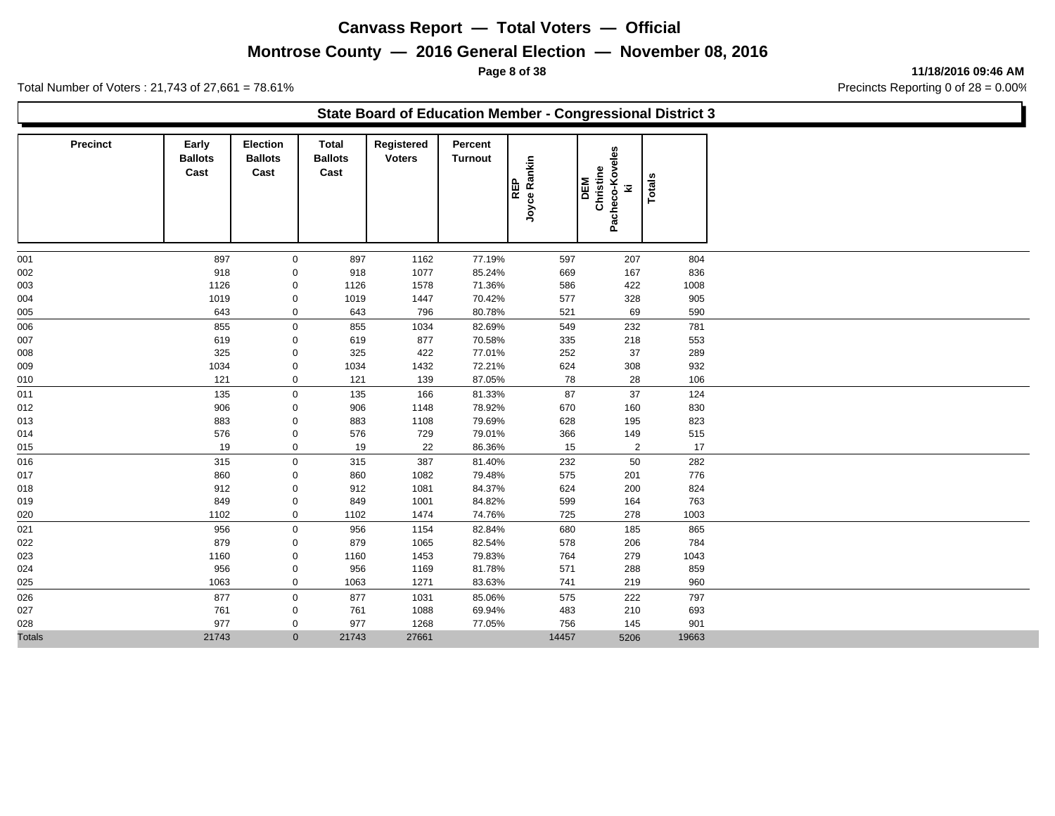## **Montrose County — 2016 General Election — November 08, 2016**

**Page 8 of 38 11/18/2016 09:46 AM**

Total Number of Voters : 21,743 of 27,661 = 78.61% Precincts Reporting 0 of 28 = 0.00%

#### **State Board of Education Member - Congressional District 3**

| <b>Precinct</b> | Early<br><b>Ballots</b><br>Cast | <b>Election</b><br><b>Ballots</b><br>Cast | <b>Total</b><br><b>Ballots</b><br>Cast | Registered<br><b>Voters</b> | Percent<br><b>Turnout</b> | Joyce Rankin<br><b>REP</b> | Pacheco-Koveles<br>Christine<br><b>DEM</b><br>z | Totals |
|-----------------|---------------------------------|-------------------------------------------|----------------------------------------|-----------------------------|---------------------------|----------------------------|-------------------------------------------------|--------|
| 001             | 897                             | $\mathbf 0$                               | 897                                    | 1162                        | 77.19%                    | 597                        | 207                                             | 804    |
| 002             | 918                             | 0                                         | 918                                    | 1077                        | 85.24%                    | 669                        | 167                                             | 836    |
| 003             | 1126                            | 0                                         | 1126                                   | 1578                        | 71.36%                    | 586                        | 422                                             | 1008   |
| 004             | 1019                            | 0                                         | 1019                                   | 1447                        | 70.42%                    | 577                        | 328                                             | 905    |
| 005             | 643                             | 0                                         | 643                                    | 796                         | 80.78%                    | 521                        | 69                                              | 590    |
| 006             | 855                             | $\mathsf{O}\xspace$                       | 855                                    | 1034                        | 82.69%                    | 549                        | 232                                             | 781    |
| 007             | 619                             | $\mathbf 0$                               | 619                                    | 877                         | 70.58%                    | 335                        | 218                                             | 553    |
| 008             | 325                             | $\mathbf 0$                               | 325                                    | 422                         | 77.01%                    | 252                        | 37                                              | 289    |
| 009             | 1034                            | 0                                         | 1034                                   | 1432                        | 72.21%                    | 624                        | 308                                             | 932    |
| 010             | 121                             | 0                                         | 121                                    | 139                         | 87.05%                    | 78                         | 28                                              | 106    |
| 011             | 135                             | $\mathbf 0$                               | 135                                    | 166                         | 81.33%                    | 87                         | 37                                              | 124    |
| 012             | 906                             | 0                                         | 906                                    | 1148                        | 78.92%                    | 670                        | 160                                             | 830    |
| 013             | 883                             | 0                                         | 883                                    | 1108                        | 79.69%                    | 628                        | 195                                             | 823    |
| 014             | 576                             | 0                                         | 576                                    | 729                         | 79.01%                    | 366                        | 149                                             | 515    |
| 015             | 19                              | 0                                         | 19                                     | 22                          | 86.36%                    | 15                         | $\overline{2}$                                  | 17     |
| 016             | 315                             | $\mathbf 0$                               | 315                                    | 387                         | 81.40%                    | 232                        | 50                                              | 282    |
| 017             | 860                             | 0                                         | 860                                    | 1082                        | 79.48%                    | 575                        | 201                                             | 776    |
| 018             | 912                             | 0                                         | 912                                    | 1081                        | 84.37%                    | 624                        | 200                                             | 824    |
| 019             | 849                             | 0                                         | 849                                    | 1001                        | 84.82%                    | 599                        | 164                                             | 763    |
| 020             | 1102                            | 0                                         | 1102                                   | 1474                        | 74.76%                    | 725                        | 278                                             | 1003   |
| 021             | 956                             | $\mathbf 0$                               | 956                                    | 1154                        | 82.84%                    | 680                        | 185                                             | 865    |
| 022             | 879                             | 0                                         | 879                                    | 1065                        | 82.54%                    | 578                        | 206                                             | 784    |
| 023             | 1160                            | 0                                         | 1160                                   | 1453                        | 79.83%                    | 764                        | 279                                             | 1043   |
| 024             | 956                             | 0                                         | 956                                    | 1169                        | 81.78%                    | 571                        | 288                                             | 859    |
| 025             | 1063                            | 0                                         | 1063                                   | 1271                        | 83.63%                    | 741                        | 219                                             | 960    |
| 026             | 877                             | $\mathbf 0$                               | 877                                    | 1031                        | 85.06%                    | 575                        | 222                                             | 797    |
| 027             | 761                             | $\mathbf{0}$                              | 761                                    | 1088                        | 69.94%                    | 483                        | 210                                             | 693    |
| 028             | 977                             | $\mathbf 0$                               | 977                                    | 1268                        | 77.05%                    | 756                        | 145                                             | 901    |
| <b>Totals</b>   | 21743                           | $\mathbf{0}$                              | 21743                                  | 27661                       |                           | 14457                      | 5206                                            | 19663  |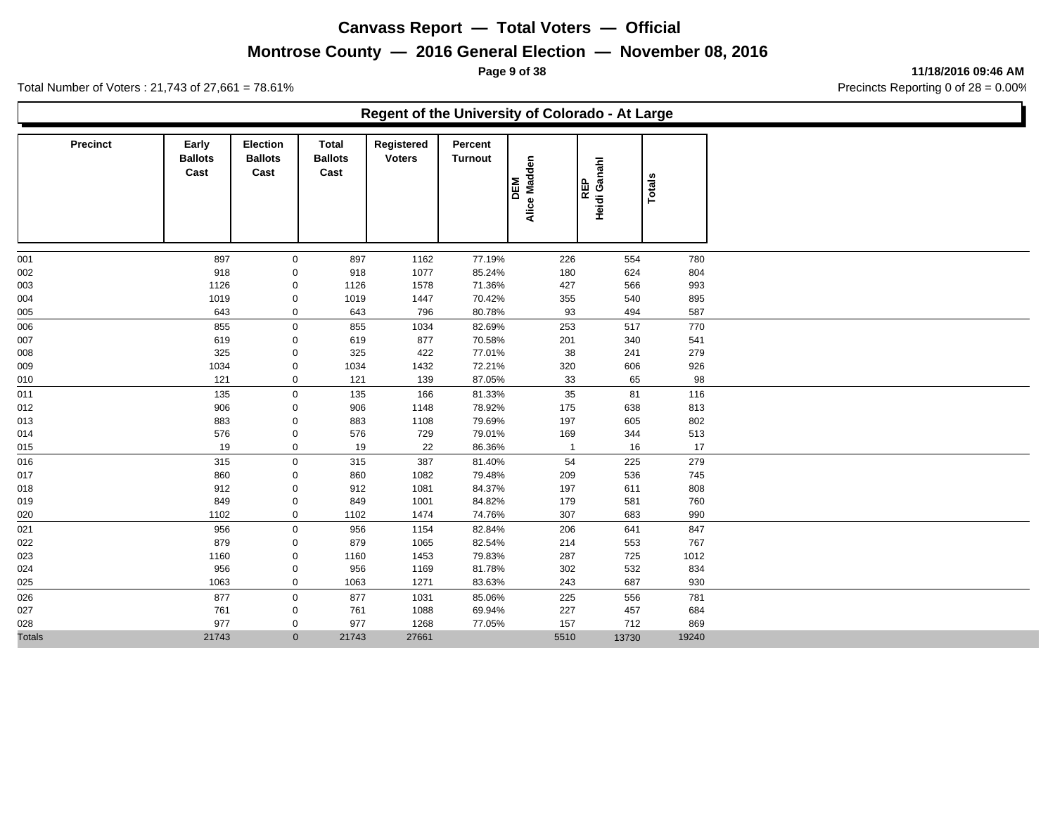## **Montrose County — 2016 General Election — November 08, 2016**

**Page 9 of 38 11/18/2016 09:46 AM**

Total Number of Voters : 21,743 of 27,661 = 78.61% Precincts Reporting 0 of 28 = 0.00%

#### **Regent of the University of Colorado - At Large**

| <b>Precinct</b> | Early<br><b>Ballots</b><br>Cast | <b>Election</b><br><b>Ballots</b><br>Cast | <b>Total</b><br><b>Ballots</b><br>Cast | Registered<br><b>Voters</b> | Percent<br><b>Turnout</b> | Alice Madden<br>DEM | Heidi Ganahl<br><b>REP</b> | Totals |
|-----------------|---------------------------------|-------------------------------------------|----------------------------------------|-----------------------------|---------------------------|---------------------|----------------------------|--------|
| 001             | 897                             | $\mathbf 0$                               | 897                                    | 1162                        | 77.19%                    | 226                 | 554                        | 780    |
| 002             | 918                             | 0                                         | 918                                    | 1077                        | 85.24%                    | 180                 | 624                        | 804    |
| 003             | 1126                            | 0                                         | 1126                                   | 1578                        | 71.36%                    | 427                 | 566                        | 993    |
| 004             | 1019                            | $\mathsf{O}\xspace$                       | 1019                                   | 1447                        | 70.42%                    | 355                 | 540                        | 895    |
| 005             | 643                             | $\mathbf 0$                               | 643                                    | 796                         | 80.78%                    | 93                  | 494                        | 587    |
| 006             | 855                             | $\mathsf{O}$                              | 855                                    | 1034                        | 82.69%                    | 253                 | 517                        | 770    |
| 007             | 619                             | 0                                         | 619                                    | 877                         | 70.58%                    | 201                 | 340                        | 541    |
| 008             | 325                             | 0                                         | 325                                    | 422                         | 77.01%                    | 38                  | 241                        | 279    |
| 009             | 1034                            | 0                                         | 1034                                   | 1432                        | 72.21%                    | 320                 | 606                        | 926    |
| 010             | 121                             | $\mathbf 0$                               | 121                                    | 139                         | 87.05%                    | 33                  | 65                         | 98     |
| 011             | 135                             | $\mathbf 0$                               | 135                                    | 166                         | 81.33%                    | 35                  | 81                         | 116    |
| 012             | 906                             | 0                                         | 906                                    | 1148                        | 78.92%                    | 175                 | 638                        | 813    |
| 013             | 883                             | 0                                         | 883                                    | 1108                        | 79.69%                    | 197                 | 605                        | 802    |
| 014             | 576                             | 0                                         | 576                                    | 729                         | 79.01%                    | 169                 | 344                        | 513    |
| 015             | 19                              | $\mathbf 0$                               | 19                                     | 22                          | 86.36%                    | $\overline{1}$      | 16                         | 17     |
| 016             | 315                             | $\mathbf 0$                               | 315                                    | 387                         | 81.40%                    | 54                  | 225                        | 279    |
| 017             | 860                             | 0                                         | 860                                    | 1082                        | 79.48%                    | 209                 | 536                        | 745    |
| 018             | 912                             | 0                                         | 912                                    | 1081                        | 84.37%                    | 197                 | 611                        | 808    |
| 019             | 849                             | 0                                         | 849                                    | 1001                        | 84.82%                    | 179                 | 581                        | 760    |
| 020             | 1102                            | $\mathbf 0$                               | 1102                                   | 1474                        | 74.76%                    | 307                 | 683                        | 990    |
| 021             | 956                             | 0                                         | 956                                    | 1154                        | 82.84%                    | 206                 | 641                        | 847    |
| 022             | 879                             | 0                                         | 879                                    | 1065                        | 82.54%                    | 214                 | 553                        | 767    |
| 023             | 1160                            | 0                                         | 1160                                   | 1453                        | 79.83%                    | 287                 | 725                        | 1012   |
| 024             | 956                             | 0                                         | 956                                    | 1169                        | 81.78%                    | 302                 | 532                        | 834    |
| 025             | 1063                            | $\mathbf 0$                               | 1063                                   | 1271                        | 83.63%                    | 243                 | 687                        | 930    |
| 026             | 877                             | $\mathbf 0$                               | 877                                    | 1031                        | 85.06%                    | 225                 | 556                        | 781    |
| 027             | 761                             | $\mathbf 0$                               | 761                                    | 1088                        | 69.94%                    | 227                 | 457                        | 684    |
| 028             | 977                             | 0                                         | 977                                    | 1268                        | 77.05%                    | 157                 | 712                        | 869    |
| <b>Totals</b>   | 21743                           | $\mathbf{0}$                              | 21743                                  | 27661                       |                           | 5510                | 13730                      | 19240  |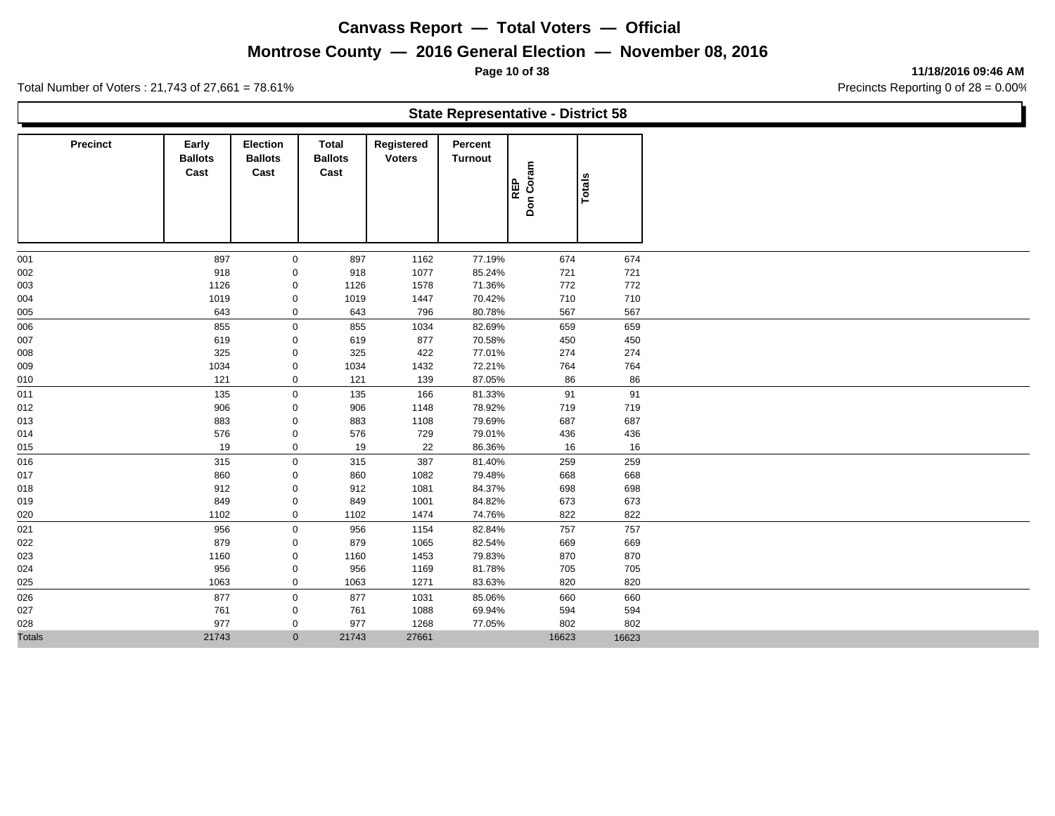# **Montrose County — 2016 General Election — November 08, 2016**

**Page 10 of 38 11/18/2016 09:46 AM**

|               |                 |                                 |                                    |                                 |                             |                           | <b>State Representative - District 58</b> |               |
|---------------|-----------------|---------------------------------|------------------------------------|---------------------------------|-----------------------------|---------------------------|-------------------------------------------|---------------|
|               | <b>Precinct</b> | Early<br><b>Ballots</b><br>Cast | Election<br><b>Ballots</b><br>Cast | Total<br><b>Ballots</b><br>Cast | Registered<br><b>Voters</b> | Percent<br><b>Turnout</b> | Don Coram<br><b>REP</b>                   | <b>Totals</b> |
| 001           |                 | 897                             | $\mathbf 0$                        | 897                             | 1162                        | 77.19%                    | 674                                       | 674           |
| 002           |                 | 918                             | 0                                  | 918                             | 1077                        | 85.24%                    | 721                                       | 721           |
| 003           |                 | 1126                            | 0                                  | 1126                            | 1578                        | 71.36%                    | 772                                       | 772           |
| 004           |                 | 1019                            | 0                                  | 1019                            | 1447                        | 70.42%                    | 710                                       | 710           |
| 005           |                 | 643                             | $\mathbf 0$                        | 643                             | 796                         | 80.78%                    | 567                                       | 567           |
| 006           |                 | 855                             | $\mathbf 0$                        | 855                             | 1034                        | 82.69%                    | 659                                       | 659           |
| 007           |                 | 619                             | 0                                  | 619                             | 877                         | 70.58%                    | 450                                       | 450           |
| 800           |                 | 325                             | 0                                  | 325                             | 422                         | 77.01%                    | 274                                       | 274           |
| 009           |                 | 1034                            | 0                                  | 1034                            | 1432                        | 72.21%                    | 764                                       | 764           |
| 010           |                 | 121                             | 0                                  | 121                             | 139                         | 87.05%                    | 86                                        | 86            |
| 011           |                 | 135                             | $\mathbf 0$                        | 135                             | 166                         | 81.33%                    | 91                                        | 91            |
| 012           |                 | 906                             | 0                                  | 906                             | 1148                        | 78.92%                    | 719                                       | 719           |
| 013           |                 | 883                             | 0                                  | 883                             | 1108                        | 79.69%                    | 687                                       | 687           |
| 014           |                 | 576                             | $\mathbf 0$                        | 576                             | 729                         | 79.01%                    | 436                                       | 436           |
| 015           |                 | 19                              | $\mathbf 0$                        | 19                              | 22                          | 86.36%                    | 16                                        | 16            |
| 016           |                 | 315                             | $\mathbf 0$                        | 315                             | 387                         | 81.40%                    | 259                                       | 259           |
| 017           |                 | 860                             | 0                                  | 860                             | 1082                        | 79.48%                    | 668                                       | 668           |
| 018           |                 | 912                             | 0                                  | 912                             | 1081                        | 84.37%                    | 698                                       | 698           |
| 019           |                 | 849                             | 0                                  | 849                             | 1001                        | 84.82%                    | 673                                       | 673           |
| 020           |                 | 1102                            | $\mathbf 0$                        | 1102                            | 1474                        | 74.76%                    | 822                                       | 822           |
| 021           |                 | 956                             | $\mathbf 0$                        | 956                             | 1154                        | 82.84%                    | 757                                       | 757           |
| 022           |                 | 879                             | 0                                  | 879                             | 1065                        | 82.54%                    | 669                                       | 669           |
| 023           |                 | 1160                            | $\mathbf 0$                        | 1160                            | 1453                        | 79.83%                    | 870                                       | 870           |
| 024           |                 | 956                             | 0                                  | 956                             | 1169                        | 81.78%                    | 705                                       | 705           |
| 025           |                 | 1063                            | $\mathbf 0$                        | 1063                            | 1271                        | 83.63%                    | 820                                       | 820           |
| 026           |                 | 877                             | $\mathbf 0$                        | 877                             | 1031                        | 85.06%                    | 660                                       | 660           |
| 027           |                 | 761                             | $\mathbf 0$                        | 761                             | 1088                        | 69.94%                    | 594                                       | 594           |
| 028           |                 | 977                             | 0                                  | 977                             | 1268                        | 77.05%                    | 802                                       | 802           |
| <b>Totals</b> |                 | 21743                           | $\overline{0}$                     | 21743                           | 27661                       |                           | 16623                                     | 16623         |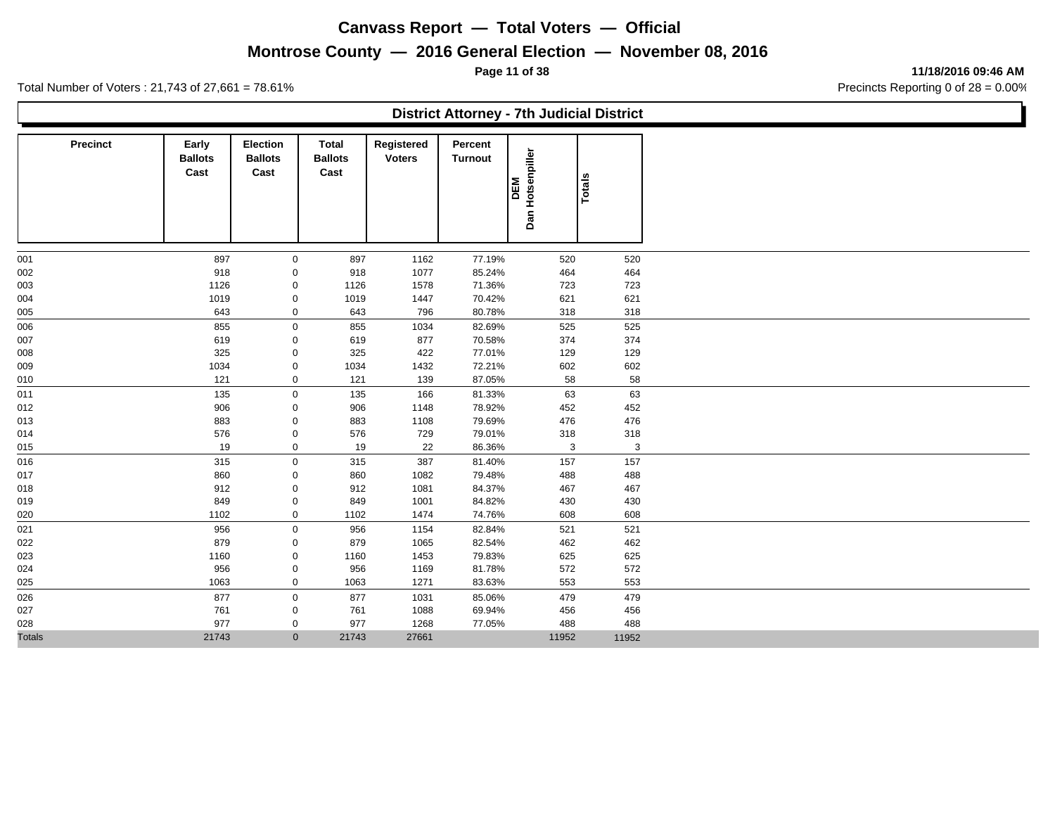# **Montrose County — 2016 General Election — November 08, 2016**

**Page 11 of 38 11/18/2016 09:46 AM**

|               |                                        |                                           |                                        |                             | <b>District Attorney - 7th Judicial District</b> |                            |        |  |
|---------------|----------------------------------------|-------------------------------------------|----------------------------------------|-----------------------------|--------------------------------------------------|----------------------------|--------|--|
| Precinct      | <b>Early</b><br><b>Ballots</b><br>Cast | <b>Election</b><br><b>Ballots</b><br>Cast | <b>Total</b><br><b>Ballots</b><br>Cast | Registered<br><b>Voters</b> | Percent<br><b>Turnout</b>                        | Hotsenpiller<br>DEM<br>Dan | Totals |  |
| 001           | 897                                    | $\mathbf{0}$                              | 897                                    | 1162                        | 77.19%                                           | 520                        | 520    |  |
| 002           | 918                                    | 0                                         | 918                                    | 1077                        | 85.24%                                           | 464                        | 464    |  |
| 003           | 1126                                   | 0                                         | 1126                                   | 1578                        | 71.36%                                           | 723                        | 723    |  |
| 004           | 1019                                   | 0                                         | 1019                                   | 1447                        | 70.42%                                           | 621                        | 621    |  |
| 005           | 643                                    | $\mathbf 0$                               | 643                                    | 796                         | 80.78%                                           | 318                        | 318    |  |
| 006           | 855                                    | $\mathbf 0$                               | 855                                    | 1034                        | 82.69%                                           | 525                        | 525    |  |
| 007           | 619                                    | 0                                         | 619                                    | 877                         | 70.58%                                           | 374                        | 374    |  |
| 008           | 325                                    | 0                                         | 325                                    | 422                         | 77.01%                                           | 129                        | 129    |  |
| 009           | 1034                                   | 0                                         | 1034                                   | 1432                        | 72.21%                                           | 602                        | 602    |  |
| 010           | 121                                    | 0                                         | 121                                    | 139                         | 87.05%                                           | 58                         | 58     |  |
| 011           | 135                                    | $\mathsf{O}$                              | 135                                    | 166                         | 81.33%                                           | 63                         | 63     |  |
| 012           | 906                                    | 0                                         | 906                                    | 1148                        | 78.92%                                           | 452                        | 452    |  |
| 013           | 883                                    | 0                                         | 883                                    | 1108                        | 79.69%                                           | 476                        | 476    |  |
| 014           | 576                                    | $\mathbf 0$                               | 576                                    | 729                         | 79.01%                                           | 318                        | 318    |  |
| 015           | 19                                     | $\mathbf 0$                               | 19                                     | 22                          | 86.36%                                           | 3                          | 3      |  |
| 016           | 315                                    | $\mathbf 0$                               | 315                                    | 387                         | 81.40%                                           | 157                        | 157    |  |
| 017           | 860                                    | $\mathbf 0$                               | 860                                    | 1082                        | 79.48%                                           | 488                        | 488    |  |
| 018           | 912                                    | $\mathbf 0$                               | 912                                    | 1081                        | 84.37%                                           | 467                        | 467    |  |
| 019           | 849                                    | 0                                         | 849                                    | 1001                        | 84.82%                                           | 430                        | 430    |  |
| 020           | 1102                                   | $\mathbf 0$                               | 1102                                   | 1474                        | 74.76%                                           | 608                        | 608    |  |
| 021           | 956                                    | $\mathbf 0$                               | 956                                    | 1154                        | 82.84%                                           | 521                        | 521    |  |
| 022           | 879                                    | 0                                         | 879                                    | 1065                        | 82.54%                                           | 462                        | 462    |  |
| 023           | 1160                                   | 0                                         | 1160                                   | 1453                        | 79.83%                                           | 625                        | 625    |  |
| 024           | 956                                    | 0                                         | 956                                    | 1169                        | 81.78%                                           | 572                        | 572    |  |
| 025           | 1063                                   | $\mathbf 0$                               | 1063                                   | 1271                        | 83.63%                                           | 553                        | 553    |  |
| 026           | 877                                    | $\mathbf 0$                               | 877                                    | 1031                        | 85.06%                                           | 479                        | 479    |  |
| 027           | 761                                    | 0                                         | 761                                    | 1088                        | 69.94%                                           | 456                        | 456    |  |
| 028           | 977                                    | $\mathbf 0$                               | 977                                    | 1268                        | 77.05%                                           | 488                        | 488    |  |
| <b>Totals</b> | 21743                                  | $\mathbf{0}$                              | 21743                                  | 27661                       |                                                  | 11952                      | 11952  |  |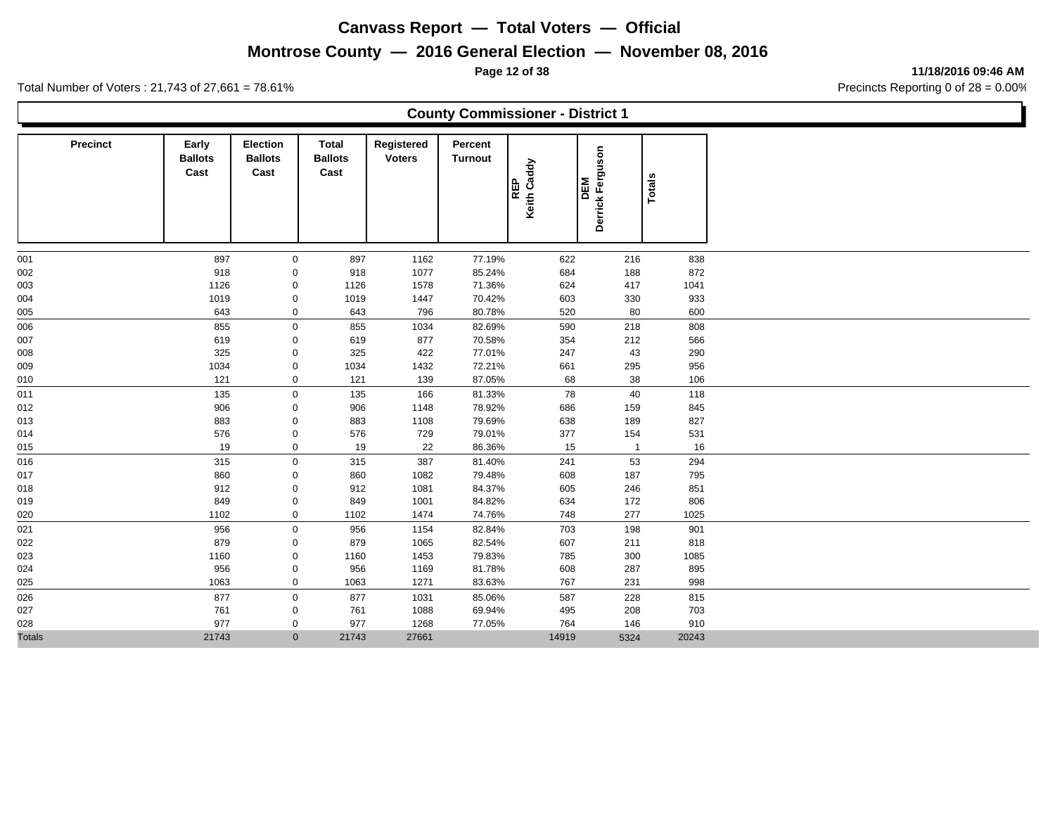#### **Montrose County — 2016 General Election — November 08, 2016**

**County Commissioner - District 1**

**Page 12 of 38 11/18/2016 09:46 AM**

Total Number of Voters : 21,743 of 27,661 = 78.61% Precincts Reporting 0 of 28 = 0.00%

| <b>Precinct</b> | Early<br><b>Ballots</b><br>Cast | <b>Election</b><br><b>Ballots</b><br>Cast | Total<br><b>Ballots</b><br>Cast | Registered<br><b>Voters</b> | Percent<br><b>Turnout</b> | Keith Caddy<br><b>REP</b> | Ferguson<br><b>M</b><br><b>Derrick</b> |            | Totals     |
|-----------------|---------------------------------|-------------------------------------------|---------------------------------|-----------------------------|---------------------------|---------------------------|----------------------------------------|------------|------------|
|                 | 897                             |                                           |                                 |                             |                           |                           |                                        |            |            |
| 001<br>002      | 918                             | 0<br>$\mathbf 0$                          | 897<br>918                      | 1162<br>1077                | 77.19%<br>85.24%          | 622<br>684                |                                        | 216<br>188 | 838<br>872 |
| 003             | 1126                            | $\mathbf 0$                               | 1126                            | 1578                        | 71.36%                    | 624                       |                                        | 417        | 1041       |
| 004             | 1019                            | 0                                         | 1019                            | 1447                        | 70.42%                    | 603                       |                                        | 330        | 933        |
| 005             | 643                             | $\mathbf 0$                               | 643                             | 796                         | 80.78%                    | 520                       |                                        | 80         | 600        |
| 006             | 855                             | 0                                         | 855                             | 1034                        | 82.69%                    | 590                       |                                        | 218        | 808        |
| 007             | 619                             | 0                                         | 619                             | 877                         | 70.58%                    | 354                       |                                        | 212        | 566        |
| 008             | 325                             | 0                                         | 325                             | 422                         | 77.01%                    | 247                       |                                        | 43         | 290        |
| 009             | 1034                            | 0                                         | 1034                            | 1432                        | 72.21%                    | 661                       |                                        | 295        | 956        |
| 010             | 121                             | 0                                         | 121                             | 139                         | 87.05%                    | 68                        |                                        | 38         | 106        |
| 011             | 135                             | 0                                         | 135                             | 166                         | 81.33%                    | 78                        |                                        | 40         | 118        |
| 012             | 906                             | 0                                         | 906                             | 1148                        | 78.92%                    | 686                       |                                        | 159        | 845        |
| 013             | 883                             | $\mathbf 0$                               | 883                             | 1108                        | 79.69%                    | 638                       |                                        | 189        | 827        |
| 014             | 576                             | 0                                         | 576                             | 729                         | 79.01%                    | 377                       |                                        | 154        | 531        |
| 015             | 19                              | $\mathbf 0$                               | 19                              | 22                          | 86.36%                    | 15                        |                                        |            | 16         |
| 016             | 315                             | 0                                         | 315                             | 387                         | 81.40%                    | 241                       |                                        | 53         | 294        |
| 017             | 860                             | 0                                         | 860                             | 1082                        | 79.48%                    | 608                       |                                        | 187        | 795        |
| 018             | 912                             | $\mathbf 0$                               | 912                             | 1081                        | 84.37%                    | 605                       |                                        | 246        | 851        |
| 019             | 849                             | 0                                         | 849                             | 1001                        | 84.82%                    | 634                       |                                        | 172        | 806        |
| 020             | 1102                            | 0                                         | 1102                            | 1474                        | 74.76%                    | 748                       |                                        | 277        | 1025       |
| 021             | 956                             | 0                                         | 956                             | 1154                        | 82.84%                    | 703                       |                                        | 198        | 901        |
| 022             | 879                             | $\mathbf 0$                               | 879                             | 1065                        | 82.54%                    | 607                       |                                        | 211        | 818        |

 1160 0 1160 1453 79.83% 785 300 1085 956 0 956 1169 81.78% 608 287 895 1063 0 1063 1271 83.63% 767 231 998 877 0 877 1031 85.06% 587 228 815 761 0 761 1088 69.94% 495 208 703 977 0 977 1268 77.05% 764 146 910

Totals 21743 0 21743 27661 14919 5324 20243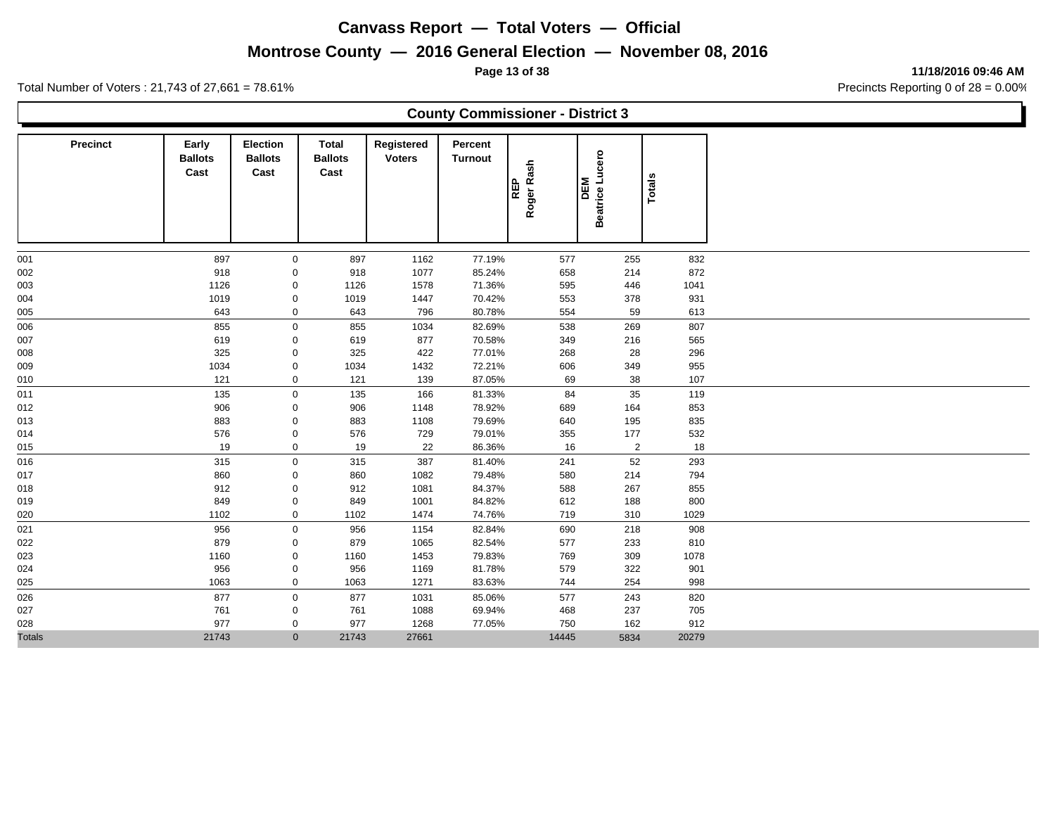## **Montrose County — 2016 General Election — November 08, 2016**

**Page 13 of 38 11/18/2016 09:46 AM**

| <b>County Commissioner - District 3</b> |  |
|-----------------------------------------|--|
|                                         |  |
|                                         |  |

| <b>Precinct</b> | Early<br><b>Ballots</b><br>Cast | Election<br><b>Ballots</b><br>Cast | Total<br><b>Ballots</b><br>Cast | Registered<br><b>Voters</b> | Percent<br>Turnout | Roger Rash<br><b>REP</b> | Beatrice Lucero<br><b>INB</b> | Totals |  |
|-----------------|---------------------------------|------------------------------------|---------------------------------|-----------------------------|--------------------|--------------------------|-------------------------------|--------|--|
| 001             | 897                             | $\mathbf 0$                        | 897                             | 1162                        | 77.19%             | 577                      | 255                           | 832    |  |
| 002             | 918                             | $\mathbf 0$                        | 918                             | 1077                        | 85.24%             | 658                      | 214                           | 872    |  |
| 003             | 1126                            | $\mathbf 0$                        | 1126                            | 1578                        | 71.36%             | 595                      | 446                           | 1041   |  |
| 004             | 1019                            | $\mathbf 0$                        | 1019                            | 1447                        | 70.42%             | 553                      | 378                           | 931    |  |
| 005             | 643                             | $\mathbf 0$                        | 643                             | 796                         | 80.78%             | 554                      | 59                            | 613    |  |
| 006             | 855                             | $\mathsf{O}\xspace$                | 855                             | 1034                        | 82.69%             | 538                      | 269                           | 807    |  |
| 007             | 619                             | $\mathbf 0$                        | 619                             | 877                         | 70.58%             | 349                      | 216                           | 565    |  |
| 008             | 325                             | $\mathbf 0$                        | 325                             | 422                         | 77.01%             | 268                      | 28                            | 296    |  |
| 009             | 1034                            | $\mathbf 0$                        | 1034                            | 1432                        | 72.21%             | 606                      | 349                           | 955    |  |
| 010             | 121                             | $\mathbf 0$                        | 121                             | 139                         | 87.05%             | 69                       | 38                            | 107    |  |
| 011             | 135                             | $\mathbf 0$                        | 135                             | 166                         | 81.33%             | 84                       | 35                            | 119    |  |
| 012             | 906                             | $\mathbf 0$                        | 906                             | 1148                        | 78.92%             | 689                      | 164                           | 853    |  |
| 013             | 883                             | $\mathbf 0$                        | 883                             | 1108                        | 79.69%             | 640                      | 195                           | 835    |  |
| 014             | 576                             | $\mathbf 0$                        | 576                             | 729                         | 79.01%             | 355                      | 177                           | 532    |  |
| 015             | 19                              | $\mathbf 0$                        | 19                              | 22                          | 86.36%             | 16                       | $\overline{2}$                | 18     |  |
| 016             | 315                             | $\mathbf 0$                        | 315                             | 387                         | 81.40%             | 241                      | 52                            | 293    |  |
| 017             | 860                             | $\mathbf 0$                        | 860                             | 1082                        | 79.48%             | 580                      | 214                           | 794    |  |
| 018             | 912                             | $\mathbf 0$                        | 912                             | 1081                        | 84.37%             | 588                      | 267                           | 855    |  |
| 019             | 849                             | $\mathbf 0$                        | 849                             | 1001                        | 84.82%             | 612                      | 188                           | 800    |  |
| 020             | 1102                            | $\mathbf 0$                        | 1102                            | 1474                        | 74.76%             | 719                      | 310                           | 1029   |  |
| 021             | 956                             | $\mathbf 0$                        | 956                             | 1154                        | 82.84%             | 690                      | 218                           | 908    |  |
| 022             | 879                             | $\mathbf 0$                        | 879                             | 1065                        | 82.54%             | 577                      | 233                           | 810    |  |
| 023             | 1160                            | $\mathbf 0$                        | 1160                            | 1453                        | 79.83%             | 769                      | 309                           | 1078   |  |
| 024             | 956                             | $\mathbf 0$                        | 956                             | 1169                        | 81.78%             | 579                      | 322                           | 901    |  |
| 025             | 1063                            | $\mathbf 0$                        | 1063                            | 1271                        | 83.63%             | 744                      | 254                           | 998    |  |
| 026             | 877                             | $\mathsf 0$                        | 877                             | 1031                        | 85.06%             | 577                      | 243                           | 820    |  |
| 027             | 761                             | $\mathbf 0$                        | 761                             | 1088                        | 69.94%             | 468                      | 237                           | 705    |  |
| 028             | 977                             | $\mathbf 0$                        | 977                             | 1268                        | 77.05%             | 750                      | 162                           | 912    |  |
| <b>Totals</b>   | 21743                           | $\mathbf{0}$                       | 21743                           | 27661                       |                    | 14445                    | 5834                          | 20279  |  |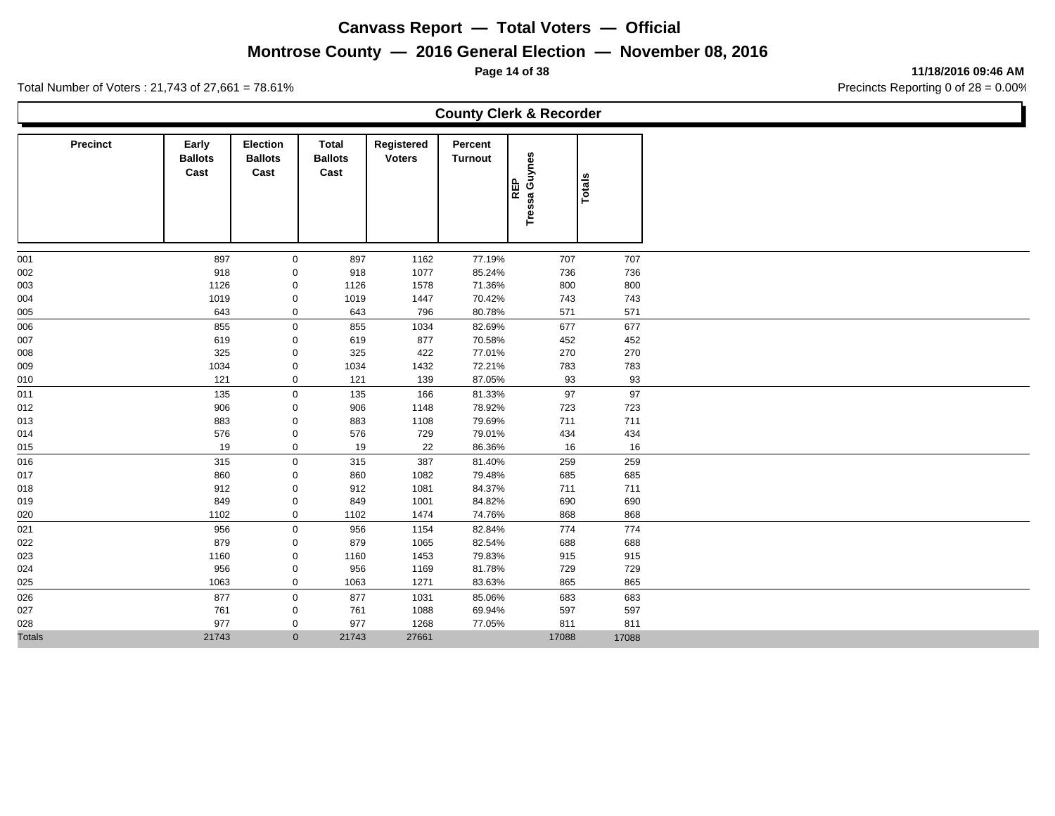# **Montrose County — 2016 General Election — November 08, 2016**

**Page 14 of 38 11/18/2016 09:46 AM**

|                 |                                 |                                    |                                 |                             |                           | <b>County Clerk &amp; Recorder</b> |               |  |
|-----------------|---------------------------------|------------------------------------|---------------------------------|-----------------------------|---------------------------|------------------------------------|---------------|--|
| <b>Precinct</b> | Early<br><b>Ballots</b><br>Cast | Election<br><b>Ballots</b><br>Cast | Total<br><b>Ballots</b><br>Cast | Registered<br><b>Voters</b> | Percent<br><b>Turnout</b> | Guynes<br><b>REP</b><br>Tressa     | <b>Totals</b> |  |
| 001             | 897                             | $\mathbf 0$                        | 897                             | 1162                        | 77.19%                    | 707                                | 707           |  |
| 002             | 918                             | 0                                  | 918                             | 1077                        | 85.24%                    | 736                                | 736           |  |
| 003             | 1126                            | 0                                  | 1126                            | 1578                        | 71.36%                    | 800                                | 800           |  |
| 004             | 1019                            | $\mathbf 0$                        | 1019                            | 1447                        | 70.42%                    | 743                                | 743           |  |
| 005             | 643                             | 0                                  | 643                             | 796                         | 80.78%                    | 571                                | 571           |  |
| 006             | 855                             | $\mathbf 0$                        | 855                             | 1034                        | 82.69%                    | 677                                | 677           |  |
| 007             | 619                             | $\mathbf 0$                        | 619                             | 877                         | 70.58%                    | 452                                | 452           |  |
| 800             | 325                             | $\mathbf 0$                        | 325                             | 422                         | 77.01%                    | 270                                | 270           |  |
| 009             | 1034                            | $\mathbf 0$                        | 1034                            | 1432                        | 72.21%                    | 783                                | 783           |  |
| 010             | 121                             | 0                                  | 121                             | 139                         | 87.05%                    | 93                                 | 93            |  |
| 011             | 135                             | $\mathbf 0$                        | 135                             | 166                         | 81.33%                    | 97                                 | 97            |  |
| 012             | 906                             | 0                                  | 906                             | 1148                        | 78.92%                    | 723                                | 723           |  |
| 013             | 883                             | $\mathbf 0$                        | 883                             | 1108                        | 79.69%                    | 711                                | 711           |  |
| 014             | 576                             | $\mathbf 0$                        | 576                             | 729                         | 79.01%                    | 434                                | 434           |  |
| 015             | 19                              | $\mathbf 0$                        | 19                              | 22                          | 86.36%                    | 16                                 | 16            |  |
| 016             | 315                             | $\mathbf 0$                        | 315                             | 387                         | 81.40%                    | 259                                | 259           |  |
| 017             | 860                             | $\mathbf 0$                        | 860                             | 1082                        | 79.48%                    | 685                                | 685           |  |
| 018             | 912                             | 0                                  | 912                             | 1081                        | 84.37%                    | 711                                | 711           |  |
| 019             | 849                             | 0                                  | 849                             | 1001                        | 84.82%                    | 690                                | 690           |  |
| 020             | 1102                            | $\mathbf 0$                        | 1102                            | 1474                        | 74.76%                    | 868                                | 868           |  |
| 021             | 956                             | 0                                  | 956                             | 1154                        | 82.84%                    | 774                                | 774           |  |
| 022             | 879                             | 0                                  | 879                             | 1065                        | 82.54%                    | 688                                | 688           |  |
| 023             | 1160                            | 0                                  | 1160                            | 1453                        | 79.83%                    | 915                                | 915           |  |
| 024             | 956                             | 0                                  | 956                             | 1169                        | 81.78%                    | 729                                | 729           |  |
| 025             | 1063                            | 0                                  | 1063                            | 1271                        | 83.63%                    | 865                                | 865           |  |
| 026             | 877                             | $\mathbf 0$                        | 877                             | 1031                        | 85.06%                    | 683                                | 683           |  |
| 027             | 761                             | 0                                  | 761                             | 1088                        | 69.94%                    | 597                                | 597           |  |
| 028             | 977                             | 0                                  | 977                             | 1268                        | 77.05%                    | 811                                | 811           |  |
| <b>Totals</b>   | 21743                           | $\overline{0}$                     | 21743                           | 27661                       |                           | 17088                              | 17088         |  |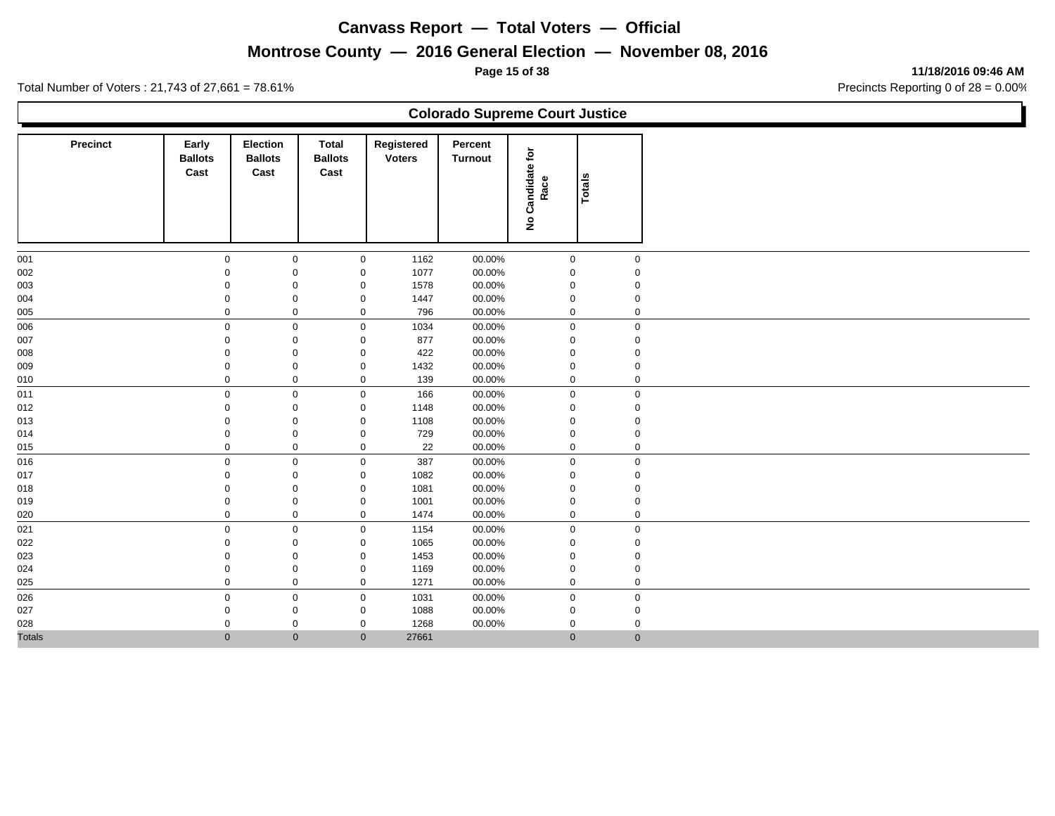# **Montrose County — 2016 General Election — November 08, 2016**

**Page 15 of 38 11/18/2016 09:46 AM**

Ъ

|               |                                 |                                           |                                        |                             | <b>Colorado Supreme Court Justice</b> |                            |              |  |
|---------------|---------------------------------|-------------------------------------------|----------------------------------------|-----------------------------|---------------------------------------|----------------------------|--------------|--|
| Precinct      | Early<br><b>Ballots</b><br>Cast | <b>Election</b><br><b>Ballots</b><br>Cast | <b>Total</b><br><b>Ballots</b><br>Cast | Registered<br><b>Voters</b> | Percent<br><b>Turnout</b>             | Candidate for<br>Race<br>ş | Totals       |  |
| 001           | $\mathbf 0$                     | $\mathbf 0$                               | $\mathbf 0$                            | 1162                        | 00.00%                                | $\mathbf 0$                | $\mathbf 0$  |  |
| 002           | $\mathbf 0$                     | $\mathbf 0$                               | $\mathbf 0$                            | 1077                        | 00.00%                                | 0                          | $\mathbf 0$  |  |
| 003           | 0                               | $\mathbf 0$                               | $\mathbf 0$                            | 1578                        | 00.00%                                | 0                          | 0            |  |
| 004           | 0                               | $\mathbf 0$                               | $\mathbf 0$                            | 1447                        | 00.00%                                | 0                          | 0            |  |
| 005           | $\mathbf 0$                     | $\mathbf 0$                               | $\mathbf 0$                            | 796                         | 00.00%                                | 0                          | 0            |  |
| 006           | $\mathbf 0$                     | $\mathbf 0$                               | $\boldsymbol{0}$                       | 1034                        | 00.00%                                | $\mathbf 0$                | $\mathbf 0$  |  |
| 007           | $\mathbf 0$                     | $\mathbf 0$                               | $\mathbf 0$                            | 877                         | 00.00%                                | 0                          | $\mathbf 0$  |  |
| 800           | $\mathbf 0$                     | $\mathbf 0$                               | $\mathbf 0$                            | 422                         | 00.00%                                | 0                          | $\mathbf 0$  |  |
| 009           | 0                               | $\mathbf 0$                               | $\mathbf 0$                            | 1432                        | 00.00%                                | 0                          | 0            |  |
| 010           | $\mathbf 0$                     | $\mathbf 0$                               | $\mathbf 0$                            | 139                         | 00.00%                                | 0                          | $\mathbf 0$  |  |
| 011           | $\mathbf 0$                     | $\mathbf 0$                               | $\mathbf 0$                            | 166                         | 00.00%                                | $\mathbf 0$                | $\mathbf 0$  |  |
| 012           | $\Omega$                        | $\mathbf 0$                               | 0                                      | 1148                        | 00.00%                                | 0                          | $\mathbf 0$  |  |
| 013           | $\mathbf 0$                     | $\mathbf 0$                               | $\mathbf 0$                            | 1108                        | 00.00%                                | 0                          | 0            |  |
| 014           | $\mathbf 0$                     | $\mathbf 0$                               | $\mathbf 0$                            | 729                         | 00.00%                                | 0                          | 0            |  |
| 015           | $\mathbf 0$                     | $\mathbf 0$                               | $\mathbf 0$                            | 22                          | 00.00%                                | 0                          | 0            |  |
| 016           | $\mathbf 0$                     | $\mathbf 0$                               | $\mathbf 0$                            | 387                         | 00.00%                                | 0                          | $\mathbf 0$  |  |
| 017           | $\Omega$                        | $\mathbf 0$                               | $\mathbf 0$                            | 1082                        | 00.00%                                | 0                          | $\mathbf 0$  |  |
| 018           | $\Omega$                        | $\mathbf 0$                               | 0                                      | 1081                        | 00.00%                                | 0                          | 0            |  |
| 019           | 0                               | $\mathbf 0$                               | $\mathbf 0$                            | 1001                        | 00.00%                                | 0                          | 0            |  |
| 020           | $\mathbf 0$                     | $\mathbf 0$                               | $\mathbf 0$                            | 1474                        | 00.00%                                | 0                          | $\mathbf 0$  |  |
| 021           | $\mathbf 0$                     | $\mathsf{O}\xspace$                       | $\mathbf 0$                            | 1154                        | 00.00%                                | 0                          | $\mathbf 0$  |  |
| 022           | $\mathbf 0$                     | $\mathbf 0$                               | $\mathbf 0$                            | 1065                        | 00.00%                                | $\Omega$                   | $\mathbf 0$  |  |
| 023           | $\mathbf 0$                     | $\mathbf 0$                               | $\mathsf 0$                            | 1453                        | 00.00%                                | 0                          | $\mathbf 0$  |  |
| 024           | $\mathbf 0$                     | $\mathbf 0$                               | $\mathbf 0$                            | 1169                        | 00.00%                                | 0                          | 0            |  |
| 025           | $\mathbf 0$                     | $\mathbf 0$                               | $\mathbf 0$                            | 1271                        | 00.00%                                | 0                          | $\mathbf 0$  |  |
| 026           | $\mathbf 0$                     | $\mathbf 0$                               | $\mathbf 0$                            | 1031                        | 00.00%                                | $\mathbf 0$                | $\mathbf 0$  |  |
| 027           | $\mathbf 0$                     | 0                                         | 0                                      | 1088                        | 00.00%                                | 0                          | 0            |  |
| 028           | 0                               | 0                                         | 0                                      | 1268                        | 00.00%                                | 0                          | 0            |  |
| <b>Totals</b> | $\mathbf{0}$                    | $\mathbf{0}$                              | $\mathbf{0}$                           | 27661                       |                                       | $\mathbf{0}$               | $\mathbf{0}$ |  |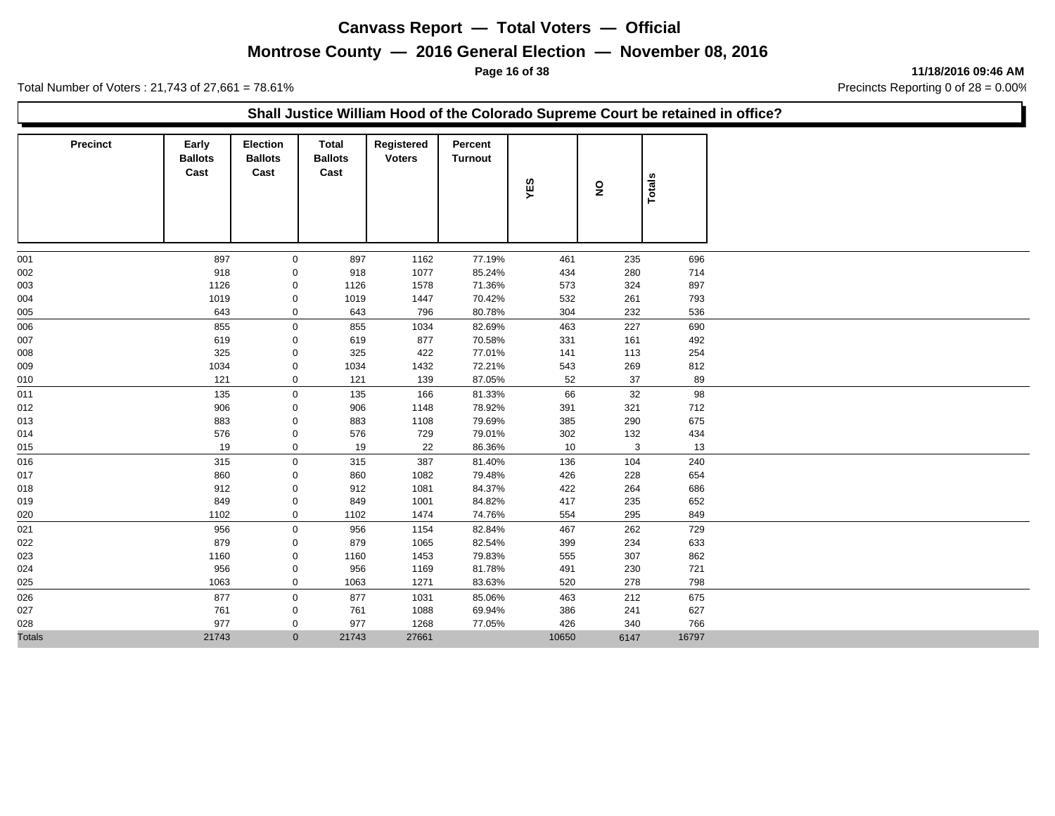## **Montrose County — 2016 General Election — November 08, 2016**

**Page 16 of 38 11/18/2016 09:46 AM**

Total Number of Voters : 21,743 of 27,661 = 78.61% Precincts Reporting 0 of 28 = 0.00%

#### **Shall Justice William Hood of the Colorado Supreme Court be retained in office?**

| <b>Precinct</b> | Early<br><b>Ballots</b><br>Cast | Election<br><b>Ballots</b><br>Cast | Total<br><b>Ballots</b><br>Cast | Registered<br><b>Voters</b> | Percent<br><b>Turnout</b> | YES   | $\overline{\mathbf{z}}$ | Totals |
|-----------------|---------------------------------|------------------------------------|---------------------------------|-----------------------------|---------------------------|-------|-------------------------|--------|
| 001             | 897                             | $\mathbf 0$                        | 897                             | 1162                        | 77.19%                    | 461   | 235                     | 696    |
| 002             | 918                             | 0                                  | 918                             | 1077                        | 85.24%                    | 434   | 280                     | 714    |
| 003             | 1126                            | 0                                  | 1126                            | 1578                        | 71.36%                    | 573   | 324                     | 897    |
| 004             | 1019                            | 0                                  | 1019                            | 1447                        | 70.42%                    | 532   | 261                     | 793    |
| 005             | 643                             | 0                                  | 643                             | 796                         | 80.78%                    | 304   | 232                     | 536    |
| 006             | 855                             | 0                                  | 855                             | 1034                        | 82.69%                    | 463   | 227                     | 690    |
| 007             | 619                             | 0                                  | 619                             | 877                         | 70.58%                    | 331   | 161                     | 492    |
| 008             | 325                             | 0                                  | 325                             | 422                         | 77.01%                    | 141   | 113                     | 254    |
| 009             | 1034                            | 0                                  | 1034                            | 1432                        | 72.21%                    | 543   | 269                     | 812    |
| 010             | 121                             | 0                                  | 121                             | 139                         | 87.05%                    | 52    | 37                      | 89     |
| 011             | 135                             | $\mathbf 0$                        | 135                             | 166                         | 81.33%                    | 66    | 32                      | 98     |
| 012             | 906                             | 0                                  | 906                             | 1148                        | 78.92%                    | 391   | 321                     | 712    |
| 013             | 883                             | 0                                  | 883                             | 1108                        | 79.69%                    | 385   | 290                     | 675    |
| 014             | 576                             | 0                                  | 576                             | 729                         | 79.01%                    | 302   | 132                     | 434    |
| 015             | 19                              | 0                                  | 19                              | 22                          | 86.36%                    | 10    | 3                       | 13     |
| 016             | 315                             | 0                                  | 315                             | 387                         | 81.40%                    | 136   | 104                     | 240    |
| 017             | 860                             | $\mathbf 0$                        | 860                             | 1082                        | 79.48%                    | 426   | 228                     | 654    |
| 018             | 912                             | 0                                  | 912                             | 1081                        | 84.37%                    | 422   | 264                     | 686    |
| 019             | 849                             | 0                                  | 849                             | 1001                        | 84.82%                    | 417   | 235                     | 652    |
| 020             | 1102                            | 0                                  | 1102                            | 1474                        | 74.76%                    | 554   | 295                     | 849    |
| 021             | 956                             | 0                                  | 956                             | 1154                        | 82.84%                    | 467   | 262                     | 729    |
| 022             | 879                             | 0                                  | 879                             | 1065                        | 82.54%                    | 399   | 234                     | 633    |
| 023             | 1160                            | 0                                  | 1160                            | 1453                        | 79.83%                    | 555   | 307                     | 862    |
| 024             | 956                             | 0                                  | 956                             | 1169                        | 81.78%                    | 491   | 230                     | 721    |
| 025             | 1063                            | 0                                  | 1063                            | 1271                        | 83.63%                    | 520   | 278                     | 798    |
| 026             | 877                             | $\mathbf{0}$                       | 877                             | 1031                        | 85.06%                    | 463   | 212                     | 675    |
| 027             | 761                             | 0                                  | 761                             | 1088                        | 69.94%                    | 386   | 241                     | 627    |
| 028             | 977                             | 0                                  | 977                             | 1268                        | 77.05%                    | 426   | 340                     | 766    |
| <b>Totals</b>   | 21743                           | $\mathbf{0}$                       | 21743                           | 27661                       |                           | 10650 | 6147                    | 16797  |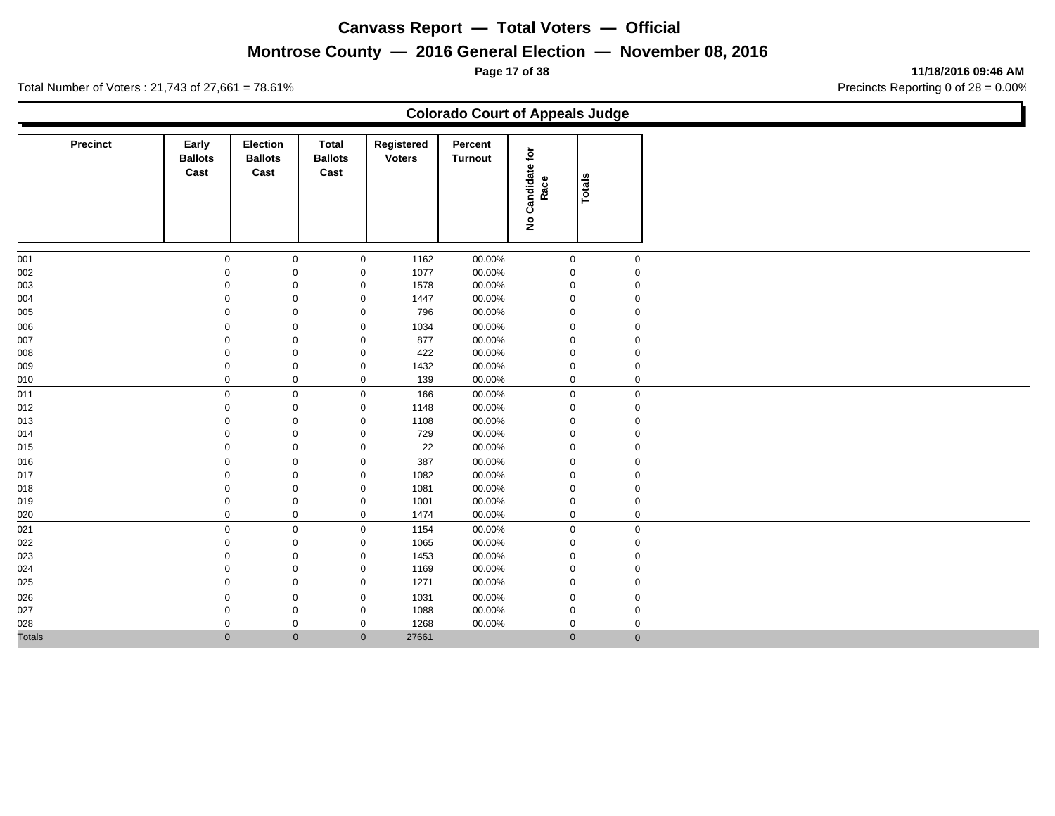## **Montrose County — 2016 General Election — November 08, 2016**

**Page 17 of 38 11/18/2016 09:46 AM**

Ъ

|                 |                                 |                                           |                                        |                             | <b>Colorado Court of Appeals Judge</b> |                                             |              |  |
|-----------------|---------------------------------|-------------------------------------------|----------------------------------------|-----------------------------|----------------------------------------|---------------------------------------------|--------------|--|
| <b>Precinct</b> | Early<br><b>Ballots</b><br>Cast | <b>Election</b><br><b>Ballots</b><br>Cast | <b>Total</b><br><b>Ballots</b><br>Cast | Registered<br><b>Voters</b> | Percent<br><b>Turnout</b>              | Candidate for<br>Race<br>$\hat{\mathbf{z}}$ | Totals       |  |
| 001             | 0                               | $\mathbf 0$                               | $\mathbf 0$                            | 1162                        | 00.00%                                 | 0                                           | $\mathbf 0$  |  |
| 002             | $\mathbf 0$                     | $\mathbf 0$                               | $\mathsf 0$                            | 1077                        | 00.00%                                 | 0                                           | $\mathbf 0$  |  |
| 003             | $\Omega$                        | $\mathbf 0$                               | $\mathbf 0$                            | 1578                        | 00.00%                                 | 0                                           | $\Omega$     |  |
| 004             | 0                               | $\mathbf 0$                               | $\mathbf 0$                            | 1447                        | 00.00%                                 | 0                                           | 0            |  |
| 005             | $\mathbf 0$                     | $\mathbf 0$                               | $\mathbf 0$                            | 796                         | 00.00%                                 | 0                                           | $\mathbf 0$  |  |
| 006             | $\mathbf 0$                     | $\mathbf 0$                               | $\mathbf 0$                            | 1034                        | 00.00%                                 | $\mathsf{O}$                                | $\mathbf 0$  |  |
| 007             | $\Omega$                        | $\mathbf 0$                               | $\mathbf 0$                            | 877                         | 00.00%                                 | 0                                           | $\mathbf 0$  |  |
| 800             | $\Omega$                        | $\mathbf 0$                               | $\mathbf 0$                            | 422                         | 00.00%                                 | 0                                           | $\mathbf 0$  |  |
| 009             | $\mathbf 0$                     | $\mathbf 0$                               | $\mathbf 0$                            | 1432                        | 00.00%                                 | 0                                           | 0            |  |
| 010             | $\mathbf 0$                     | $\mathbf 0$                               | $\mathbf 0$                            | 139                         | 00.00%                                 | 0                                           | $\mathbf 0$  |  |
| 011             | $\mathbf 0$                     | $\mathbf 0$                               | $\mathbf 0$                            | 166                         | 00.00%                                 | $\mathbf 0$                                 | 0            |  |
| 012             | $\Omega$                        | $\mathbf 0$                               | $\mathbf 0$                            | 1148                        | 00.00%                                 | 0                                           | $\mathbf 0$  |  |
| 013             | $\mathbf 0$                     | $\mathbf 0$                               | $\mathbf 0$                            | 1108                        | 00.00%                                 | 0                                           | 0            |  |
| 014             | $\Omega$                        | $\mathsf 0$                               | $\mathsf 0$                            | 729                         | 00.00%                                 | 0                                           | $\mathbf 0$  |  |
| 015             | $\mathbf 0$                     | $\mathbf 0$                               | $\mathbf 0$                            | 22                          | 00.00%                                 | 0                                           | $\mathbf{0}$ |  |
| 016             | $\mathbf 0$                     | $\mathbf 0$                               | $\mathbf 0$                            | 387                         | 00.00%                                 | $\mathsf{O}$                                | $\mathsf{O}$ |  |
| 017             | $\mathbf 0$                     | $\mathsf 0$                               | $\mathsf 0$                            | 1082                        | 00.00%                                 | $\mathbf 0$                                 | 0            |  |
| 018             | $\Omega$                        | $\mathbf 0$                               | $\mathbf 0$                            | 1081                        | 00.00%                                 | 0                                           | $\mathbf 0$  |  |
| 019             | 0                               | $\mathbf 0$                               | $\mathbf 0$                            | 1001                        | 00.00%                                 | 0                                           | 0            |  |
| 020             | $\mathbf 0$                     | $\mathsf{O}\xspace$                       | $\mathbf 0$                            | 1474                        | 00.00%                                 | 0                                           | $\mathbf 0$  |  |
| 021             | $\mathbf 0$                     | $\mathbf 0$                               | $\boldsymbol{0}$                       | 1154                        | 00.00%                                 | $\mathbf 0$                                 | $\mathbf 0$  |  |
| 022             | $\mathbf 0$                     | $\mathbf 0$                               | $\mathsf 0$                            | 1065                        | 00.00%                                 | 0                                           | $\mathbf 0$  |  |
| 023             | $\mathbf 0$                     | $\mathsf 0$                               | $\mathsf 0$                            | 1453                        | 00.00%                                 | 0                                           | $\mathbf 0$  |  |
| 024             | 0                               | $\mathbf 0$                               | $\mathbf 0$                            | 1169                        | 00.00%                                 | 0                                           | 0            |  |
| 025             | $\mathbf 0$                     | $\mathbf 0$                               | $\mathbf 0$                            | 1271                        | 00.00%                                 | 0                                           | $\mathsf{O}$ |  |
| 026             | $\mathbf 0$                     | $\mathbf 0$                               | $\mathbf 0$                            | 1031                        | 00.00%                                 | 0                                           | $\mathbf 0$  |  |
| 027             | $\mathbf 0$                     | $\mathbf 0$                               | $\mathbf 0$                            | 1088                        | 00.00%                                 | 0                                           | 0            |  |
| 028             | 0                               | $\mathbf 0$                               | $\mathbf 0$                            | 1268                        | 00.00%                                 | 0                                           | 0            |  |
| <b>Totals</b>   | $\mathbf{0}$                    | $\mathbf{0}$                              | $\mathbf{0}$                           | 27661                       |                                        | $\overline{0}$                              | $\mathbf{0}$ |  |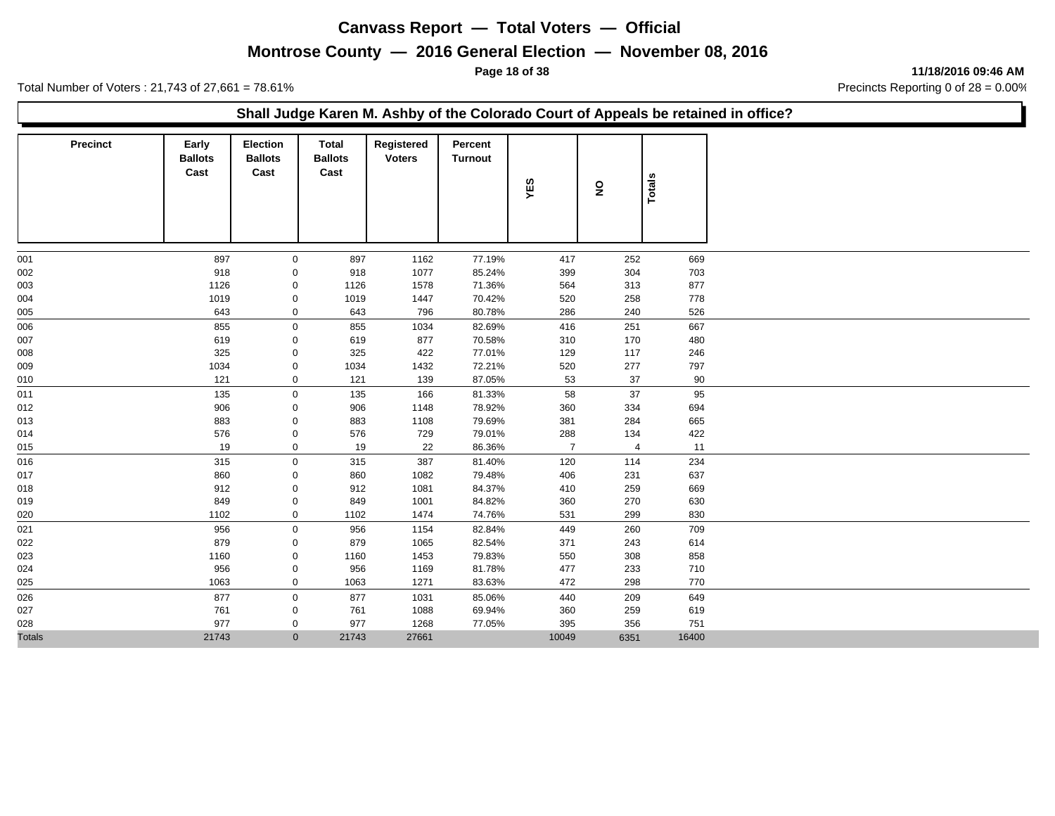## **Montrose County — 2016 General Election — November 08, 2016**

**Page 18 of 38 11/18/2016 09:46 AM**

Total Number of Voters : 21,743 of 27,661 = 78.61% Precincts Reporting 0 of 28 = 0.00%

#### **Shall Judge Karen M. Ashby of the Colorado Court of Appeals be retained in office?**

| <b>Precinct</b> | Early<br><b>Ballots</b><br>Cast | Election<br><b>Ballots</b><br>Cast | <b>Total</b><br><b>Ballots</b><br>Cast | Registered<br><b>Voters</b> | Percent<br><b>Turnout</b> | YES            | ş              | Totals |
|-----------------|---------------------------------|------------------------------------|----------------------------------------|-----------------------------|---------------------------|----------------|----------------|--------|
| 001             | 897                             | $\mathbf 0$                        | 897                                    | 1162                        | 77.19%                    | 417            | 252            | 669    |
| 002             | 918                             | 0                                  | 918                                    | 1077                        | 85.24%                    | 399            | 304            | 703    |
| 003             | 1126                            | 0                                  | 1126                                   | 1578                        | 71.36%                    | 564            | 313            | 877    |
| 004             | 1019                            | $\pmb{0}$                          | 1019                                   | 1447                        | 70.42%                    | 520            | 258            | 778    |
| 005             | 643                             | $\mathbf 0$                        | 643                                    | 796                         | 80.78%                    | 286            | 240            | 526    |
| 006             | 855                             | $\mathbf 0$                        | 855                                    | 1034                        | 82.69%                    | 416            | 251            | 667    |
| 007             | 619                             | $\mathbf 0$                        | 619                                    | 877                         | 70.58%                    | 310            | 170            | 480    |
| 008             | 325                             | 0                                  | 325                                    | 422                         | 77.01%                    | 129            | 117            | 246    |
| 009             | 1034                            | $\mathbf 0$                        | 1034                                   | 1432                        | 72.21%                    | 520            | 277            | 797    |
| 010             | 121                             | $\mathbf 0$                        | 121                                    | 139                         | 87.05%                    | 53             | 37             | 90     |
| 011             | 135                             | $\mathbf 0$                        | 135                                    | 166                         | 81.33%                    | 58             | 37             | 95     |
| 012             | 906                             | 0                                  | 906                                    | 1148                        | 78.92%                    | 360            | 334            | 694    |
| 013             | 883                             | 0                                  | 883                                    | 1108                        | 79.69%                    | 381            | 284            | 665    |
| 014             | 576                             | $\pmb{0}$                          | 576                                    | 729                         | 79.01%                    | 288            | 134            | 422    |
| 015             | 19                              | $\mathsf{O}\xspace$                | 19                                     | 22                          | 86.36%                    | $\overline{7}$ | $\overline{4}$ | 11     |
| 016             | 315                             | $\mathsf{O}\xspace$                | 315                                    | 387                         | 81.40%                    | 120            | 114            | 234    |
| 017             | 860                             | $\mathbf 0$                        | 860                                    | 1082                        | 79.48%                    | 406            | 231            | 637    |
| 018             | 912                             | 0                                  | 912                                    | 1081                        | 84.37%                    | 410            | 259            | 669    |
| 019             | 849                             | 0                                  | 849                                    | 1001                        | 84.82%                    | 360            | 270            | 630    |
| 020             | 1102                            | $\mathbf 0$                        | 1102                                   | 1474                        | 74.76%                    | 531            | 299            | 830    |
| 021             | 956                             | $\mathbf 0$                        | 956                                    | 1154                        | 82.84%                    | 449            | 260            | 709    |
| 022             | 879                             | 0                                  | 879                                    | 1065                        | 82.54%                    | 371            | 243            | 614    |
| 023             | 1160                            | $\mathbf 0$                        | 1160                                   | 1453                        | 79.83%                    | 550            | 308            | 858    |
| 024             | 956                             | 0                                  | 956                                    | 1169                        | 81.78%                    | 477            | 233            | 710    |
| 025             | 1063                            | 0                                  | 1063                                   | 1271                        | 83.63%                    | 472            | 298            | 770    |
| 026             | 877                             | $\mathbf 0$                        | 877                                    | 1031                        | 85.06%                    | 440            | 209            | 649    |
| 027             | 761                             | 0                                  | 761                                    | 1088                        | 69.94%                    | 360            | 259            | 619    |
| 028             | 977                             | $\mathbf 0$                        | 977                                    | 1268                        | 77.05%                    | 395            | 356            | 751    |
| <b>Totals</b>   | 21743                           | $\mathbf{0}$                       | 21743                                  | 27661                       |                           | 10049          | 6351           | 16400  |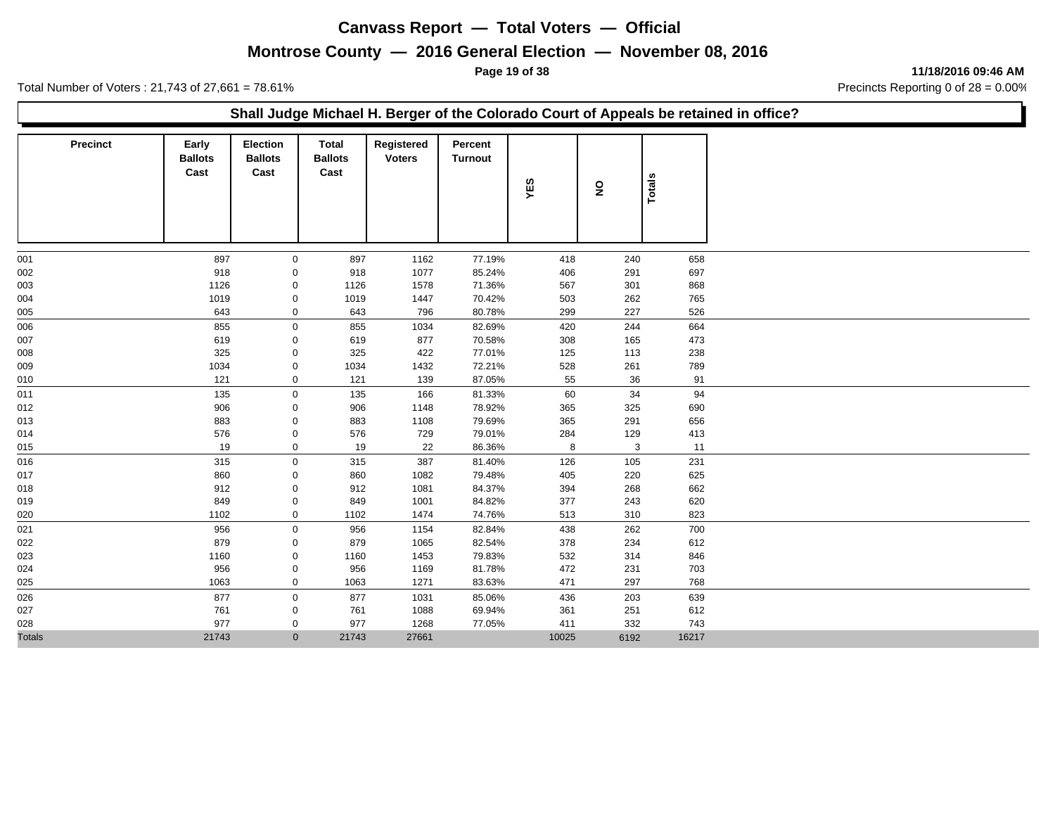## **Montrose County — 2016 General Election — November 08, 2016**

**Page 19 of 38 11/18/2016 09:46 AM**

Total Number of Voters : 21,743 of 27,661 = 78.61% Precincts Reporting 0 of 28 = 0.00%

#### **Shall Judge Michael H. Berger of the Colorado Court of Appeals be retained in office?**

| <b>Precinct</b> | Early<br><b>Ballots</b><br>Cast | <b>Election</b><br><b>Ballots</b><br>Cast | <b>Total</b><br><b>Ballots</b><br>Cast | Registered<br><b>Voters</b> | Percent<br><b>Turnout</b> | YES   | $\overline{\mathbf{z}}$ | Totals |
|-----------------|---------------------------------|-------------------------------------------|----------------------------------------|-----------------------------|---------------------------|-------|-------------------------|--------|
| 001             | 897                             | $\mathbf 0$                               | 897                                    | 1162                        | 77.19%                    | 418   | 240                     | 658    |
| 002             | 918                             | 0                                         | 918                                    | 1077                        | 85.24%                    | 406   | 291                     | 697    |
| 003             | 1126                            | $\mathbf 0$                               | 1126                                   | 1578                        | 71.36%                    | 567   | 301                     | 868    |
| 004             | 1019                            | 0                                         | 1019                                   | 1447                        | 70.42%                    | 503   | 262                     | 765    |
| 005             | 643                             | 0                                         | 643                                    | 796                         | 80.78%                    | 299   | 227                     | 526    |
| 006             | 855                             | $\mathbf 0$                               | 855                                    | 1034                        | 82.69%                    | 420   | 244                     | 664    |
| 007             | 619                             | 0                                         | 619                                    | 877                         | 70.58%                    | 308   | 165                     | 473    |
| 008             | 325                             | 0                                         | 325                                    | 422                         | 77.01%                    | 125   | 113                     | 238    |
| 009             | 1034                            | 0                                         | 1034                                   | 1432                        | 72.21%                    | 528   | 261                     | 789    |
| 010             | 121                             | 0                                         | 121                                    | 139                         | 87.05%                    | 55    | 36                      | 91     |
| 011             | 135                             | $\mathbf 0$                               | 135                                    | 166                         | 81.33%                    | 60    | 34                      | 94     |
| 012             | 906                             | $\mathbf 0$                               | 906                                    | 1148                        | 78.92%                    | 365   | 325                     | 690    |
| 013             | 883                             | 0                                         | 883                                    | 1108                        | 79.69%                    | 365   | 291                     | 656    |
| 014             | 576                             | 0                                         | 576                                    | 729                         | 79.01%                    | 284   | 129                     | 413    |
| 015             | 19                              | 0                                         | 19                                     | 22                          | 86.36%                    | 8     | 3                       | 11     |
| 016             | 315                             | $\mathbf 0$                               | 315                                    | 387                         | 81.40%                    | 126   | 105                     | 231    |
| 017             | 860                             | 0                                         | 860                                    | 1082                        | 79.48%                    | 405   | 220                     | 625    |
| 018             | 912                             | 0                                         | 912                                    | 1081                        | 84.37%                    | 394   | 268                     | 662    |
| 019             | 849                             | 0                                         | 849                                    | 1001                        | 84.82%                    | 377   | 243                     | 620    |
| 020             | 1102                            | 0                                         | 1102                                   | 1474                        | 74.76%                    | 513   | 310                     | 823    |
| 021             | 956                             | $\mathbf 0$                               | 956                                    | 1154                        | 82.84%                    | 438   | 262                     | 700    |
| 022             | 879                             | 0                                         | 879                                    | 1065                        | 82.54%                    | 378   | 234                     | 612    |
| 023             | 1160                            | 0                                         | 1160                                   | 1453                        | 79.83%                    | 532   | 314                     | 846    |
| 024             | 956                             | 0                                         | 956                                    | 1169                        | 81.78%                    | 472   | 231                     | 703    |
| 025             | 1063                            | 0                                         | 1063                                   | 1271                        | 83.63%                    | 471   | 297                     | 768    |
| 026             | 877                             | $\mathbf{0}$                              | 877                                    | 1031                        | 85.06%                    | 436   | 203                     | 639    |
| 027             | 761                             | $\mathbf 0$                               | 761                                    | 1088                        | 69.94%                    | 361   | 251                     | 612    |
| 028             | 977                             | 0                                         | 977                                    | 1268                        | 77.05%                    | 411   | 332                     | 743    |
| <b>Totals</b>   | 21743                           | $\mathbf{0}$                              | 21743                                  | 27661                       |                           | 10025 | 6192                    | 16217  |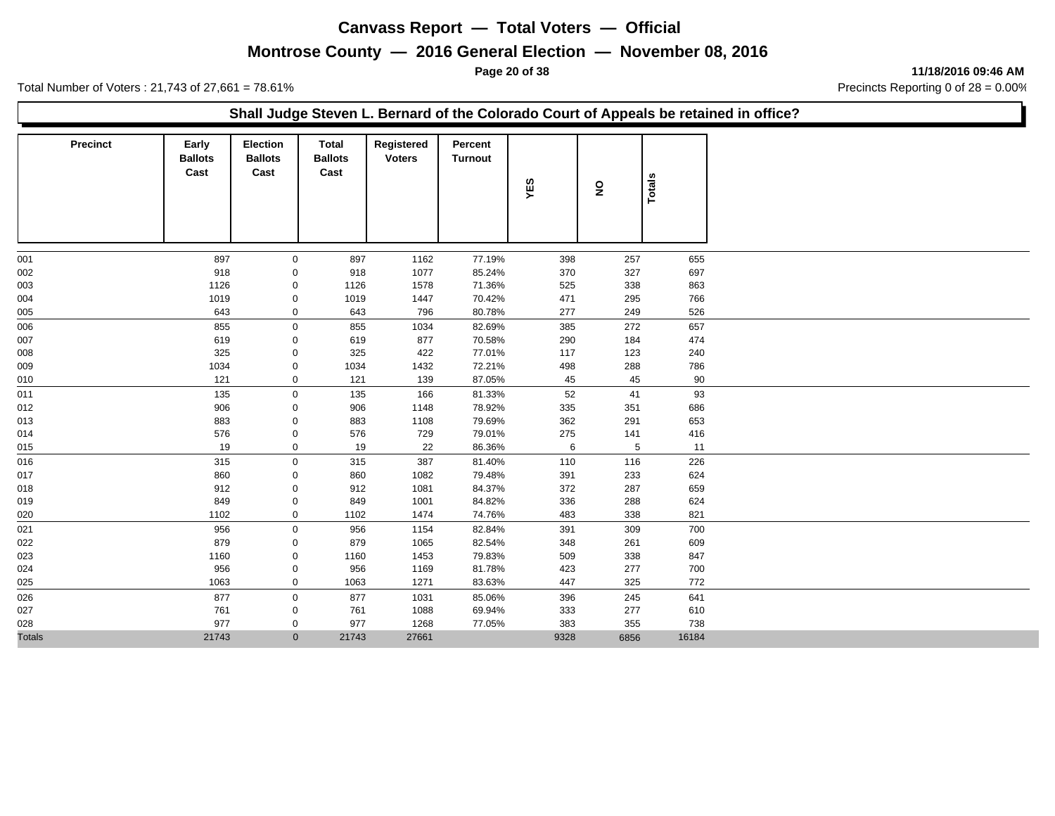## **Montrose County — 2016 General Election — November 08, 2016**

**Page 20 of 38 11/18/2016 09:46 AM**

Total Number of Voters : 21,743 of 27,661 = 78.61% Precincts Reporting 0 of 28 = 0.00%

#### **Shall Judge Steven L. Bernard of the Colorado Court of Appeals be retained in office?**

| <b>Precinct</b> | Early<br><b>Ballots</b><br>Cast | <b>Election</b><br><b>Ballots</b><br>Cast | <b>Total</b><br><b>Ballots</b><br>Cast | Registered<br><b>Voters</b> | Percent<br>Turnout | YES  | $\mathbf{S}$ | Totals |
|-----------------|---------------------------------|-------------------------------------------|----------------------------------------|-----------------------------|--------------------|------|--------------|--------|
| 001             | 897                             | $\mathbf 0$                               | 897                                    | 1162                        | 77.19%             | 398  | 257          | 655    |
| 002             | 918                             | 0                                         | 918                                    | 1077                        | 85.24%             | 370  | 327          | 697    |
| 003             | 1126                            | 0                                         | 1126                                   | 1578                        | 71.36%             | 525  | 338          | 863    |
| 004             | 1019                            | 0                                         | 1019                                   | 1447                        | 70.42%             | 471  | 295          | 766    |
| 005             | 643                             | $\mathbf 0$                               | 643                                    | 796                         | 80.78%             | 277  | 249          | 526    |
| 006             | 855                             | $\mathbf 0$                               | 855                                    | 1034                        | 82.69%             | 385  | 272          | 657    |
| 007             | 619                             | $\mathbf 0$                               | 619                                    | 877                         | 70.58%             | 290  | 184          | 474    |
| 008             | 325                             | 0                                         | 325                                    | 422                         | 77.01%             | 117  | 123          | 240    |
| 009             | 1034                            | $\mathbf 0$                               | 1034                                   | 1432                        | 72.21%             | 498  | 288          | 786    |
| 010             | 121                             | $\mathbf 0$                               | 121                                    | 139                         | 87.05%             | 45   | 45           | 90     |
| 011             | 135                             | $\mathbf 0$                               | 135                                    | 166                         | 81.33%             | 52   | 41           | 93     |
| 012             | 906                             | 0                                         | 906                                    | 1148                        | 78.92%             | 335  | 351          | 686    |
| 013             | 883                             | 0                                         | 883                                    | 1108                        | 79.69%             | 362  | 291          | 653    |
| 014             | 576                             | 0                                         | 576                                    | 729                         | 79.01%             | 275  | 141          | 416    |
| 015             | 19                              | $\mathbf 0$                               | 19                                     | 22                          | 86.36%             | 6    | 5            | 11     |
| 016             | 315                             | $\mathsf{O}\xspace$                       | 315                                    | 387                         | 81.40%             | 110  | 116          | 226    |
| 017             | 860                             | 0                                         | 860                                    | 1082                        | 79.48%             | 391  | 233          | 624    |
| 018             | 912                             | 0                                         | 912                                    | 1081                        | 84.37%             | 372  | 287          | 659    |
| 019             | 849                             | $\mathbf 0$                               | 849                                    | 1001                        | 84.82%             | 336  | 288          | 624    |
| 020             | 1102                            | $\mathbf 0$                               | 1102                                   | 1474                        | 74.76%             | 483  | 338          | 821    |
| 021             | 956                             | $\mathbf 0$                               | 956                                    | 1154                        | 82.84%             | 391  | 309          | 700    |
| 022             | 879                             | $\mathbf 0$                               | 879                                    | 1065                        | 82.54%             | 348  | 261          | 609    |
| 023             | 1160                            | 0                                         | 1160                                   | 1453                        | 79.83%             | 509  | 338          | 847    |
| 024             | 956                             | 0                                         | 956                                    | 1169                        | 81.78%             | 423  | 277          | 700    |
| 025             | 1063                            | $\mathbf 0$                               | 1063                                   | 1271                        | 83.63%             | 447  | 325          | 772    |
| 026             | 877                             | $\mathbf 0$                               | 877                                    | 1031                        | 85.06%             | 396  | 245          | 641    |
| 027             | 761                             | 0                                         | 761                                    | 1088                        | 69.94%             | 333  | 277          | 610    |
| 028             | 977                             | 0                                         | 977                                    | 1268                        | 77.05%             | 383  | 355          | 738    |
| <b>Totals</b>   | 21743                           | $\mathbf{0}$                              | 21743                                  | 27661                       |                    | 9328 | 6856         | 16184  |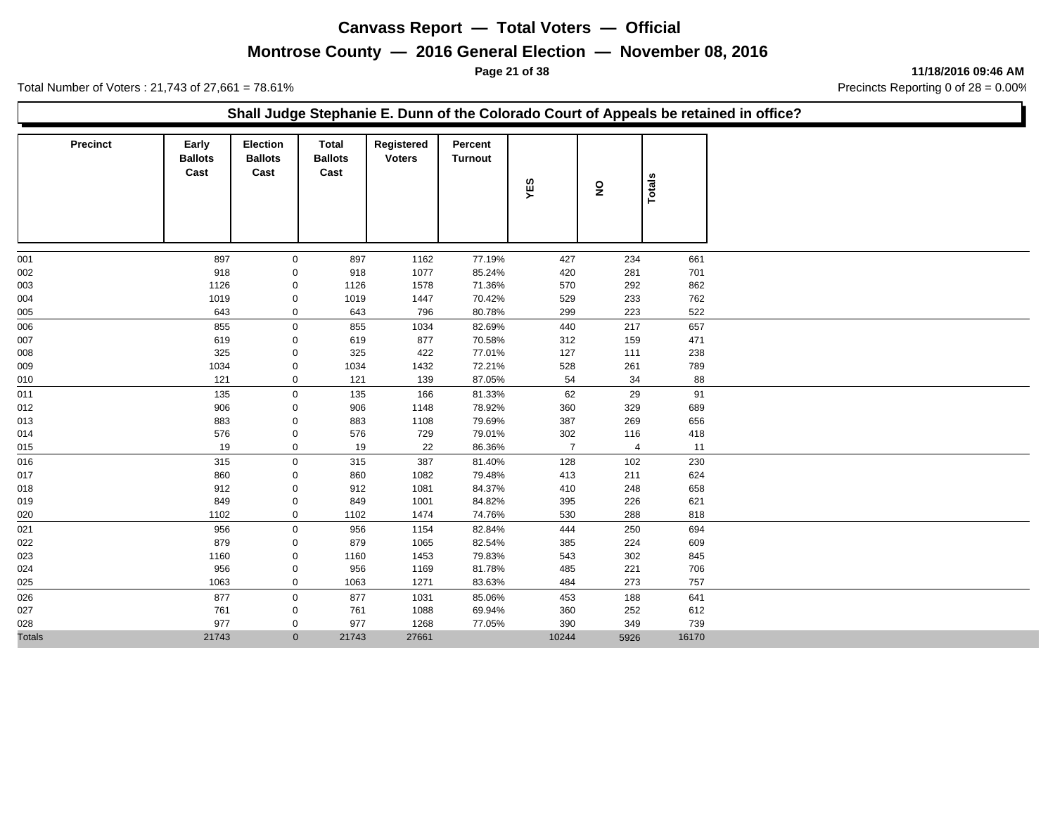## **Montrose County — 2016 General Election — November 08, 2016**

**Page 21 of 38 11/18/2016 09:46 AM**

Total Number of Voters : 21,743 of 27,661 = 78.61% Precincts Reporting 0 of 28 = 0.00%

#### **Shall Judge Stephanie E. Dunn of the Colorado Court of Appeals be retained in office?**

| <b>Precinct</b> | Early<br><b>Ballots</b><br>Cast | Election<br><b>Ballots</b><br>Cast | Total<br><b>Ballots</b><br>Cast | Registered<br><b>Voters</b> | Percent<br><b>Turnout</b> | YES            | ş              | Totals |
|-----------------|---------------------------------|------------------------------------|---------------------------------|-----------------------------|---------------------------|----------------|----------------|--------|
| 001             | 897                             | 0                                  | 897                             | 1162                        | 77.19%                    | 427            | 234            | 661    |
| 002             | 918                             | 0                                  | 918                             | 1077                        | 85.24%                    | 420            | 281            | 701    |
| 003             | 1126                            | 0                                  | 1126                            | 1578                        | 71.36%                    | 570            | 292            | 862    |
| 004             | 1019                            | $\mathbf 0$                        | 1019                            | 1447                        | 70.42%                    | 529            | 233            | 762    |
| 005             | 643                             | $\mathbf 0$                        | 643                             | 796                         | 80.78%                    | 299            | 223            | 522    |
| 006             | 855                             | $\mathbf 0$                        | 855                             | 1034                        | 82.69%                    | 440            | 217            | 657    |
| 007             | 619                             | 0                                  | 619                             | 877                         | 70.58%                    | 312            | 159            | 471    |
| 008             | 325                             | 0                                  | 325                             | 422                         | 77.01%                    | 127            | 111            | 238    |
| 009             | 1034                            | 0                                  | 1034                            | 1432                        | 72.21%                    | 528            | 261            | 789    |
| 010             | 121                             | $\mathbf 0$                        | 121                             | 139                         | 87.05%                    | 54             | 34             | 88     |
| 011             | 135                             | $\mathsf{O}$                       | 135                             | 166                         | 81.33%                    | 62             | 29             | 91     |
| 012             | 906                             | 0                                  | 906                             | 1148                        | 78.92%                    | 360            | 329            | 689    |
| 013             | 883                             | 0                                  | 883                             | 1108                        | 79.69%                    | 387            | 269            | 656    |
| 014             | 576                             | $\pmb{0}$                          | 576                             | 729                         | 79.01%                    | 302            | 116            | 418    |
| 015             | 19                              | $\mathsf 0$                        | 19                              | 22                          | 86.36%                    | $\overline{7}$ | $\overline{4}$ | 11     |
| 016             | 315                             | $\mathsf{O}$                       | 315                             | 387                         | 81.40%                    | 128            | 102            | 230    |
| 017             | 860                             | $\mathbf 0$                        | 860                             | 1082                        | 79.48%                    | 413            | 211            | 624    |
| 018             | 912                             | 0                                  | 912                             | 1081                        | 84.37%                    | 410            | 248            | 658    |
| 019             | 849                             | 0                                  | 849                             | 1001                        | 84.82%                    | 395            | 226            | 621    |
| 020             | 1102                            | $\mathbf 0$                        | 1102                            | 1474                        | 74.76%                    | 530            | 288            | 818    |
| 021             | 956                             | $\mathbf 0$                        | 956                             | 1154                        | 82.84%                    | 444            | 250            | 694    |
| 022             | 879                             | $\pmb{0}$                          | 879                             | 1065                        | 82.54%                    | 385            | 224            | 609    |
| 023             | 1160                            | $\mathbf 0$                        | 1160                            | 1453                        | 79.83%                    | 543            | 302            | 845    |
| 024             | 956                             | 0                                  | 956                             | 1169                        | 81.78%                    | 485            | 221            | 706    |
| 025             | 1063                            | $\mathbf 0$                        | 1063                            | 1271                        | 83.63%                    | 484            | 273            | 757    |
| 026             | 877                             | $\mathbf 0$                        | 877                             | 1031                        | 85.06%                    | 453            | 188            | 641    |
| 027             | 761                             | 0                                  | 761                             | 1088                        | 69.94%                    | 360            | 252            | 612    |
| 028             | 977                             | 0                                  | 977                             | 1268                        | 77.05%                    | 390            | 349            | 739    |
| <b>Totals</b>   | 21743                           | $\mathbf{0}$                       | 21743                           | 27661                       |                           | 10244          | 5926           | 16170  |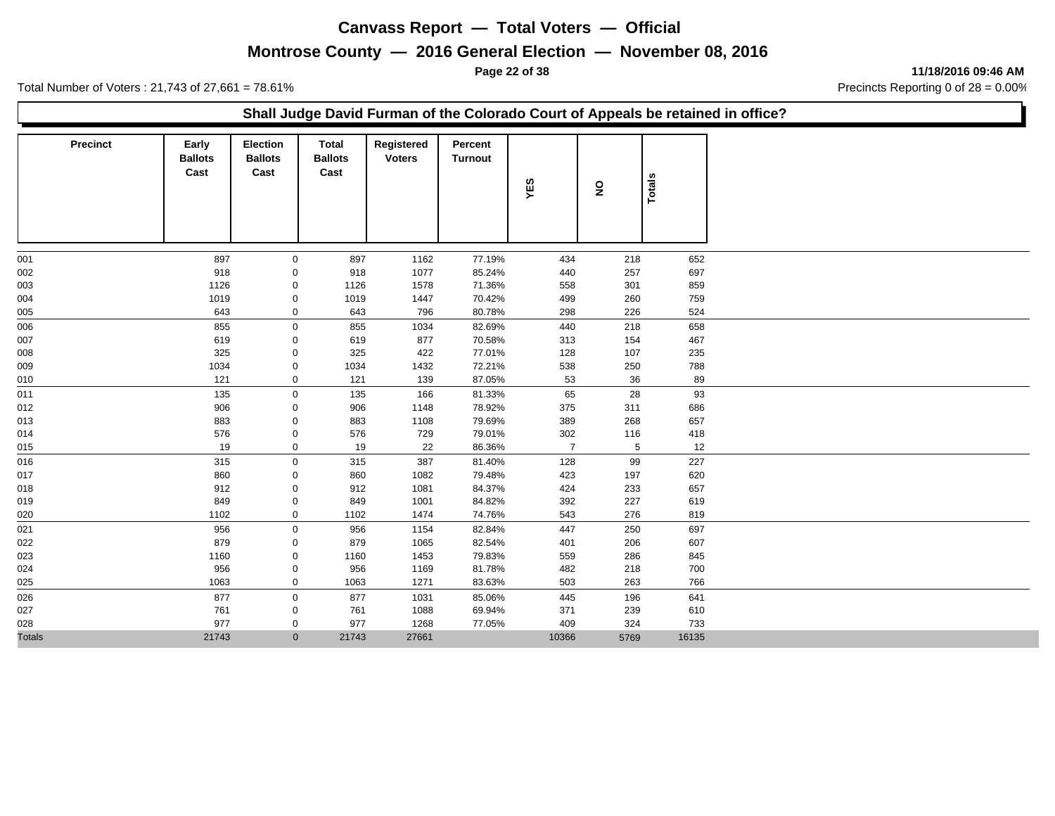## **Montrose County — 2016 General Election — November 08, 2016**

**Page 22 of 38 11/18/2016 09:46 AM**

Total Number of Voters : 21,743 of 27,661 = 78.61% Precincts Reporting 0 of 28 = 0.00%

#### **Shall Judge David Furman of the Colorado Court of Appeals be retained in office?**

| <b>Precinct</b> | Early<br><b>Ballots</b><br>Cast | <b>Election</b><br><b>Ballots</b><br>Cast | Total<br><b>Ballots</b><br>Cast | Registered<br><b>Voters</b> | Percent<br><b>Turnout</b> | YES            | $\overline{\mathbf{z}}$ | <b>Totals</b> |
|-----------------|---------------------------------|-------------------------------------------|---------------------------------|-----------------------------|---------------------------|----------------|-------------------------|---------------|
| 001             | 897                             | $\mathbf 0$                               | 897                             | 1162                        | 77.19%                    | 434            | 218                     | 652           |
| 002             | 918                             | 0                                         | 918                             | 1077                        | 85.24%                    | 440            | 257                     | 697           |
| 003             | 1126                            | 0                                         | 1126                            | 1578                        | 71.36%                    | 558            | 301                     | 859           |
| 004             | 1019                            | 0                                         | 1019                            | 1447                        | 70.42%                    | 499            | 260                     | 759           |
| 005             | 643                             | 0                                         | 643                             | 796                         | 80.78%                    | 298            | 226                     | 524           |
| 006             | 855                             | $\mathbf 0$                               | 855                             | 1034                        | 82.69%                    | 440            | 218                     | 658           |
| 007             | 619                             | 0                                         | 619                             | 877                         | 70.58%                    | 313            | 154                     | 467           |
| 008             | 325                             | 0                                         | 325                             | 422                         | 77.01%                    | 128            | 107                     | 235           |
| 009             | 1034                            | $\mathbf 0$                               | 1034                            | 1432                        | 72.21%                    | 538            | 250                     | 788           |
| 010             | 121                             | 0                                         | 121                             | 139                         | 87.05%                    | 53             | 36                      | 89            |
| 011             | 135                             | $\mathbf 0$                               | 135                             | 166                         | 81.33%                    | 65             | 28                      | 93            |
| 012             | 906                             | 0                                         | 906                             | 1148                        | 78.92%                    | 375            | 311                     | 686           |
| 013             | 883                             | 0                                         | 883                             | 1108                        | 79.69%                    | 389            | 268                     | 657           |
| 014             | 576                             | 0                                         | 576                             | 729                         | 79.01%                    | 302            | 116                     | 418           |
| 015             | 19                              | 0                                         | 19                              | 22                          | 86.36%                    | $\overline{7}$ | $\overline{5}$          | 12            |
| 016             | 315                             | $\mathbf 0$                               | 315                             | 387                         | 81.40%                    | 128            | 99                      | 227           |
| 017             | 860                             | 0                                         | 860                             | 1082                        | 79.48%                    | 423            | 197                     | 620           |
| 018             | 912                             | 0                                         | 912                             | 1081                        | 84.37%                    | 424            | 233                     | 657           |
| 019             | 849                             | 0                                         | 849                             | 1001                        | 84.82%                    | 392            | 227                     | 619           |
| 020             | 1102                            | 0                                         | 1102                            | 1474                        | 74.76%                    | 543            | 276                     | 819           |
| 021             | 956                             | $\mathsf{O}\xspace$                       | 956                             | 1154                        | 82.84%                    | 447            | 250                     | 697           |
| 022             | 879                             | 0                                         | 879                             | 1065                        | 82.54%                    | 401            | 206                     | 607           |
| 023             | 1160                            | 0                                         | 1160                            | 1453                        | 79.83%                    | 559            | 286                     | 845           |
| 024             | 956                             | 0                                         | 956                             | 1169                        | 81.78%                    | 482            | 218                     | 700           |
| 025             | 1063                            | $\mathbf 0$                               | 1063                            | 1271                        | 83.63%                    | 503            | 263                     | 766           |
| 026             | 877                             | $\mathbf 0$                               | 877                             | 1031                        | 85.06%                    | 445            | 196                     | 641           |
| 027             | 761                             | 0                                         | 761                             | 1088                        | 69.94%                    | 371            | 239                     | 610           |
| 028             | 977                             | 0                                         | 977                             | 1268                        | 77.05%                    | 409            | 324                     | 733           |
| <b>Totals</b>   | 21743                           | $\mathbf{0}$                              | 21743                           | 27661                       |                           | 10366          | 5769                    | 16135         |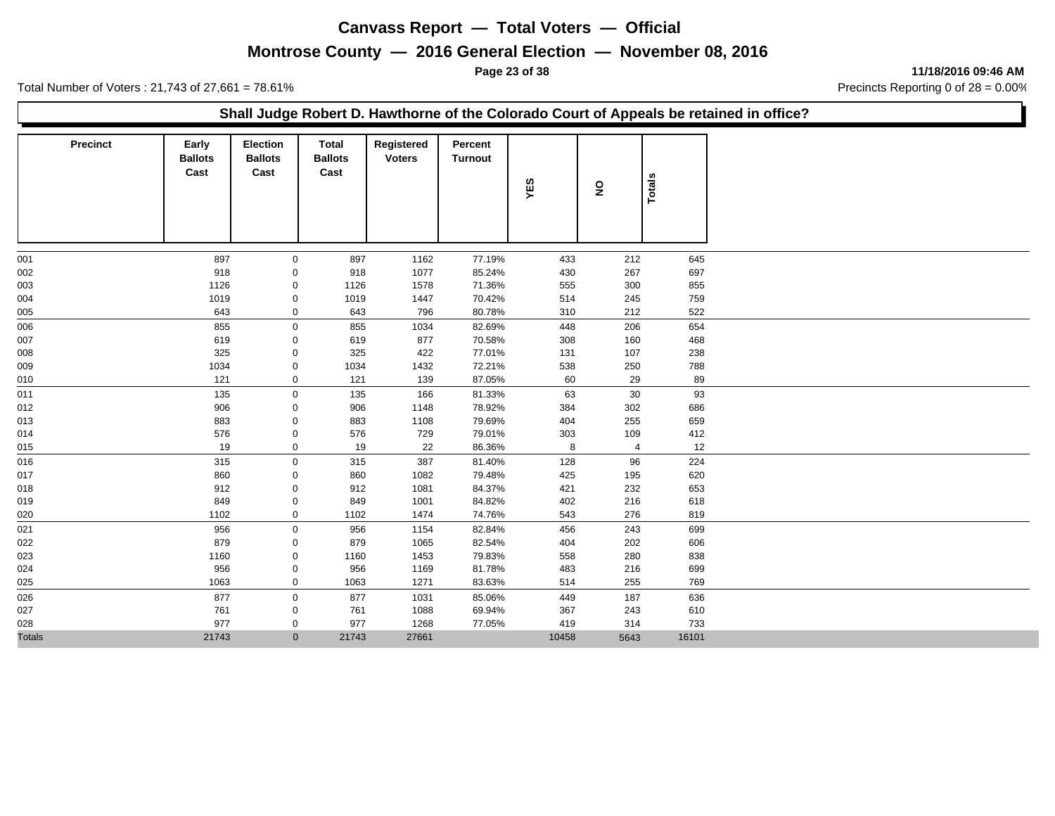## **Montrose County — 2016 General Election — November 08, 2016**

**Page 23 of 38 11/18/2016 09:46 AM**

Total Number of Voters : 21,743 of 27,661 = 78.61% Precincts Reporting 0 of 28 = 0.00%

#### **Shall Judge Robert D. Hawthorne of the Colorado Court of Appeals be retained in office?**

| <b>Precinct</b> | Early<br><b>Ballots</b><br>Cast | <b>Election</b><br><b>Ballots</b><br>Cast | Total<br><b>Ballots</b><br>Cast | Registered<br><b>Voters</b> | Percent<br>Turnout | YES   | $\overline{\mathbf{z}}$ | Totals |
|-----------------|---------------------------------|-------------------------------------------|---------------------------------|-----------------------------|--------------------|-------|-------------------------|--------|
| 001             | 897                             | $\mathbf 0$                               | 897                             | 1162                        | 77.19%             | 433   | 212                     | 645    |
| 002             | 918                             | 0                                         | 918                             | 1077                        | 85.24%             | 430   | 267                     | 697    |
| 003             | 1126                            | $\mathbf 0$                               | 1126                            | 1578                        | 71.36%             | 555   | 300                     | 855    |
| 004             | 1019                            | 0                                         | 1019                            | 1447                        | 70.42%             | 514   | 245                     | 759    |
| 005             | 643                             | $\mathbf 0$                               | 643                             | 796                         | 80.78%             | 310   | 212                     | 522    |
| 006             | 855                             | $\mathbf 0$                               | 855                             | 1034                        | 82.69%             | 448   | 206                     | 654    |
| 007             | 619                             | 0                                         | 619                             | 877                         | 70.58%             | 308   | 160                     | 468    |
| 008             | 325                             | 0                                         | 325                             | 422                         | 77.01%             | 131   | 107                     | 238    |
| 009             | 1034                            | 0                                         | 1034                            | 1432                        | 72.21%             | 538   | 250                     | 788    |
| 010             | 121                             | $\mathbf 0$                               | 121                             | 139                         | 87.05%             | 60    | 29                      | 89     |
| 011             | 135                             | $\mathbf 0$                               | 135                             | 166                         | 81.33%             | 63    | 30                      | 93     |
| 012             | 906                             | 0                                         | 906                             | 1148                        | 78.92%             | 384   | 302                     | 686    |
| 013             | 883                             | 0                                         | 883                             | 1108                        | 79.69%             | 404   | 255                     | 659    |
| 014             | 576                             | $\pmb{0}$                                 | 576                             | 729                         | 79.01%             | 303   | 109                     | 412    |
| 015             | 19                              | $\pmb{0}$                                 | 19                              | 22                          | 86.36%             | 8     | 4                       | 12     |
| 016             | 315                             | $\mathbf 0$                               | 315                             | 387                         | 81.40%             | 128   | 96                      | 224    |
| 017             | 860                             | 0                                         | 860                             | 1082                        | 79.48%             | 425   | 195                     | 620    |
| 018             | 912                             | $\mathbf 0$                               | 912                             | 1081                        | 84.37%             | 421   | 232                     | 653    |
| 019             | 849                             | 0                                         | 849                             | 1001                        | 84.82%             | 402   | 216                     | 618    |
| 020             | 1102                            | $\mathbf 0$                               | 1102                            | 1474                        | 74.76%             | 543   | 276                     | 819    |
| 021             | 956                             | $\mathbf 0$                               | 956                             | 1154                        | 82.84%             | 456   | 243                     | 699    |
| 022             | 879                             | 0                                         | 879                             | 1065                        | 82.54%             | 404   | 202                     | 606    |
| 023             | 1160                            | 0                                         | 1160                            | 1453                        | 79.83%             | 558   | 280                     | 838    |
| 024             | 956                             | 0                                         | 956                             | 1169                        | 81.78%             | 483   | 216                     | 699    |
| 025             | 1063                            | 0                                         | 1063                            | 1271                        | 83.63%             | 514   | 255                     | 769    |
| 026             | 877                             | $\mathbf 0$                               | 877                             | 1031                        | 85.06%             | 449   | 187                     | 636    |
| 027             | 761                             | 0                                         | 761                             | 1088                        | 69.94%             | 367   | 243                     | 610    |
| 028             | 977                             | $\mathbf 0$                               | 977                             | 1268                        | 77.05%             | 419   | 314                     | 733    |
| <b>Totals</b>   | 21743                           | $\mathbf{0}$                              | 21743                           | 27661                       |                    | 10458 | 5643                    | 16101  |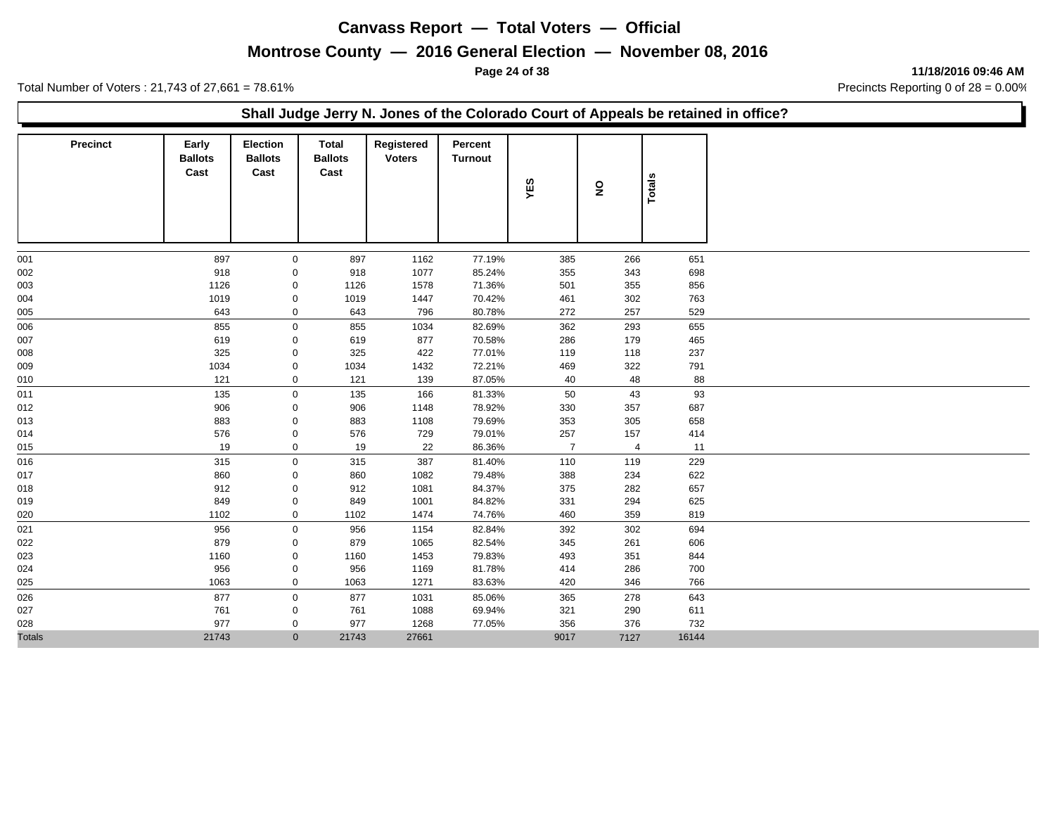## **Montrose County — 2016 General Election — November 08, 2016**

**Page 24 of 38 11/18/2016 09:46 AM**

Total Number of Voters : 21,743 of 27,661 = 78.61% Precincts Reporting 0 of 28 = 0.00%

#### **Shall Judge Jerry N. Jones of the Colorado Court of Appeals be retained in office?**

| <b>Precinct</b> | Early<br><b>Ballots</b><br>Cast | <b>Election</b><br><b>Ballots</b><br>Cast | <b>Total</b><br><b>Ballots</b><br>Cast | Registered<br><b>Voters</b> | Percent<br><b>Turnout</b> | YES            | $\overline{\mathbf{z}}$ | <b>Totals</b> |
|-----------------|---------------------------------|-------------------------------------------|----------------------------------------|-----------------------------|---------------------------|----------------|-------------------------|---------------|
| 001             | 897                             | $\mathbf 0$                               | 897                                    | 1162                        | 77.19%                    | 385            | 266                     | 651           |
| 002             | 918                             | 0                                         | 918                                    | 1077                        | 85.24%                    | 355            | 343                     | 698           |
| 003             | 1126                            | 0                                         | 1126                                   | 1578                        | 71.36%                    | 501            | 355                     | 856           |
| 004             | 1019                            | 0                                         | 1019                                   | 1447                        | 70.42%                    | 461            | 302                     | 763           |
| 005             | 643                             | $\mathbf 0$                               | 643                                    | 796                         | 80.78%                    | 272            | 257                     | 529           |
| 006             | 855                             | $\mathbf 0$                               | 855                                    | 1034                        | 82.69%                    | 362            | 293                     | 655           |
| 007             | 619                             | 0                                         | 619                                    | 877                         | 70.58%                    | 286            | 179                     | 465           |
| 008             | 325                             | 0                                         | 325                                    | 422                         | 77.01%                    | 119            | 118                     | 237           |
| 009             | 1034                            | 0                                         | 1034                                   | 1432                        | 72.21%                    | 469            | 322                     | 791           |
| 010             | 121                             | $\mathbf 0$                               | 121                                    | 139                         | 87.05%                    | 40             | 48                      | 88            |
| 011             | 135                             | $\mathbf 0$                               | 135                                    | 166                         | 81.33%                    | 50             | 43                      | 93            |
| 012             | 906                             | 0                                         | 906                                    | 1148                        | 78.92%                    | 330            | 357                     | 687           |
| 013             | 883                             | 0                                         | 883                                    | 1108                        | 79.69%                    | 353            | 305                     | 658           |
| 014             | 576                             | 0                                         | 576                                    | 729                         | 79.01%                    | 257            | 157                     | 414           |
| 015             | 19                              | $\mathbf 0$                               | 19                                     | 22                          | 86.36%                    | $\overline{7}$ | $\overline{4}$          | 11            |
| 016             | 315                             | $\mathbf 0$                               | 315                                    | 387                         | 81.40%                    | 110            | 119                     | 229           |
| 017             | 860                             | 0                                         | 860                                    | 1082                        | 79.48%                    | 388            | 234                     | 622           |
| 018             | 912                             | 0                                         | 912                                    | 1081                        | 84.37%                    | 375            | 282                     | 657           |
| 019             | 849                             | $\mathbf 0$                               | 849                                    | 1001                        | 84.82%                    | 331            | 294                     | 625           |
| 020             | 1102                            | $\pmb{0}$                                 | 1102                                   | 1474                        | 74.76%                    | 460            | 359                     | 819           |
| 021             | 956                             | $\mathbf 0$                               | 956                                    | 1154                        | 82.84%                    | 392            | 302                     | 694           |
| 022             | 879                             | 0                                         | 879                                    | 1065                        | 82.54%                    | 345            | 261                     | 606           |
| 023             | 1160                            | 0                                         | 1160                                   | 1453                        | 79.83%                    | 493            | 351                     | 844           |
| 024             | 956                             | 0                                         | 956                                    | 1169                        | 81.78%                    | 414            | 286                     | 700           |
| 025             | 1063                            | $\mathbf 0$                               | 1063                                   | 1271                        | 83.63%                    | 420            | 346                     | 766           |
| 026             | 877                             | $\mathbf 0$                               | 877                                    | 1031                        | 85.06%                    | 365            | 278                     | 643           |
| 027             | 761                             | 0                                         | 761                                    | 1088                        | 69.94%                    | 321            | 290                     | 611           |
| 028             | 977                             | $\mathbf 0$                               | 977                                    | 1268                        | 77.05%                    | 356            | 376                     | 732           |
| <b>Totals</b>   | 21743                           | $\mathbf{0}$                              | 21743                                  | 27661                       |                           | 9017           | 7127                    | 16144         |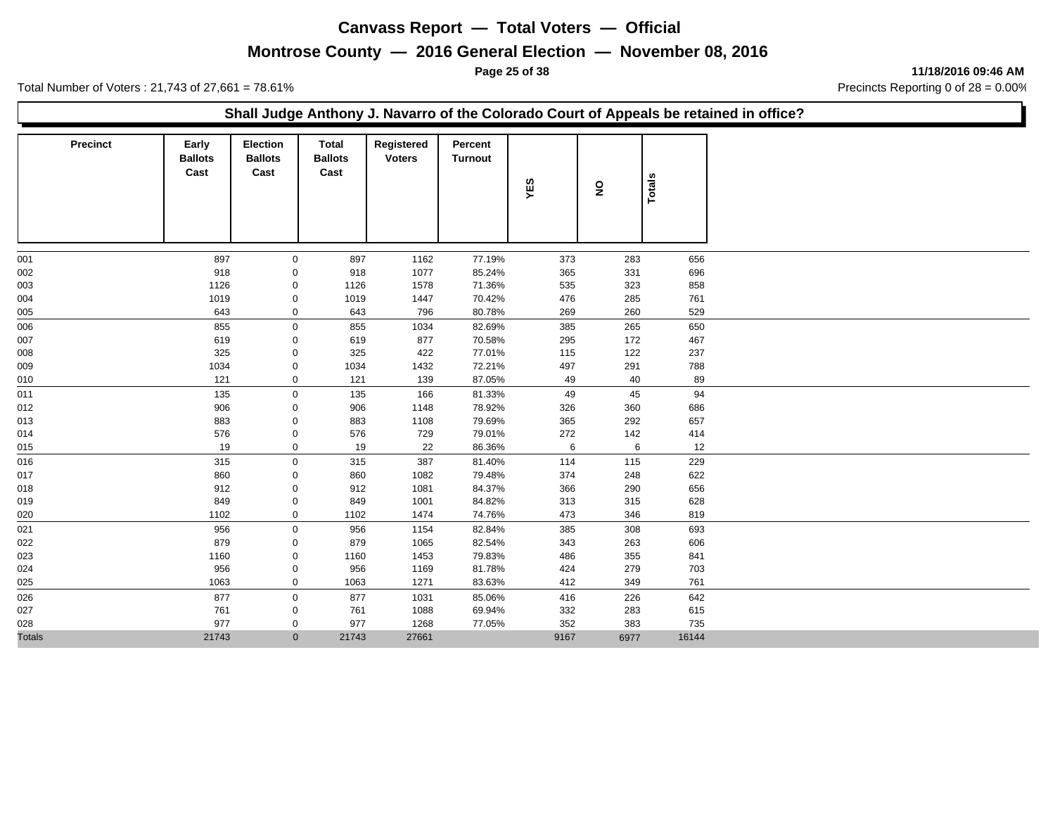## **Montrose County — 2016 General Election — November 08, 2016**

**Page 25 of 38 11/18/2016 09:46 AM**

Total Number of Voters : 21,743 of 27,661 = 78.61% Precincts Reporting 0 of 28 = 0.00%

#### **Shall Judge Anthony J. Navarro of the Colorado Court of Appeals be retained in office?**

| Precinct      | Early<br><b>Ballots</b><br>Cast | <b>Election</b><br><b>Ballots</b><br>Cast | <b>Total</b><br><b>Ballots</b><br>Cast | Registered<br><b>Voters</b> | Percent<br><b>Turnout</b> | YES      | $\overline{\mathbf{z}}$ | Totals    |
|---------------|---------------------------------|-------------------------------------------|----------------------------------------|-----------------------------|---------------------------|----------|-------------------------|-----------|
|               |                                 |                                           |                                        |                             |                           |          |                         |           |
| 001           | 897                             | $\mathbf 0$                               | 897                                    | 1162                        | 77.19%                    | 373      | 283                     | 656       |
| 002           | 918                             | 0                                         | 918                                    | 1077                        | 85.24%                    | 365      | 331                     | 696       |
| 003           | 1126                            | 0                                         | 1126                                   | 1578                        | 71.36%                    | 535      | 323                     | 858       |
| 004           | 1019                            | 0                                         | 1019                                   | 1447                        | 70.42%                    | 476      | 285                     | 761       |
| 005           | 643                             | $\mathbf 0$                               | 643                                    | 796                         | 80.78%                    | 269      | 260                     | 529       |
| 006           | 855                             | $\mathbf 0$                               | 855                                    | 1034                        | 82.69%                    | 385      | 265                     | 650       |
| 007           | 619                             | $\mathbf 0$                               | 619                                    | 877                         | 70.58%                    | 295      | 172                     | 467       |
| 008           | 325                             | 0                                         | 325                                    | 422                         | 77.01%                    | 115      | 122                     | 237       |
| 009           | 1034                            | 0                                         | 1034                                   | 1432                        | 72.21%                    | 497      | 291                     | 788       |
| 010           | 121                             | $\mathbf 0$                               | 121                                    | 139                         | 87.05%                    | 49       | 40                      | 89        |
| 011           | 135                             | $\mathbf 0$                               | 135                                    | 166                         | 81.33%                    | 49       | 45                      | 94        |
| 012           | 906                             | 0                                         | 906                                    | 1148                        | 78.92%                    | 326      | 360                     | 686       |
| 013           | 883                             | 0                                         | 883                                    | 1108                        | 79.69%                    | 365      | 292<br>142              | 657       |
| 014           | 576<br>19                       | 0<br>$\mathbf 0$                          | 576<br>19                              | 729<br>22                   | 79.01%<br>86.36%          | 272<br>6 | 6                       | 414<br>12 |
| 015           |                                 |                                           |                                        |                             |                           |          |                         |           |
| 016           | 315                             | $\mathbf 0$                               | 315                                    | 387                         | 81.40%                    | 114      | 115                     | 229       |
| 017           | 860                             | 0                                         | 860                                    | 1082                        | 79.48%                    | 374      | 248                     | 622       |
| 018           | 912                             | 0                                         | 912                                    | 1081                        | 84.37%                    | 366      | 290                     | 656       |
| 019           | 849<br>1102                     | 0                                         | 849                                    | 1001                        | 84.82%                    | 313      | 315                     | 628       |
| 020           |                                 | $\mathbf 0$                               | 1102                                   | 1474                        | 74.76%                    | 473      | 346                     | 819       |
| 021           | 956                             | $\mathbf 0$                               | 956                                    | 1154                        | 82.84%                    | 385      | 308                     | 693       |
| 022           | 879                             | $\mathbf 0$                               | 879                                    | 1065                        | 82.54%                    | 343      | 263                     | 606       |
| 023           | 1160                            | 0                                         | 1160                                   | 1453                        | 79.83%                    | 486      | 355                     | 841       |
| 024           | 956                             | 0                                         | 956                                    | 1169                        | 81.78%                    | 424      | 279                     | 703       |
| 025           | 1063                            | 0                                         | 1063                                   | 1271                        | 83.63%                    | 412      | 349                     | 761       |
| 026           | 877                             | $\mathbf 0$                               | 877                                    | 1031                        | 85.06%                    | 416      | 226                     | 642       |
| 027           | 761                             | 0                                         | 761                                    | 1088                        | 69.94%                    | 332      | 283                     | 615       |
| 028           | 977                             | $\mathbf 0$                               | 977                                    | 1268                        | 77.05%                    | 352      | 383                     | 735       |
| <b>Totals</b> | 21743                           | $\mathbf{0}$                              | 21743                                  | 27661                       |                           | 9167     | 6977                    | 16144     |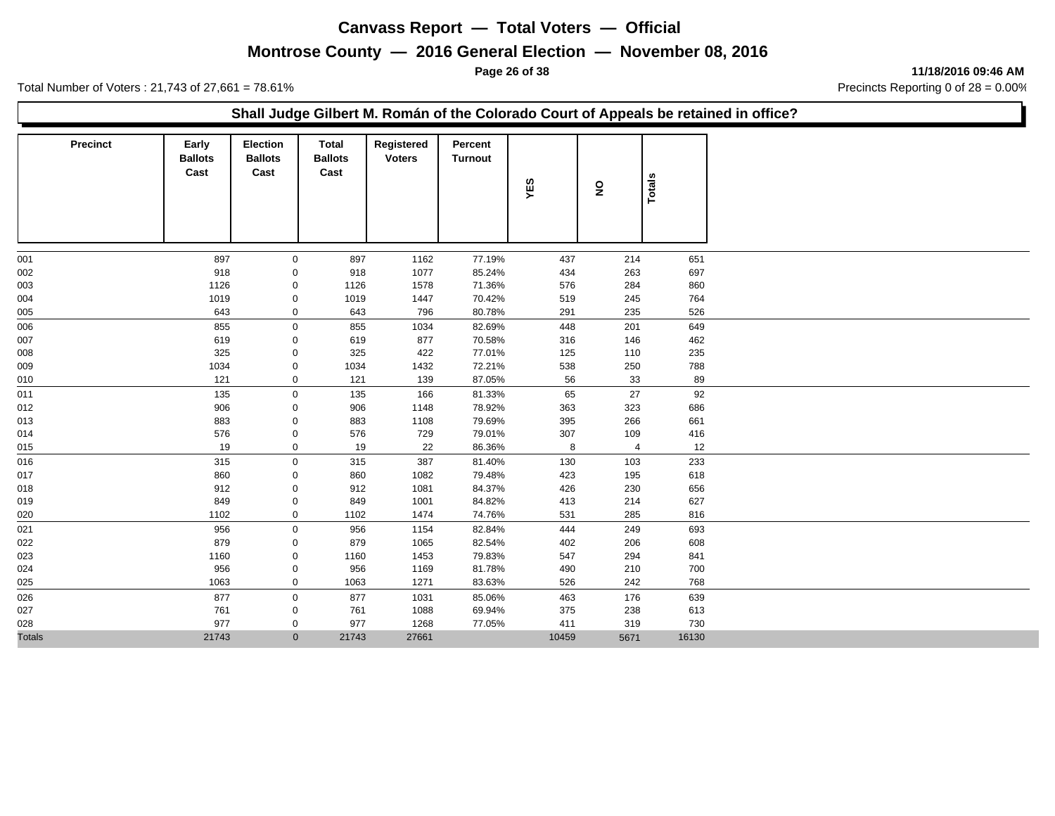## **Montrose County — 2016 General Election — November 08, 2016**

**Page 26 of 38 11/18/2016 09:46 AM**

Total Number of Voters : 21,743 of 27,661 = 78.61% Precincts Reporting 0 of 28 = 0.00%

#### **Shall Judge Gilbert M. Román of the Colorado Court of Appeals be retained in office?**

| <b>Precinct</b> | Early<br><b>Ballots</b><br>Cast | <b>Election</b><br><b>Ballots</b><br>Cast | <b>Total</b><br><b>Ballots</b><br>Cast | Registered<br><b>Voters</b> | Percent<br><b>Turnout</b> | YES   | $\mathbf{S}$   | Totals |
|-----------------|---------------------------------|-------------------------------------------|----------------------------------------|-----------------------------|---------------------------|-------|----------------|--------|
| 001             | 897                             | $\mathbf 0$                               | 897                                    | 1162                        | 77.19%                    | 437   | 214            | 651    |
| 002             | 918                             | 0                                         | 918                                    | 1077                        | 85.24%                    | 434   | 263            | 697    |
| 003             | 1126                            | 0                                         | 1126                                   | 1578                        | 71.36%                    | 576   | 284            | 860    |
| 004             | 1019                            | 0                                         | 1019                                   | 1447                        | 70.42%                    | 519   | 245            | 764    |
| 005             | 643                             | $\mathbf 0$                               | 643                                    | 796                         | 80.78%                    | 291   | 235            | 526    |
| 006             | 855                             | $\mathbf 0$                               | 855                                    | 1034                        | 82.69%                    | 448   | 201            | 649    |
| 007             | 619                             | 0                                         | 619                                    | 877                         | 70.58%                    | 316   | 146            | 462    |
| 008             | 325                             | 0                                         | 325                                    | 422                         | 77.01%                    | 125   | 110            | 235    |
| 009             | 1034                            | 0                                         | 1034                                   | 1432                        | 72.21%                    | 538   | 250            | 788    |
| 010             | 121                             | 0                                         | 121                                    | 139                         | 87.05%                    | 56    | 33             | 89     |
| 011             | 135                             | $\mathbf 0$                               | 135                                    | 166                         | 81.33%                    | 65    | 27             | 92     |
| 012             | 906                             | 0                                         | 906                                    | 1148                        | 78.92%                    | 363   | 323            | 686    |
| 013             | 883                             | 0                                         | 883                                    | 1108                        | 79.69%                    | 395   | 266            | 661    |
| 014             | 576                             | 0                                         | 576                                    | 729                         | 79.01%                    | 307   | 109            | 416    |
| 015             | 19                              | $\mathbf 0$                               | 19                                     | 22                          | 86.36%                    | 8     | $\overline{4}$ | 12     |
| 016             | 315                             | $\mathbf 0$                               | 315                                    | 387                         | 81.40%                    | 130   | 103            | 233    |
| 017             | 860                             | $\mathbf 0$                               | 860                                    | 1082                        | 79.48%                    | 423   | 195            | 618    |
| 018             | 912                             | 0                                         | 912                                    | 1081                        | 84.37%                    | 426   | 230            | 656    |
| 019             | 849                             | $\mathbf 0$                               | 849                                    | 1001                        | 84.82%                    | 413   | 214            | 627    |
| 020             | 1102                            | $\mathbf 0$                               | 1102                                   | 1474                        | 74.76%                    | 531   | 285            | 816    |
| 021             | 956                             | $\mathbf 0$                               | 956                                    | 1154                        | 82.84%                    | 444   | 249            | 693    |
| 022             | 879                             | 0                                         | 879                                    | 1065                        | 82.54%                    | 402   | 206            | 608    |
| 023             | 1160                            | $\pmb{0}$                                 | 1160                                   | 1453                        | 79.83%                    | 547   | 294            | 841    |
| 024             | 956                             | 0                                         | 956                                    | 1169                        | 81.78%                    | 490   | 210            | 700    |
| 025             | 1063                            | 0                                         | 1063                                   | 1271                        | 83.63%                    | 526   | 242            | 768    |
| 026             | 877                             | $\mathbf 0$                               | 877                                    | 1031                        | 85.06%                    | 463   | 176            | 639    |
| 027             | 761                             | 0                                         | 761                                    | 1088                        | 69.94%                    | 375   | 238            | 613    |
| 028             | 977                             | 0                                         | 977                                    | 1268                        | 77.05%                    | 411   | 319            | 730    |
| <b>Totals</b>   | 21743                           | $\mathbf{0}$                              | 21743                                  | 27661                       |                           | 10459 | 5671           | 16130  |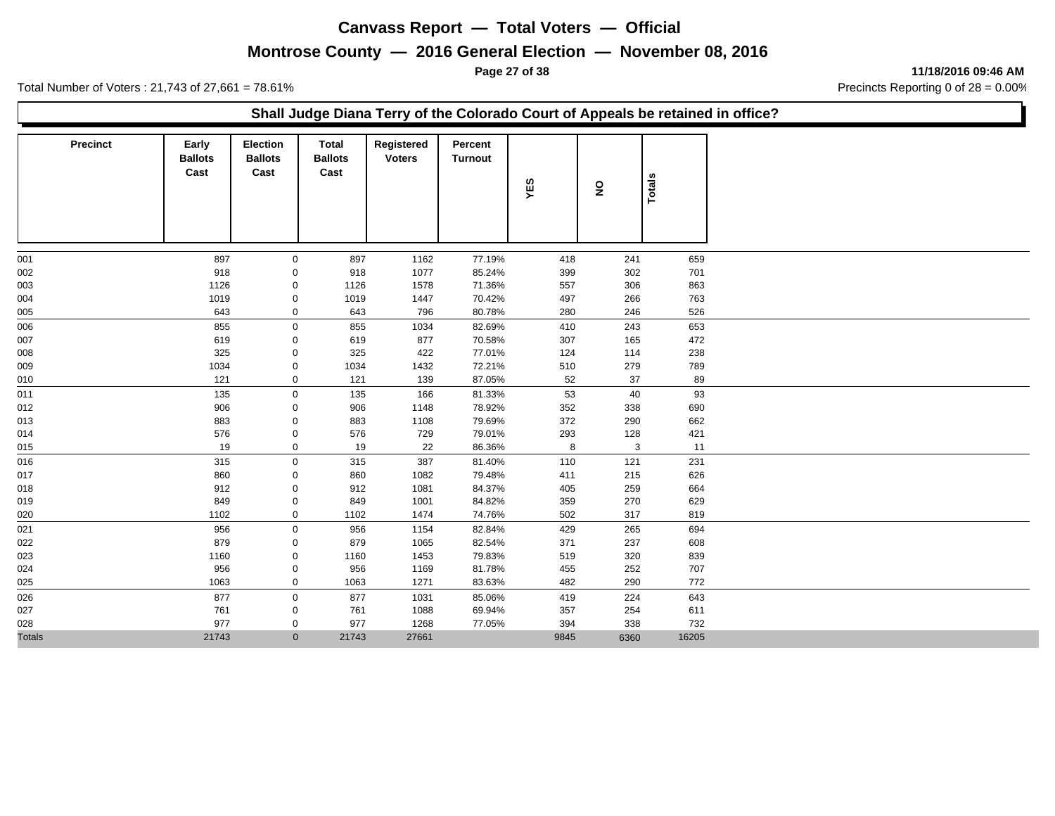## **Montrose County — 2016 General Election — November 08, 2016**

**Page 27 of 38 11/18/2016 09:46 AM**

Total Number of Voters : 21,743 of 27,661 = 78.61% Precincts Reporting 0 of 28 = 0.00%

#### **Shall Judge Diana Terry of the Colorado Court of Appeals be retained in office?**

| <b>Precinct</b> | Early<br><b>Ballots</b><br>Cast | <b>Election</b><br><b>Ballots</b><br>Cast | Total<br><b>Ballots</b><br>Cast | Registered<br><b>Voters</b> | Percent<br><b>Turnout</b> | YES  | $\overline{\mathbf{z}}$ | Totals |
|-----------------|---------------------------------|-------------------------------------------|---------------------------------|-----------------------------|---------------------------|------|-------------------------|--------|
|                 |                                 |                                           |                                 |                             |                           |      |                         |        |
| 001             | 897                             | $\mathbf 0$                               | 897                             | 1162                        | 77.19%                    | 418  | 241                     | 659    |
| 002             | 918                             | $\mathbf 0$                               | 918                             | 1077                        | 85.24%                    | 399  | 302                     | 701    |
| 003             | 1126                            | 0                                         | 1126                            | 1578                        | 71.36%                    | 557  | 306                     | 863    |
| 004             | 1019                            | 0                                         | 1019                            | 1447                        | 70.42%                    | 497  | 266                     | 763    |
| 005             | 643                             | 0                                         | 643                             | 796                         | 80.78%                    | 280  | 246                     | 526    |
| 006             | 855                             | 0                                         | 855                             | 1034                        | 82.69%                    | 410  | 243                     | 653    |
| 007             | 619                             | $\mathbf{0}$                              | 619                             | 877                         | 70.58%                    | 307  | 165                     | 472    |
| 008             | 325                             | $\mathbf{0}$                              | 325                             | 422                         | 77.01%                    | 124  | 114                     | 238    |
| 009             | 1034                            | 0                                         | 1034                            | 1432                        | 72.21%                    | 510  | 279                     | 789    |
| 010             | 121                             | 0                                         | 121                             | 139                         | 87.05%                    | 52   | 37                      | 89     |
| 011             | 135                             | $\mathbf 0$                               | 135                             | 166                         | 81.33%                    | 53   | 40                      | 93     |
| 012             | 906                             | 0                                         | 906                             | 1148                        | 78.92%                    | 352  | 338                     | 690    |
| 013             | 883                             | 0                                         | 883                             | 1108                        | 79.69%                    | 372  | 290                     | 662    |
| 014             | 576                             | 0                                         | 576                             | 729                         | 79.01%                    | 293  | 128                     | 421    |
| 015             | 19                              | 0                                         | 19                              | 22                          | 86.36%                    | 8    | 3                       | 11     |
| 016             | 315                             | $\mathbf 0$                               | 315                             | 387                         | 81.40%                    | 110  | 121                     | 231    |
| 017             | 860                             | 0                                         | 860                             | 1082                        | 79.48%                    | 411  | 215                     | 626    |
| 018             | 912                             | 0                                         | 912                             | 1081                        | 84.37%                    | 405  | 259                     | 664    |
| 019             | 849                             | 0                                         | 849                             | 1001                        | 84.82%                    | 359  | 270                     | 629    |
| 020             | 1102                            | $\mathbf{0}$                              | 1102                            | 1474                        | 74.76%                    | 502  | 317                     | 819    |
| 021             | 956                             | 0                                         | 956                             | 1154                        | 82.84%                    | 429  | 265                     | 694    |
| 022             | 879                             | 0                                         | 879                             | 1065                        | 82.54%                    | 371  | 237                     | 608    |
| 023             | 1160                            | 0                                         | 1160                            | 1453                        | 79.83%                    | 519  | 320                     | 839    |
| 024             | 956                             | 0                                         | 956                             | 1169                        | 81.78%                    | 455  | 252                     | 707    |
| 025             | 1063                            | 0                                         | 1063                            | 1271                        | 83.63%                    | 482  | 290                     | 772    |
| 026             | 877                             | $\mathbf 0$                               | 877                             | 1031                        | 85.06%                    | 419  | 224                     | 643    |
| 027             | 761                             | 0                                         | 761                             | 1088                        | 69.94%                    | 357  | 254                     | 611    |
| 028             | 977                             | 0                                         | 977                             | 1268                        | 77.05%                    | 394  | 338                     | 732    |
| <b>Totals</b>   | 21743                           | $\overline{0}$                            | 21743                           | 27661                       |                           | 9845 | 6360                    | 16205  |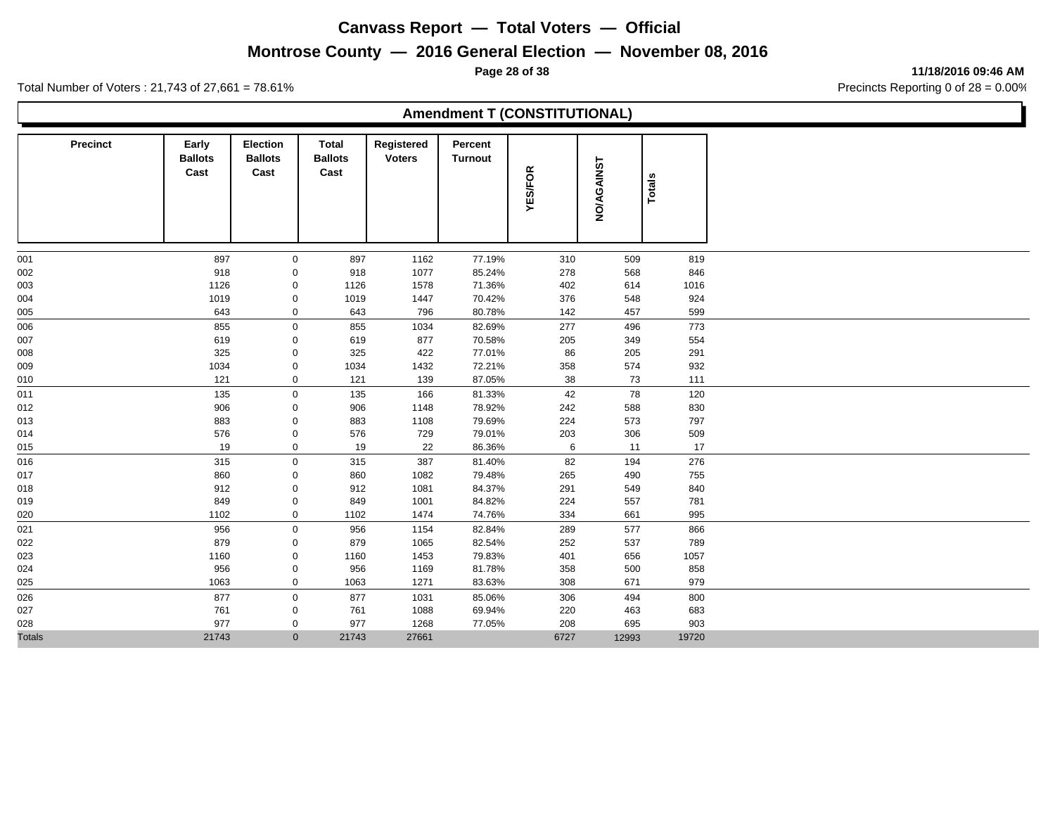# **Montrose County — 2016 General Election — November 08, 2016**

**Page 28 of 38 11/18/2016 09:46 AM**

Total Number of Voters : 21,743 of 27,661 = 78.61% Precincts Reporting 0 of 28 = 0.00%

## **Amendment T (CONSTITUTIONAL)**

| Precinct      | Early<br><b>Ballots</b><br>Cast | <b>Election</b><br><b>Ballots</b><br>Cast | Total<br><b>Ballots</b><br>Cast | Registered<br><b>Voters</b> | Percent<br><b>Turnout</b> | <b>YES/FOR</b> | <b>NO/AGAINST</b> | <b>Totals</b> |
|---------------|---------------------------------|-------------------------------------------|---------------------------------|-----------------------------|---------------------------|----------------|-------------------|---------------|
| 001           | 897                             | $\mathbf 0$                               | 897                             | 1162                        | 77.19%                    | 310            | 509               | 819           |
| 002           | 918                             | 0                                         | 918                             | 1077                        | 85.24%                    | 278            | 568               | 846           |
| 003           | 1126                            | 0                                         | 1126                            | 1578                        | 71.36%                    | 402            | 614               | 1016          |
| 004           | 1019                            | 0                                         | 1019                            | 1447                        | 70.42%                    | 376            | 548               | 924           |
| 005           | 643                             | $\mathbf 0$                               | 643                             | 796                         | 80.78%                    | 142            | 457               | 599           |
| 006           | 855                             | $\mathbf 0$                               | 855                             | 1034                        | 82.69%                    | 277            | 496               | 773           |
| 007           | 619                             | 0                                         | 619                             | 877                         | 70.58%                    | 205            | 349               | 554           |
| 008           | 325                             | 0                                         | 325                             | 422                         | 77.01%                    | 86             | 205               | 291           |
| 009           | 1034                            | 0                                         | 1034                            | 1432                        | 72.21%                    | 358            | 574               | 932           |
| 010           | 121                             | $\mathbf 0$                               | 121                             | 139                         | 87.05%                    | 38             | 73                | 111           |
| 011           | 135                             | 0                                         | 135                             | 166                         | 81.33%                    | 42             | 78                | 120           |
| 012           | 906                             | 0                                         | 906                             | 1148                        | 78.92%                    | 242            | 588               | 830           |
| 013           | 883                             | 0                                         | 883                             | 1108                        | 79.69%                    | 224            | 573               | 797           |
| 014           | 576                             | 0                                         | 576                             | 729                         | 79.01%                    | 203            | 306               | 509           |
| 015           | 19                              | $\mathbf 0$                               | 19                              | 22                          | 86.36%                    | 6              | 11                | 17            |
| 016           | 315                             | $\mathbf 0$                               | 315                             | 387                         | 81.40%                    | 82             | 194               | 276           |
| 017           | 860                             | 0                                         | 860                             | 1082                        | 79.48%                    | 265            | 490               | 755           |
| 018           | 912                             | 0                                         | 912                             | 1081                        | 84.37%                    | 291            | 549               | 840           |
| 019           | 849                             | 0                                         | 849                             | 1001                        | 84.82%                    | 224            | 557               | 781           |
| 020           | 1102                            | $\mathbf 0$                               | 1102                            | 1474                        | 74.76%                    | 334            | 661               | 995           |
| 021           | 956                             | 0                                         | 956                             | 1154                        | 82.84%                    | 289            | 577               | 866           |
| 022           | 879                             | 0                                         | 879                             | 1065                        | 82.54%                    | 252            | 537               | 789           |
| 023           | 1160                            | $\mathsf{O}\xspace$                       | 1160                            | 1453                        | 79.83%                    | 401            | 656               | 1057          |
| 024           | 956                             | $\pmb{0}$                                 | 956                             | 1169                        | 81.78%                    | 358            | 500               | 858           |
| 025           | 1063                            | $\mathbf 0$                               | 1063                            | 1271                        | 83.63%                    | 308            | 671               | 979           |
| 026           | 877                             | $\mathbf 0$                               | 877                             | 1031                        | 85.06%                    | 306            | 494               | 800           |
| 027           | 761                             | 0                                         | 761                             | 1088                        | 69.94%                    | 220            | 463               | 683           |
| 028           | 977                             | 0                                         | 977                             | 1268                        | 77.05%                    | 208            | 695               | 903           |
| <b>Totals</b> | 21743                           | $\mathbf{0}$                              | 21743                           | 27661                       |                           | 6727           | 12993             | 19720         |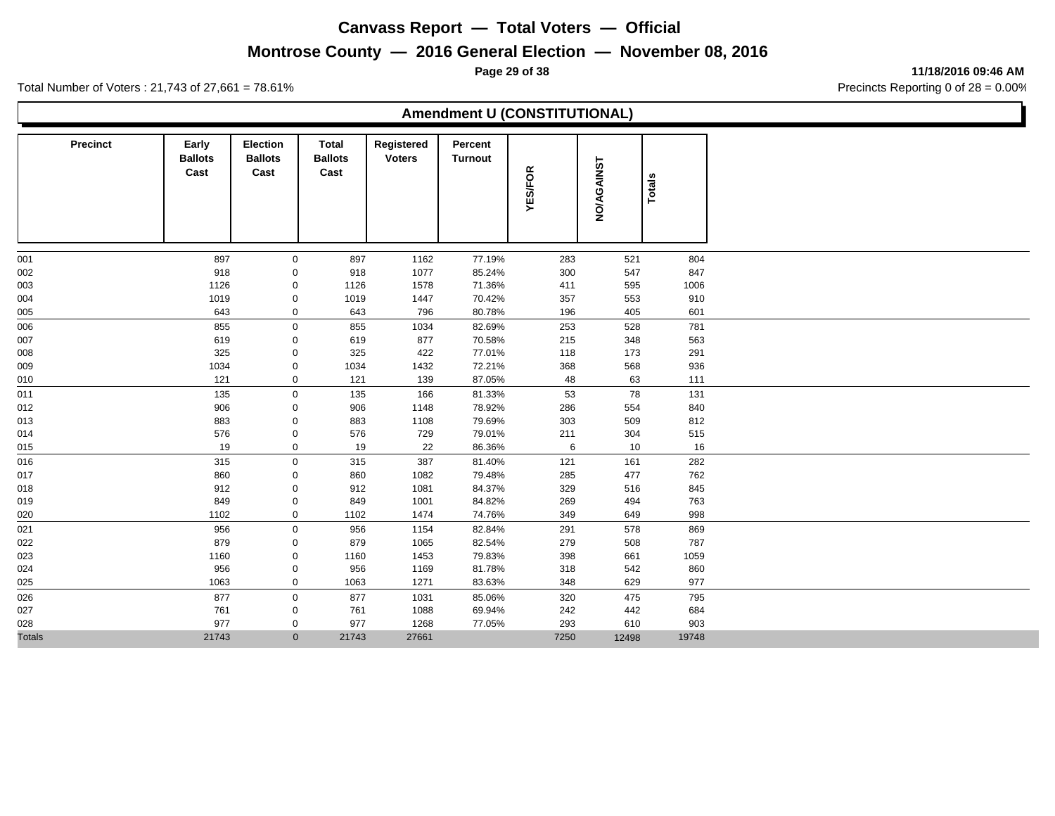# **Montrose County — 2016 General Election — November 08, 2016**

**Page 29 of 38 11/18/2016 09:46 AM**

Total Number of Voters : 21,743 of 27,661 = 78.61% Precincts Reporting 0 of 28 = 0.00%

#### **Amendment U (CONSTITUTIONAL)**

| <b>Precinct</b> | Early<br><b>Ballots</b><br>Cast | <b>Election</b><br><b>Ballots</b><br>Cast | Total<br><b>Ballots</b><br>Cast | Registered<br><b>Voters</b> | Percent<br><b>Turnout</b> | <b>YES/FOR</b> | <b>NO/AGAINST</b> | Totals |
|-----------------|---------------------------------|-------------------------------------------|---------------------------------|-----------------------------|---------------------------|----------------|-------------------|--------|
| 001             | 897                             | 0                                         | 897                             | 1162                        | 77.19%                    | 283            | 521               | 804    |
| 002             | 918                             | 0                                         | 918                             | 1077                        | 85.24%                    | 300            | 547               | 847    |
| 003             | 1126                            | 0                                         | 1126                            | 1578                        | 71.36%                    | 411            | 595               | 1006   |
| 004             | 1019                            | 0                                         | 1019                            | 1447                        | 70.42%                    | 357            | 553               | 910    |
| 005             | 643                             | $\mathbf 0$                               | 643                             | 796                         | 80.78%                    | 196            | 405               | 601    |
| 006             | 855                             | $\mathbf 0$                               | 855                             | 1034                        | 82.69%                    | 253            | 528               | 781    |
| 007             | 619                             | 0                                         | 619                             | 877                         | 70.58%                    | 215            | 348               | 563    |
| 008             | 325                             | 0                                         | 325                             | 422                         | 77.01%                    | 118            | 173               | 291    |
| 009             | 1034                            | 0                                         | 1034                            | 1432                        | 72.21%                    | 368            | 568               | 936    |
| 010             | 121                             | $\mathbf 0$                               | 121                             | 139                         | 87.05%                    | 48             | 63                | 111    |
| 011             | 135                             | $\pmb{0}$                                 | 135                             | 166                         | 81.33%                    | 53             | 78                | 131    |
| 012             | 906                             | 0                                         | 906                             | 1148                        | 78.92%                    | 286            | 554               | 840    |
| 013             | 883                             | 0                                         | 883                             | 1108                        | 79.69%                    | 303            | 509               | 812    |
| 014             | 576                             | 0                                         | 576                             | 729                         | 79.01%                    | 211            | 304               | 515    |
| 015             | 19                              | $\mathbf 0$                               | 19                              | 22                          | 86.36%                    | 6              | 10                | 16     |
| 016             | 315                             | $\mathsf{O}$                              | 315                             | 387                         | 81.40%                    | 121            | 161               | 282    |
| 017             | 860                             | 0                                         | 860                             | 1082                        | 79.48%                    | 285            | 477               | 762    |
| 018             | 912                             | 0                                         | 912                             | 1081                        | 84.37%                    | 329            | 516               | 845    |
| 019             | 849                             | 0                                         | 849                             | 1001                        | 84.82%                    | 269            | 494               | 763    |
| 020             | 1102                            | $\mathbf 0$                               | 1102                            | 1474                        | 74.76%                    | 349            | 649               | 998    |
| 021             | 956                             | 0                                         | 956                             | 1154                        | 82.84%                    | 291            | 578               | 869    |
| 022             | 879                             | 0                                         | 879                             | 1065                        | 82.54%                    | 279            | 508               | 787    |
| 023             | 1160                            | $\pmb{0}$                                 | 1160                            | 1453                        | 79.83%                    | 398            | 661               | 1059   |
| 024             | 956                             | $\pmb{0}$                                 | 956                             | 1169                        | 81.78%                    | 318            | 542               | 860    |
| 025             | 1063                            | $\mathbf 0$                               | 1063                            | 1271                        | 83.63%                    | 348            | 629               | 977    |
| 026             | 877                             | $\mathbf 0$                               | 877                             | 1031                        | 85.06%                    | 320            | 475               | 795    |
| 027             | 761                             | 0                                         | 761                             | 1088                        | 69.94%                    | 242            | 442               | 684    |
| 028             | 977                             | 0                                         | 977                             | 1268                        | 77.05%                    | 293            | 610               | 903    |
| <b>Totals</b>   | 21743                           | $\mathbf{0}$                              | 21743                           | 27661                       |                           | 7250           | 12498             | 19748  |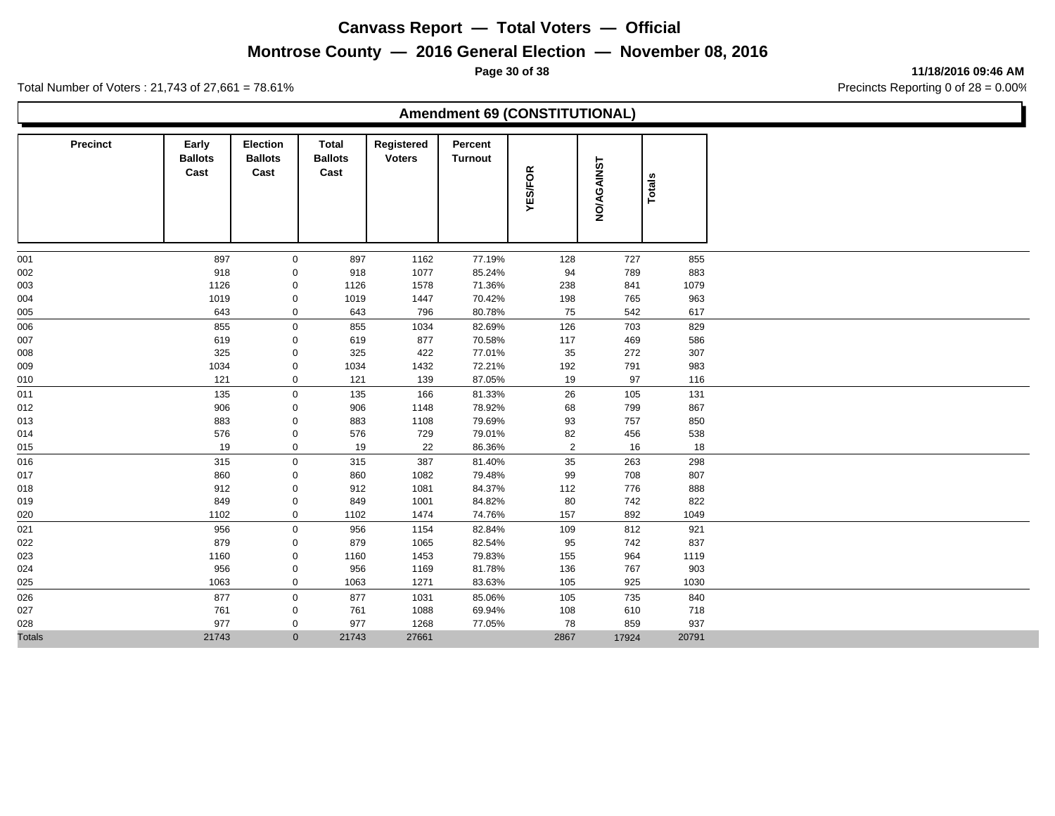# **Montrose County — 2016 General Election — November 08, 2016**

**Page 30 of 38 11/18/2016 09:46 AM**

Total Number of Voters : 21,743 of 27,661 = 78.61% Precincts Reporting 0 of 28 = 0.00%

#### **Amendment 69 (CONSTITUTIONAL)**

| Precinct      | Early<br><b>Ballots</b><br>Cast | Election<br><b>Ballots</b><br>Cast | Total<br><b>Ballots</b><br>Cast | Registered<br><b>Voters</b> | Percent<br><b>Turnout</b> | <b>YES/FOR</b> | <b>NO/AGAINST</b> | Totals |  |
|---------------|---------------------------------|------------------------------------|---------------------------------|-----------------------------|---------------------------|----------------|-------------------|--------|--|
| 001           | 897                             | 0                                  | 897                             | 1162                        | 77.19%                    | 128            | 727               | 855    |  |
| 002           | 918                             | $\mathbf 0$                        | 918                             | 1077                        | 85.24%                    | 94             | 789               | 883    |  |
| 003           | 1126                            | 0                                  | 1126                            | 1578                        | 71.36%                    | 238            | 841               | 1079   |  |
| 004           | 1019                            | 0                                  | 1019                            | 1447                        | 70.42%                    | 198            | 765               | 963    |  |
| 005           | 643                             | 0                                  | 643                             | 796                         | 80.78%                    | 75             | 542               | 617    |  |
| 006           | 855                             | $\pmb{0}$                          | 855                             | 1034                        | 82.69%                    | 126            | 703               | 829    |  |
| 007           | 619                             | 0                                  | 619                             | 877                         | 70.58%                    | 117            | 469               | 586    |  |
| 008           | 325                             | 0                                  | 325                             | 422                         | 77.01%                    | 35             | 272               | 307    |  |
| 009           | 1034                            | 0                                  | 1034                            | 1432                        | 72.21%                    | 192            | 791               | 983    |  |
| 010           | 121                             | 0                                  | 121                             | 139                         | 87.05%                    | 19             | 97                | 116    |  |
| 011           | 135                             | $\pmb{0}$                          | 135                             | 166                         | 81.33%                    | 26             | 105               | 131    |  |
| 012           | 906                             | 0                                  | 906                             | 1148                        | 78.92%                    | 68             | 799               | 867    |  |
| 013           | 883                             | 0                                  | 883                             | 1108                        | 79.69%                    | 93             | 757               | 850    |  |
| 014           | 576                             | 0                                  | 576                             | 729                         | 79.01%                    | 82             | 456               | 538    |  |
| 015           | 19                              | $\mathbf 0$                        | 19                              | 22                          | 86.36%                    | $\overline{2}$ | 16                | 18     |  |
| 016           | 315                             | $\mathbf 0$                        | 315                             | 387                         | 81.40%                    | 35             | 263               | 298    |  |
| 017           | 860                             | 0                                  | 860                             | 1082                        | 79.48%                    | 99             | 708               | 807    |  |
| 018           | 912                             | 0                                  | 912                             | 1081                        | 84.37%                    | 112            | 776               | 888    |  |
| 019           | 849                             | 0                                  | 849                             | 1001                        | 84.82%                    | 80             | 742               | 822    |  |
| 020           | 1102                            | $\mathbf 0$                        | 1102                            | 1474                        | 74.76%                    | 157            | 892               | 1049   |  |
| 021           | 956                             | $\mathsf{O}\xspace$                | 956                             | 1154                        | 82.84%                    | 109            | 812               | 921    |  |
| 022           | 879                             | 0                                  | 879                             | 1065                        | 82.54%                    | 95             | 742               | 837    |  |
| 023           | 1160                            | $\mathsf{O}\xspace$                | 1160                            | 1453                        | 79.83%                    | 155            | 964               | 1119   |  |
| 024           | 956                             | 0                                  | 956                             | 1169                        | 81.78%                    | 136            | 767               | 903    |  |
| 025           | 1063                            | $\mathbf 0$                        | 1063                            | 1271                        | 83.63%                    | 105            | 925               | 1030   |  |
| 026           | 877                             | $\mathbf 0$                        | 877                             | 1031                        | 85.06%                    | 105            | 735               | 840    |  |
| 027           | 761                             | 0                                  | 761                             | 1088                        | 69.94%                    | 108            | 610               | 718    |  |
| 028           | 977                             | 0                                  | 977                             | 1268                        | 77.05%                    | 78             | 859               | 937    |  |
| <b>Totals</b> | 21743                           | $\mathbf{0}$                       | 21743                           | 27661                       |                           | 2867           | 17924             | 20791  |  |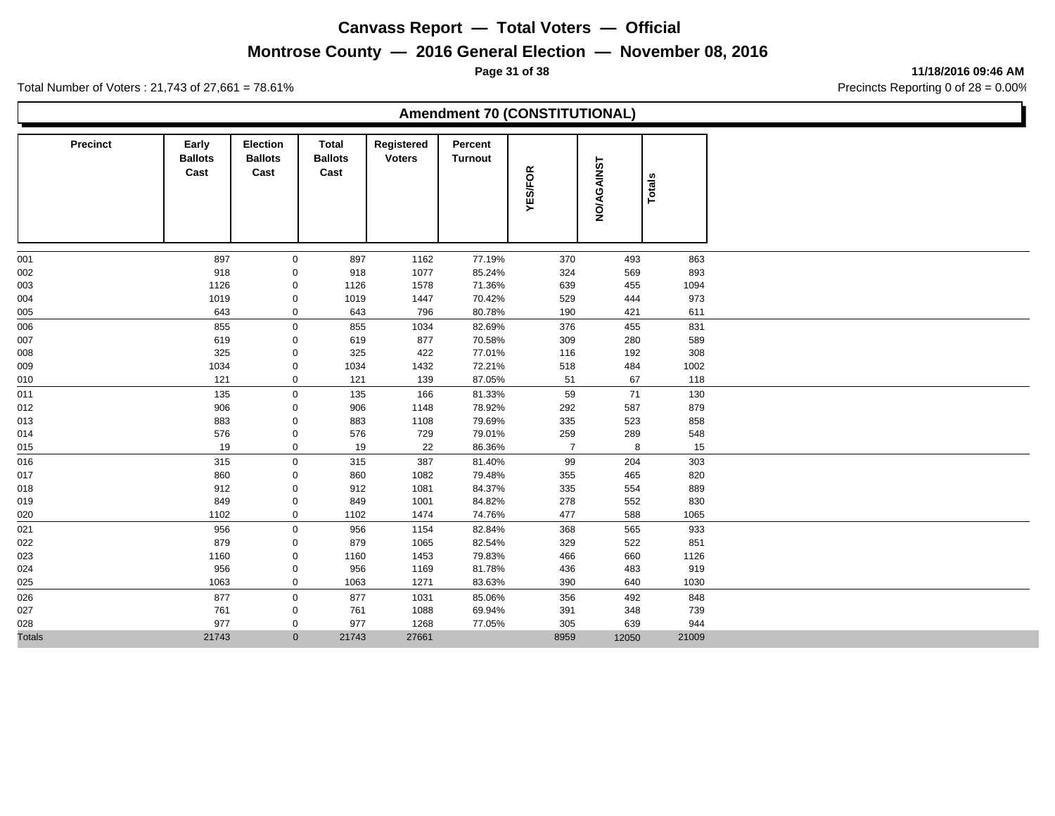# **Montrose County — 2016 General Election — November 08, 2016**

**Page 31 of 38 11/18/2016 09:46 AM**

Total Number of Voters : 21,743 of 27,661 = 78.61% Precincts Reporting 0 of 28 = 0.00%

#### **Amendment 70 (CONSTITUTIONAL)**

| <b>Precinct</b> | Early<br><b>Ballots</b><br>Cast | <b>Election</b><br><b>Ballots</b><br>Cast | Total<br><b>Ballots</b><br>Cast | Registered<br><b>Voters</b> | Percent<br><b>Turnout</b> | <b>YES/FOR</b> | <b>NO/AGAINST</b> | <b>Totals</b> |
|-----------------|---------------------------------|-------------------------------------------|---------------------------------|-----------------------------|---------------------------|----------------|-------------------|---------------|
| 001             | 897                             | 0                                         | 897                             | 1162                        | 77.19%                    | 370            | 493               | 863           |
| 002             | 918                             | 0                                         | 918                             | 1077                        | 85.24%                    | 324            | 569               | 893           |
| 003             | 1126                            | 0                                         | 1126                            | 1578                        | 71.36%                    | 639            | 455               | 1094          |
| 004             | 1019                            | $\mathsf{O}\xspace$                       | 1019                            | 1447                        | 70.42%                    | 529            | 444               | 973           |
| 005             | 643                             | $\mathbf 0$                               | 643                             | 796                         | 80.78%                    | 190            | 421               | 611           |
| 006             | 855                             | $\mathbf 0$                               | 855                             | 1034                        | 82.69%                    | 376            | 455               | 831           |
| 007             | 619                             | 0                                         | 619                             | 877                         | 70.58%                    | 309            | 280               | 589           |
| 008             | 325                             | 0                                         | 325                             | 422                         | 77.01%                    | 116            | 192               | 308           |
| 009             | 1034                            | 0                                         | 1034                            | 1432                        | 72.21%                    | 518            | 484               | 1002          |
| 010             | 121                             | $\mathbf 0$                               | 121                             | 139                         | 87.05%                    | 51             | 67                | 118           |
| 011             | 135                             | 0                                         | 135                             | 166                         | 81.33%                    | 59             | 71                | 130           |
| 012             | 906                             | 0                                         | 906                             | 1148                        | 78.92%                    | 292            | 587               | 879           |
| 013             | 883                             | 0                                         | 883                             | 1108                        | 79.69%                    | 335            | 523               | 858           |
| 014             | 576                             | 0                                         | 576                             | 729                         | 79.01%                    | 259            | 289               | 548           |
| 015             | 19                              | $\mathbf 0$                               | 19                              | 22                          | 86.36%                    | $\overline{7}$ | 8                 | 15            |
| 016             | 315                             | $\mathbf 0$                               | 315                             | 387                         | 81.40%                    | 99             | 204               | 303           |
| 017             | 860                             | 0                                         | 860                             | 1082                        | 79.48%                    | 355            | 465               | 820           |
| 018             | 912                             | 0                                         | 912                             | 1081                        | 84.37%                    | 335            | 554               | 889           |
| 019             | 849                             | 0                                         | 849                             | 1001                        | 84.82%                    | 278            | 552               | 830           |
| 020             | 1102                            | $\mathbf 0$                               | 1102                            | 1474                        | 74.76%                    | 477            | 588               | 1065          |
| 021             | 956                             | 0                                         | 956                             | 1154                        | 82.84%                    | 368            | 565               | 933           |
| 022             | 879                             | 0                                         | 879                             | 1065                        | 82.54%                    | 329            | 522               | 851           |
| 023             | 1160                            | 0                                         | 1160                            | 1453                        | 79.83%                    | 466            | 660               | 1126          |
| 024             | 956                             | 0                                         | 956                             | 1169                        | 81.78%                    | 436            | 483               | 919           |
| 025             | 1063                            | $\mathbf 0$                               | 1063                            | 1271                        | 83.63%                    | 390            | 640               | 1030          |
| 026             | 877                             | $\mathbf 0$                               | 877                             | 1031                        | 85.06%                    | 356            | 492               | 848           |
| 027             | 761                             | 0                                         | 761                             | 1088                        | 69.94%                    | 391            | 348               | 739           |
| 028             | 977                             | 0                                         | 977                             | 1268                        | 77.05%                    | 305            | 639               | 944           |
| <b>Totals</b>   | 21743                           | $\mathbf{0}$                              | 21743                           | 27661                       |                           | 8959           | 12050             | 21009         |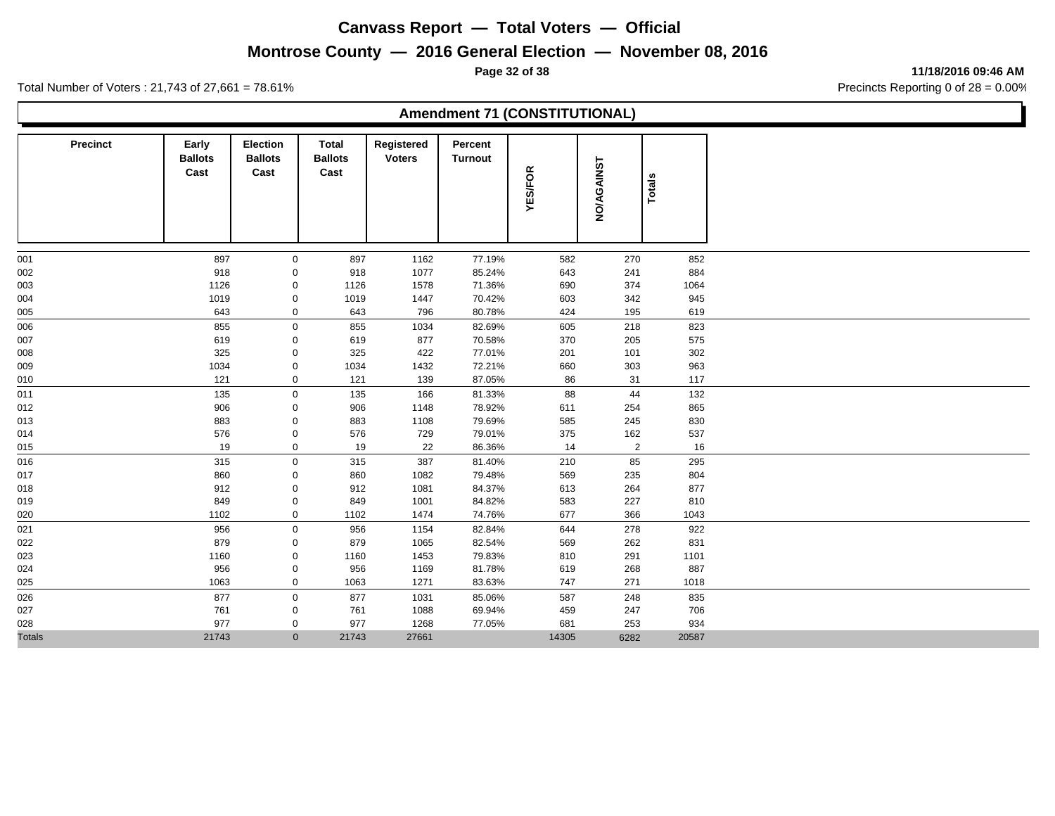# **Montrose County — 2016 General Election — November 08, 2016**

**Page 32 of 38 11/18/2016 09:46 AM**

Total Number of Voters : 21,743 of 27,661 = 78.61% Precincts Reporting 0 of 28 = 0.00%

## **Amendment 71 (CONSTITUTIONAL)**

| <b>Precinct</b> | Early<br><b>Ballots</b><br>Cast | <b>Election</b><br><b>Ballots</b><br>Cast | Total<br><b>Ballots</b><br>Cast | Registered<br><b>Voters</b> | Percent<br><b>Turnout</b> | <b>YES/FOR</b> | <b>NO/AGAINST</b> | <b>Totals</b> |
|-----------------|---------------------------------|-------------------------------------------|---------------------------------|-----------------------------|---------------------------|----------------|-------------------|---------------|
| 001             | 897                             | 0                                         | 897                             | 1162                        | 77.19%                    | 582            | 270               | 852           |
| 002             | 918                             | 0                                         | 918                             | 1077                        | 85.24%                    | 643            | 241               | 884           |
| 003             | 1126                            | $\mathsf{O}\xspace$                       | 1126                            | 1578                        | 71.36%                    | 690            | 374               | 1064          |
| 004             | 1019                            | 0                                         | 1019                            | 1447                        | 70.42%                    | 603            | 342               | 945           |
| 005             | 643                             | $\mathbf 0$                               | 643                             | 796                         | 80.78%                    | 424            | 195               | 619           |
| 006             | 855                             | $\mathbf 0$                               | 855                             | 1034                        | 82.69%                    | 605            | 218               | 823           |
| 007             | 619                             | 0                                         | 619                             | 877                         | 70.58%                    | 370            | 205               | 575           |
| 008             | 325                             | $\mathsf{O}\xspace$                       | 325                             | 422                         | 77.01%                    | 201            | 101               | 302           |
| 009             | 1034                            | 0                                         | 1034                            | 1432                        | 72.21%                    | 660            | 303               | 963           |
| 010             | 121                             | $\mathbf 0$                               | 121                             | 139                         | 87.05%                    | 86             | 31                | 117           |
| 011             | 135                             | $\mathbf 0$                               | 135                             | 166                         | 81.33%                    | 88             | 44                | 132           |
| 012             | 906                             | $\mathbf 0$                               | 906                             | 1148                        | 78.92%                    | 611            | 254               | 865           |
| 013             | 883                             | $\mathsf{O}\xspace$                       | 883                             | 1108                        | 79.69%                    | 585            | 245               | 830           |
| 014             | 576                             | 0                                         | 576                             | 729                         | 79.01%                    | 375            | 162               | 537           |
| 015             | 19                              | 0                                         | 19                              | 22                          | 86.36%                    | 14             | $\overline{2}$    | 16            |
| 016             | 315                             | $\mathbf 0$                               | 315                             | 387                         | 81.40%                    | 210            | 85                | 295           |
| 017             | 860                             | 0                                         | 860                             | 1082                        | 79.48%                    | 569            | 235               | 804           |
| 018             | 912                             | 0                                         | 912                             | 1081                        | 84.37%                    | 613            | 264               | 877           |
| 019             | 849                             | 0                                         | 849                             | 1001                        | 84.82%                    | 583            | 227               | 810           |
| 020             | 1102                            | $\mathbf 0$                               | 1102                            | 1474                        | 74.76%                    | 677            | 366               | 1043          |
| 021             | 956                             | $\mathbf 0$                               | 956                             | 1154                        | 82.84%                    | 644            | 278               | 922           |
| 022             | 879                             | 0                                         | 879                             | 1065                        | 82.54%                    | 569            | 262               | 831           |
| 023             | 1160                            | $\mathsf{O}\xspace$                       | 1160                            | 1453                        | 79.83%                    | 810            | 291               | 1101          |
| 024             | 956                             | $\mathsf{O}\xspace$                       | 956                             | 1169                        | 81.78%                    | 619            | 268               | 887           |
| 025             | 1063                            | $\mathbf 0$                               | 1063                            | 1271                        | 83.63%                    | 747            | 271               | 1018          |
| 026             | 877                             | $\mathbf 0$                               | 877                             | 1031                        | 85.06%                    | 587            | 248               | 835           |
| 027             | 761                             | 0                                         | 761                             | 1088                        | 69.94%                    | 459            | 247               | 706           |
| 028             | 977                             | 0                                         | 977                             | 1268                        | 77.05%                    | 681            | 253               | 934           |
| <b>Totals</b>   | 21743                           | $\mathbf{0}$                              | 21743                           | 27661                       |                           | 14305          | 6282              | 20587         |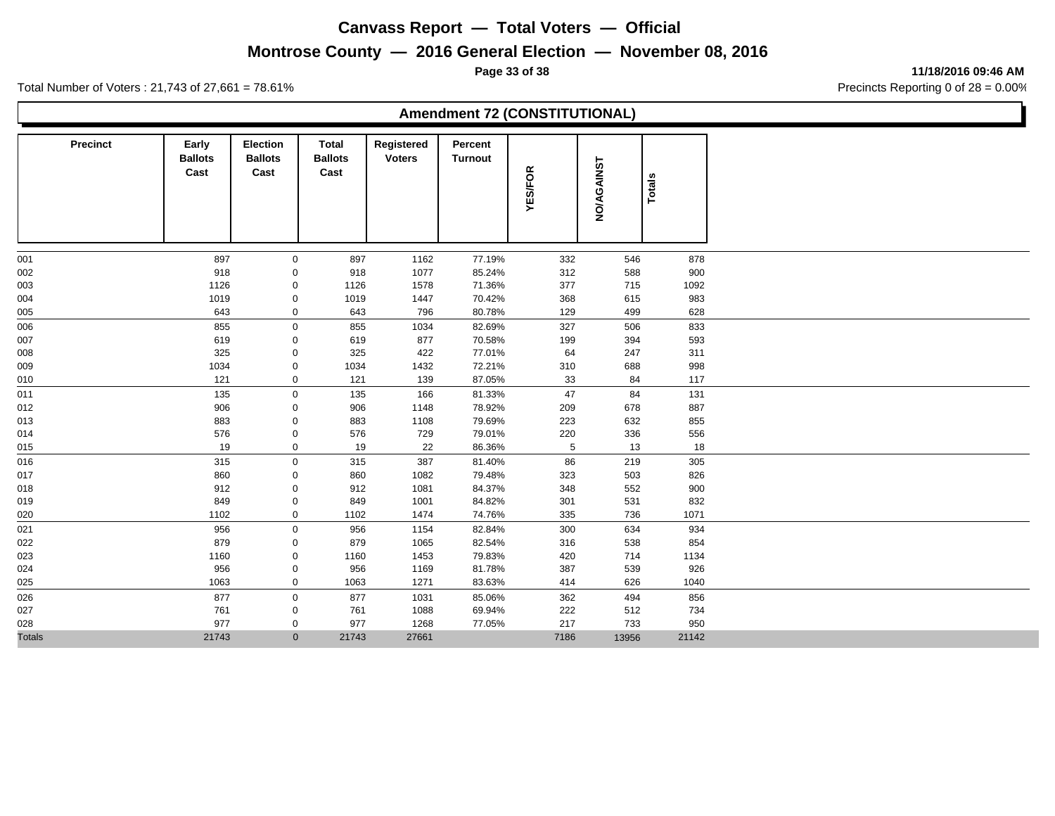# **Montrose County — 2016 General Election — November 08, 2016**

**Page 33 of 38 11/18/2016 09:46 AM**

Total Number of Voters : 21,743 of 27,661 = 78.61% Precincts Reporting 0 of 28 = 0.00%

#### **Amendment 72 (CONSTITUTIONAL)**

| Precinct      | Early<br><b>Ballots</b><br>Cast | <b>Election</b><br><b>Ballots</b><br>Cast | Total<br><b>Ballots</b><br>Cast | Registered<br><b>Voters</b> | Percent<br><b>Turnout</b> | <b>YES/FOR</b> | <b>NO/AGAINST</b> | <b>Totals</b> |
|---------------|---------------------------------|-------------------------------------------|---------------------------------|-----------------------------|---------------------------|----------------|-------------------|---------------|
| 001           | 897                             | $\mathbf 0$                               | 897                             | 1162                        | 77.19%                    | 332            | 546               | 878           |
| 002           | 918                             | 0                                         | 918                             | 1077                        | 85.24%                    | 312            | 588               | 900           |
| 003           | 1126                            | 0                                         | 1126                            | 1578                        | 71.36%                    | 377            | 715               | 1092          |
| 004           | 1019                            | 0                                         | 1019                            | 1447                        | 70.42%                    | 368            | 615               | 983           |
| 005           | 643                             | $\mathbf 0$                               | 643                             | 796                         | 80.78%                    | 129            | 499               | 628           |
| 006           | 855                             | $\mathbf 0$                               | 855                             | 1034                        | 82.69%                    | 327            | 506               | 833           |
| 007           | 619                             | 0                                         | 619                             | 877                         | 70.58%                    | 199            | 394               | 593           |
| 008           | 325                             | 0                                         | 325                             | 422                         | 77.01%                    | 64             | 247               | 311           |
| 009           | 1034                            | 0                                         | 1034                            | 1432                        | 72.21%                    | 310            | 688               | 998           |
| 010           | 121                             | $\mathbf 0$                               | 121                             | 139                         | 87.05%                    | 33             | 84                | 117           |
| 011           | 135                             | 0                                         | 135                             | 166                         | 81.33%                    | 47             | 84                | 131           |
| 012           | 906                             | 0                                         | 906                             | 1148                        | 78.92%                    | 209            | 678               | 887           |
| 013           | 883                             | 0                                         | 883                             | 1108                        | 79.69%                    | 223            | 632               | 855           |
| 014           | 576                             | 0                                         | 576                             | 729                         | 79.01%                    | 220            | 336               | 556           |
| 015           | 19                              | $\mathbf 0$                               | 19                              | 22                          | 86.36%                    | $\overline{5}$ | 13                | 18            |
| 016           | 315                             | $\mathbf 0$                               | 315                             | 387                         | 81.40%                    | 86             | 219               | 305           |
| 017           | 860                             | 0                                         | 860                             | 1082                        | 79.48%                    | 323            | 503               | 826           |
| 018           | 912                             | 0                                         | 912                             | 1081                        | 84.37%                    | 348            | 552               | 900           |
| 019           | 849                             | 0                                         | 849                             | 1001                        | 84.82%                    | 301            | 531               | 832           |
| 020           | 1102                            | $\mathbf 0$                               | 1102                            | 1474                        | 74.76%                    | 335            | 736               | 1071          |
| 021           | 956                             | 0                                         | 956                             | 1154                        | 82.84%                    | 300            | 634               | 934           |
| 022           | 879                             | 0                                         | 879                             | 1065                        | 82.54%                    | 316            | 538               | 854           |
| 023           | 1160                            | $\mathsf{O}\xspace$                       | 1160                            | 1453                        | 79.83%                    | 420            | 714               | 1134          |
| 024           | 956                             | $\mathsf{O}\xspace$                       | 956                             | 1169                        | 81.78%                    | 387            | 539               | 926           |
| 025           | 1063                            | $\mathbf 0$                               | 1063                            | 1271                        | 83.63%                    | 414            | 626               | 1040          |
| 026           | 877                             | $\mathbf 0$                               | 877                             | 1031                        | 85.06%                    | 362            | 494               | 856           |
| 027           | 761                             | 0                                         | 761                             | 1088                        | 69.94%                    | 222            | 512               | 734           |
| 028           | 977                             | 0                                         | 977                             | 1268                        | 77.05%                    | 217            | 733               | 950           |
| <b>Totals</b> | 21743                           | $\mathbf{0}$                              | 21743                           | 27661                       |                           | 7186           | 13956             | 21142         |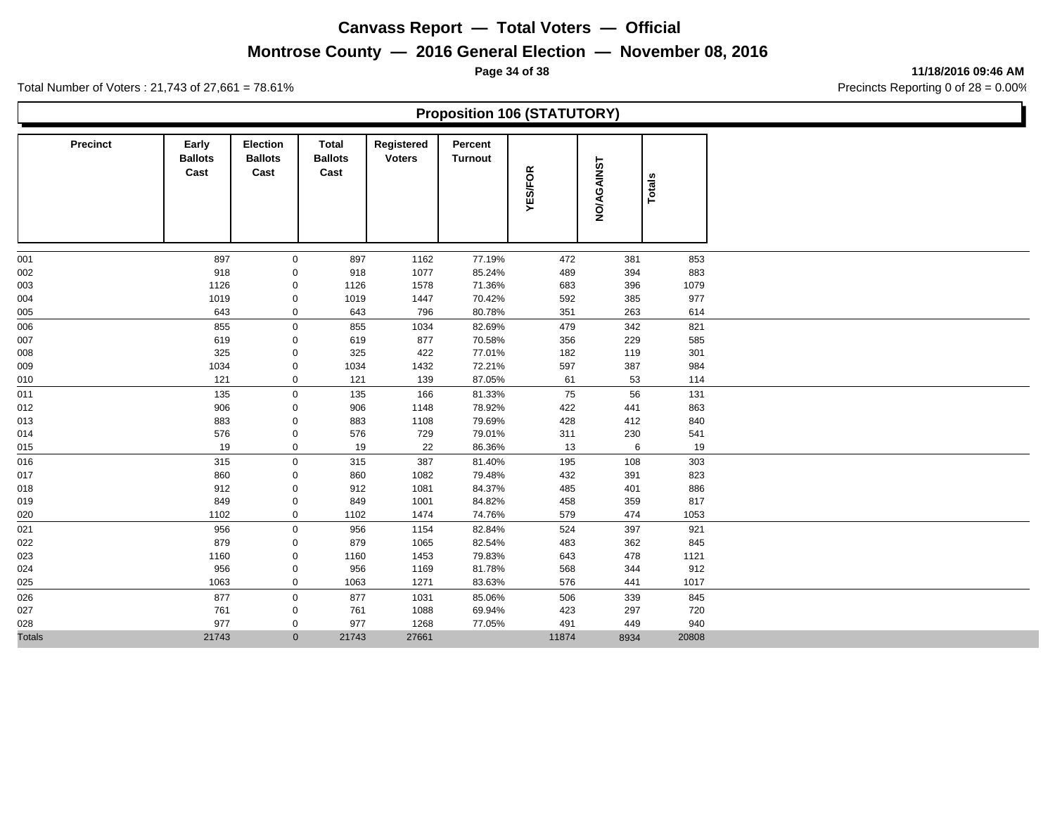# **Montrose County — 2016 General Election — November 08, 2016**

**Page 34 of 38 11/18/2016 09:46 AM**

Total Number of Voters : 21,743 of 27,661 = 78.61% Precincts Reporting 0 of 28 = 0.00%

## **Proposition 106 (STATUTORY)**

| Precinct      | Early<br><b>Ballots</b><br>Cast | <b>Election</b><br><b>Ballots</b><br>Cast | Total<br><b>Ballots</b><br>Cast | Registered<br><b>Voters</b> | Percent<br><b>Turnout</b> | <b>YES/FOR</b> | <b>NO/AGAINST</b> | Totals |
|---------------|---------------------------------|-------------------------------------------|---------------------------------|-----------------------------|---------------------------|----------------|-------------------|--------|
| 001           | 897                             | $\mathbf 0$                               | 897                             | 1162                        | 77.19%                    | 472            | 381               | 853    |
| 002           | 918                             | 0                                         | 918                             | 1077                        | 85.24%                    | 489            | 394               | 883    |
| 003           | 1126                            | 0                                         | 1126                            | 1578                        | 71.36%                    | 683            | 396               | 1079   |
| 004           | 1019                            | 0                                         | 1019                            | 1447                        | 70.42%                    | 592            | 385               | 977    |
| 005           | 643                             | 0                                         | 643                             | 796                         | 80.78%                    | 351            | 263               | 614    |
| 006           | 855                             | $\mathbf 0$                               | 855                             | 1034                        | 82.69%                    | 479            | 342               | 821    |
| 007           | 619                             | 0                                         | 619                             | 877                         | 70.58%                    | 356            | 229               | 585    |
| 008           | 325                             | 0                                         | 325                             | 422                         | 77.01%                    | 182            | 119               | 301    |
| 009           | 1034                            | 0                                         | 1034                            | 1432                        | 72.21%                    | 597            | 387               | 984    |
| 010           | 121                             | $\mathbf 0$                               | 121                             | 139                         | 87.05%                    | 61             | 53                | 114    |
| 011           | 135                             | $\mathbf 0$                               | 135                             | 166                         | 81.33%                    | 75             | 56                | 131    |
| 012           | 906                             | 0                                         | 906                             | 1148                        | 78.92%                    | 422            | 441               | 863    |
| 013           | 883                             | 0                                         | 883                             | 1108                        | 79.69%                    | 428            | 412               | 840    |
| 014           | 576                             | 0                                         | 576                             | 729                         | 79.01%                    | 311            | 230               | 541    |
| 015           | 19                              | $\mathbf 0$                               | 19                              | 22                          | 86.36%                    | 13             | 6                 | 19     |
| 016           | 315                             | $\mathbf 0$                               | 315                             | 387                         | 81.40%                    | 195            | 108               | 303    |
| 017           | 860                             | 0                                         | 860                             | 1082                        | 79.48%                    | 432            | 391               | 823    |
| 018           | 912                             | 0                                         | 912                             | 1081                        | 84.37%                    | 485            | 401               | 886    |
| 019           | 849                             | 0                                         | 849                             | 1001                        | 84.82%                    | 458            | 359               | 817    |
| 020           | 1102                            | $\mathbf 0$                               | 1102                            | 1474                        | 74.76%                    | 579            | 474               | 1053   |
| 021           | 956                             | 0                                         | 956                             | 1154                        | 82.84%                    | 524            | 397               | 921    |
| 022           | 879                             | 0                                         | 879                             | 1065                        | 82.54%                    | 483            | 362               | 845    |
| 023           | 1160                            | $\pmb{0}$                                 | 1160                            | 1453                        | 79.83%                    | 643            | 478               | 1121   |
| 024           | 956                             | $\mathsf{O}\xspace$                       | 956                             | 1169                        | 81.78%                    | 568            | 344               | 912    |
| 025           | 1063                            | $\mathbf 0$                               | 1063                            | 1271                        | 83.63%                    | 576            | 441               | 1017   |
| 026           | 877                             | $\mathbf 0$                               | 877                             | 1031                        | 85.06%                    | 506            | 339               | 845    |
| 027           | 761                             | 0                                         | 761                             | 1088                        | 69.94%                    | 423            | 297               | 720    |
| 028           | 977                             | 0                                         | 977                             | 1268                        | 77.05%                    | 491            | 449               | 940    |
| <b>Totals</b> | 21743                           | $\mathbf{0}$                              | 21743                           | 27661                       |                           | 11874          | 8934              | 20808  |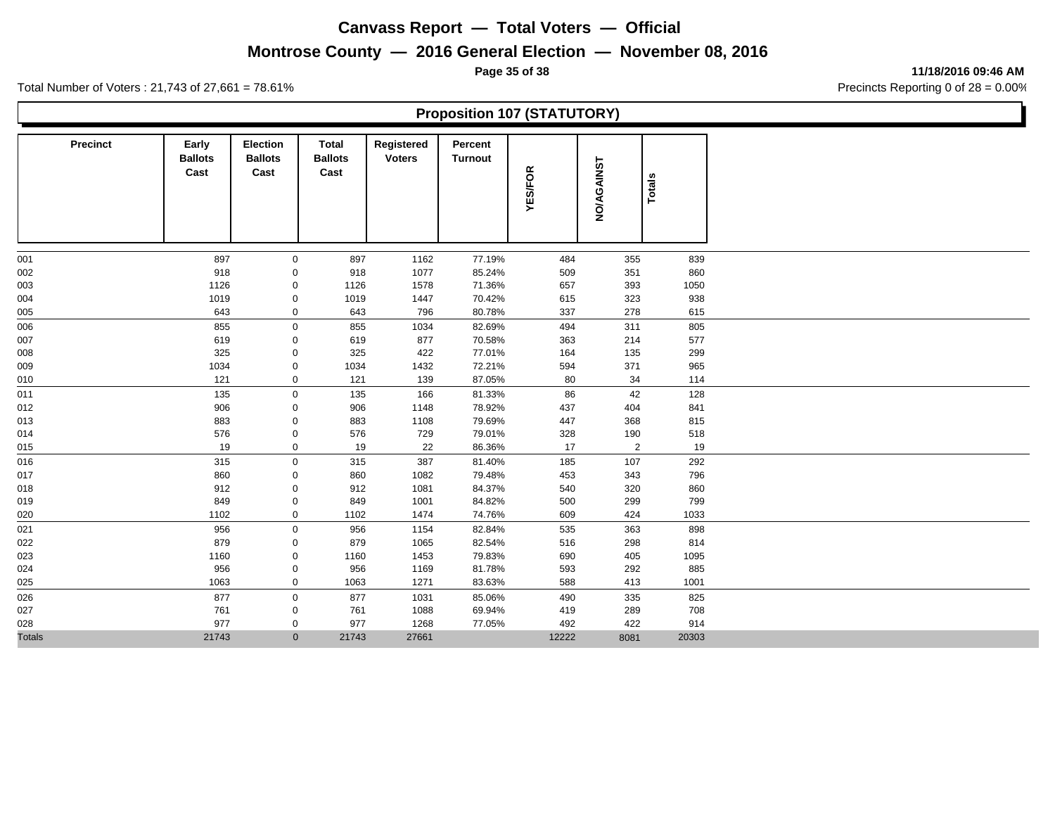# **Montrose County — 2016 General Election — November 08, 2016**

**Page 35 of 38 11/18/2016 09:46 AM**

Total Number of Voters : 21,743 of 27,661 = 78.61% Precincts Reporting 0 of 28 = 0.00%

## **Proposition 107 (STATUTORY)**

| <b>Precinct</b> | Early<br><b>Ballots</b><br>Cast | <b>Election</b><br><b>Ballots</b><br>Cast | <b>Total</b><br><b>Ballots</b><br>Cast | Registered<br><b>Voters</b> | Percent<br><b>Turnout</b> | <b>YES/FOR</b> | <b>NO/AGAINST</b> | Totals |
|-----------------|---------------------------------|-------------------------------------------|----------------------------------------|-----------------------------|---------------------------|----------------|-------------------|--------|
| 001             | 897                             | $\mathbf 0$                               | 897                                    | 1162                        | 77.19%                    | 484            | 355               | 839    |
| 002             | 918                             | 0                                         | 918                                    | 1077                        | 85.24%                    | 509            | 351               | 860    |
| 003             | 1126                            | 0                                         | 1126                                   | 1578                        | 71.36%                    | 657            | 393               | 1050   |
| 004             | 1019                            | $\mathsf{O}\xspace$                       | 1019                                   | 1447                        | 70.42%                    | 615            | 323               | 938    |
| 005             | 643                             | $\pmb{0}$                                 | 643                                    | 796                         | 80.78%                    | 337            | 278               | 615    |
| 006             | 855                             | $\mathbf 0$                               | 855                                    | 1034                        | 82.69%                    | 494            | 311               | 805    |
| 007             | 619                             | 0                                         | 619                                    | 877                         | 70.58%                    | 363            | 214               | 577    |
| 008             | 325                             | 0                                         | 325                                    | 422                         | 77.01%                    | 164            | 135               | 299    |
| 009             | 1034                            | 0                                         | 1034                                   | 1432                        | 72.21%                    | 594            | 371               | 965    |
| 010             | 121                             | $\mathbf 0$                               | 121                                    | 139                         | 87.05%                    | 80             | 34                | 114    |
| 011             | 135                             | $\mathbf 0$                               | 135                                    | 166                         | 81.33%                    | 86             | 42                | 128    |
| 012             | 906                             | 0                                         | 906                                    | 1148                        | 78.92%                    | 437            | 404               | 841    |
| 013             | 883                             | $\mathsf{O}\xspace$                       | 883                                    | 1108                        | 79.69%                    | 447            | 368               | 815    |
| 014             | 576                             | 0                                         | 576                                    | 729                         | 79.01%                    | 328            | 190               | 518    |
| 015             | 19                              | $\mathbf 0$                               | 19                                     | 22                          | 86.36%                    | 17             | $\overline{2}$    | 19     |
| 016             | 315                             | $\mathbf 0$                               | 315                                    | 387                         | 81.40%                    | 185            | 107               | 292    |
| 017             | 860                             | 0                                         | 860                                    | 1082                        | 79.48%                    | 453            | 343               | 796    |
| 018             | 912                             | 0                                         | 912                                    | 1081                        | 84.37%                    | 540            | 320               | 860    |
| 019             | 849                             | 0                                         | 849                                    | 1001                        | 84.82%                    | 500            | 299               | 799    |
| 020             | 1102                            | $\mathbf 0$                               | 1102                                   | 1474                        | 74.76%                    | 609            | 424               | 1033   |
| 021             | 956                             | $\mathsf{O}$                              | 956                                    | 1154                        | 82.84%                    | 535            | 363               | 898    |
| 022             | 879                             | 0                                         | 879                                    | 1065                        | 82.54%                    | 516            | 298               | 814    |
| 023             | 1160                            | $\mathsf{O}\xspace$                       | 1160                                   | 1453                        | 79.83%                    | 690            | 405               | 1095   |
| 024             | 956                             | $\mathbf 0$                               | 956                                    | 1169                        | 81.78%                    | 593            | 292               | 885    |
| 025             | 1063                            | $\mathbf 0$                               | 1063                                   | 1271                        | 83.63%                    | 588            | 413               | 1001   |
| 026             | 877                             | $\mathbf 0$                               | 877                                    | 1031                        | 85.06%                    | 490            | 335               | 825    |
| 027             | 761                             | 0                                         | 761                                    | 1088                        | 69.94%                    | 419            | 289               | 708    |
| 028             | 977                             | 0                                         | 977                                    | 1268                        | 77.05%                    | 492            | 422               | 914    |
| <b>Totals</b>   | 21743                           | $\mathbf{0}$                              | 21743                                  | 27661                       |                           | 12222          | 8081              | 20303  |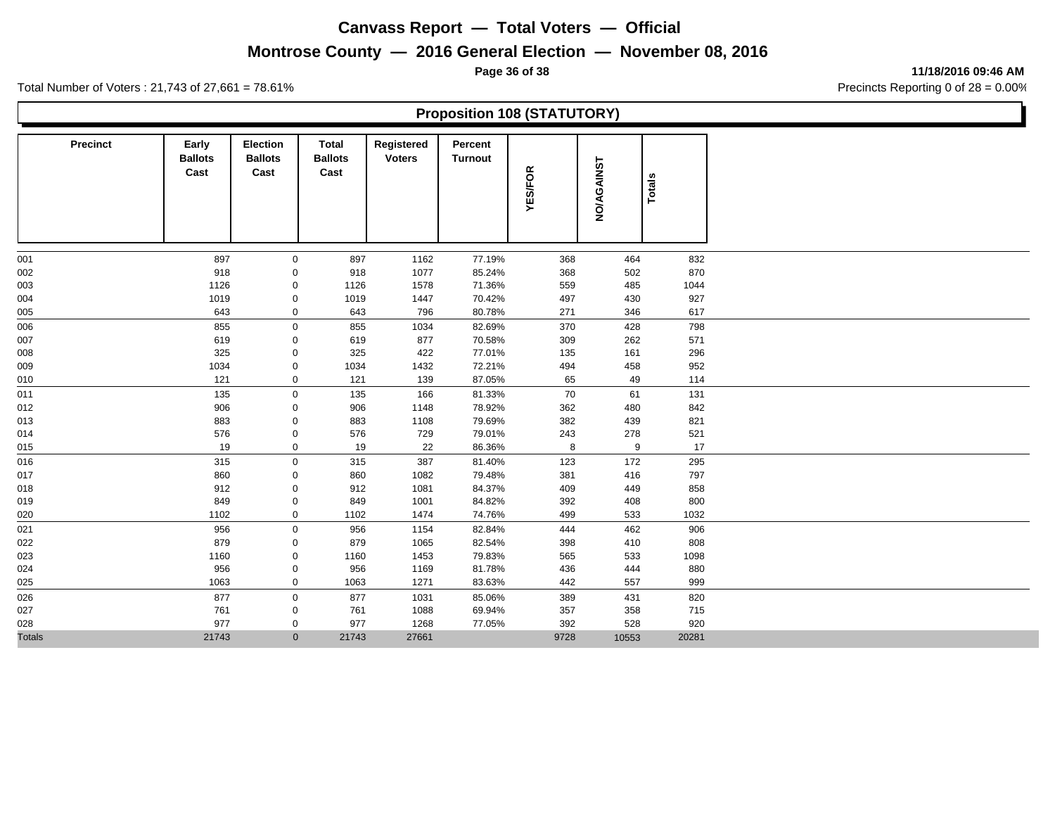# **Montrose County — 2016 General Election — November 08, 2016**

**Page 36 of 38 11/18/2016 09:46 AM**

Total Number of Voters : 21,743 of 27,661 = 78.61% Precincts Reporting 0 of 28 = 0.00%

#### **Proposition 108 (STATUTORY)**

| Precinct      | Early<br><b>Ballots</b><br>Cast | <b>Election</b><br><b>Ballots</b><br>Cast | Total<br><b>Ballots</b><br>Cast | Registered<br><b>Voters</b> | Percent<br><b>Turnout</b> | <b>YES/FOR</b> | <b>NO/AGAINST</b> | Totals |
|---------------|---------------------------------|-------------------------------------------|---------------------------------|-----------------------------|---------------------------|----------------|-------------------|--------|
| 001           | 897                             | 0                                         | 897                             | 1162                        | 77.19%                    | 368            | 464               | 832    |
| 002           | 918                             | 0                                         | 918                             | 1077                        | 85.24%                    | 368            | 502               | 870    |
| 003           | 1126                            | 0                                         | 1126                            | 1578                        | 71.36%                    | 559            | 485               | 1044   |
| 004           | 1019                            | $\mathsf{O}\xspace$                       | 1019                            | 1447                        | 70.42%                    | 497            | 430               | 927    |
| 005           | 643                             | $\mathbf 0$                               | 643                             | 796                         | 80.78%                    | 271            | 346               | 617    |
| 006           | 855                             | $\mathbf 0$                               | 855                             | 1034                        | 82.69%                    | 370            | 428               | 798    |
| 007           | 619                             | 0                                         | 619                             | 877                         | 70.58%                    | 309            | 262               | 571    |
| 008           | 325                             | 0                                         | 325                             | 422                         | 77.01%                    | 135            | 161               | 296    |
| 009           | 1034                            | 0                                         | 1034                            | 1432                        | 72.21%                    | 494            | 458               | 952    |
| 010           | 121                             | $\mathbf 0$                               | 121                             | 139                         | 87.05%                    | 65             | 49                | 114    |
| 011           | 135                             | $\mathbf 0$                               | 135                             | 166                         | 81.33%                    | 70             | 61                | 131    |
| 012           | 906                             | 0                                         | 906                             | 1148                        | 78.92%                    | 362            | 480               | 842    |
| 013           | 883                             | 0                                         | 883                             | 1108                        | 79.69%                    | 382            | 439               | 821    |
| 014           | 576                             | 0                                         | 576                             | 729                         | 79.01%                    | 243            | 278               | 521    |
| 015           | 19                              | $\mathbf 0$                               | 19                              | 22                          | 86.36%                    | 8              | 9                 | 17     |
| 016           | 315                             | $\mathbf 0$                               | 315                             | 387                         | 81.40%                    | 123            | 172               | 295    |
| 017           | 860                             | 0                                         | 860                             | 1082                        | 79.48%                    | 381            | 416               | 797    |
| 018           | 912                             | 0                                         | 912                             | 1081                        | 84.37%                    | 409            | 449               | 858    |
| 019           | 849                             | 0                                         | 849                             | 1001                        | 84.82%                    | 392            | 408               | 800    |
| 020           | 1102                            | $\mathbf 0$                               | 1102                            | 1474                        | 74.76%                    | 499            | 533               | 1032   |
| 021           | 956                             | $\mathbf 0$                               | 956                             | 1154                        | 82.84%                    | 444            | 462               | 906    |
| 022           | 879                             | $\mathsf{O}\xspace$                       | 879                             | 1065                        | 82.54%                    | 398            | 410               | 808    |
| 023           | 1160                            | $\mathsf{O}\xspace$                       | 1160                            | 1453                        | 79.83%                    | 565            | 533               | 1098   |
| 024           | 956                             | $\mathsf{O}\xspace$                       | 956                             | 1169                        | 81.78%                    | 436            | 444               | 880    |
| 025           | 1063                            | $\mathbf 0$                               | 1063                            | 1271                        | 83.63%                    | 442            | 557               | 999    |
| 026           | 877                             | 0                                         | 877                             | 1031                        | 85.06%                    | 389            | 431               | 820    |
| 027           | 761                             | 0                                         | 761                             | 1088                        | 69.94%                    | 357            | 358               | 715    |
| 028           | 977                             | 0                                         | 977                             | 1268                        | 77.05%                    | 392            | 528               | 920    |
| <b>Totals</b> | 21743                           | $\mathbf{0}$                              | 21743                           | 27661                       |                           | 9728           | 10553             | 20281  |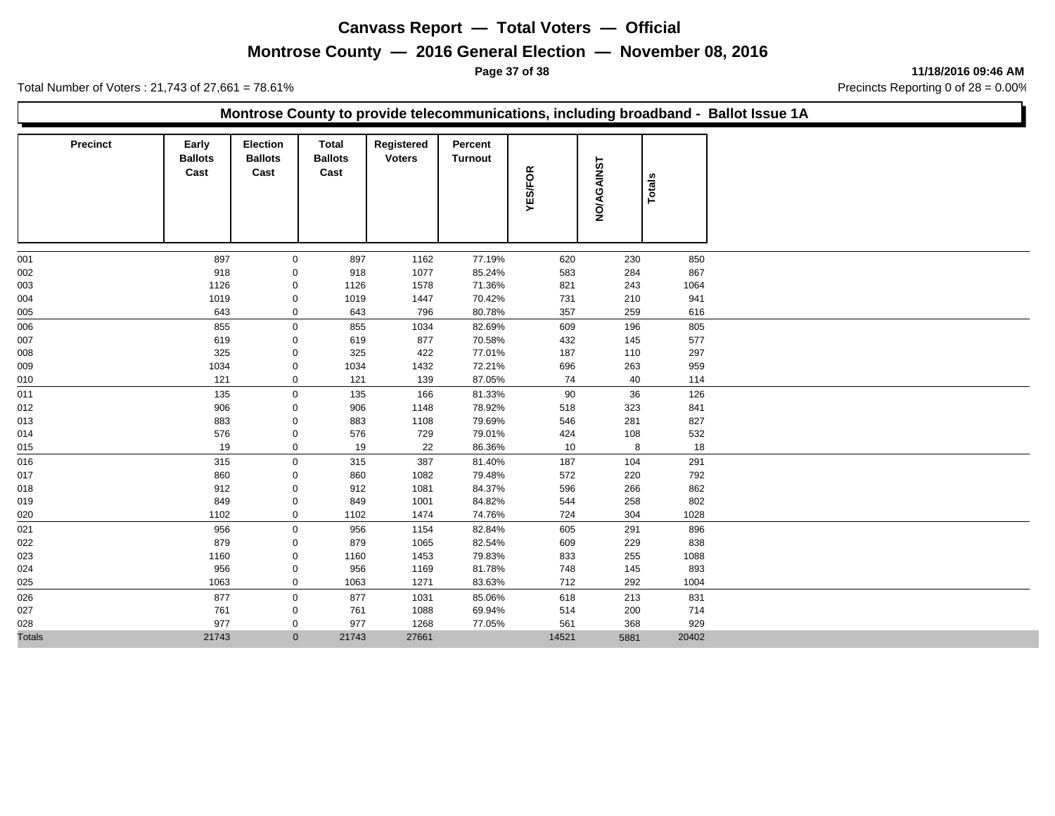## **Montrose County — 2016 General Election — November 08, 2016**

**Page 37 of 38 11/18/2016 09:46 AM**

Total Number of Voters : 21,743 of 27,661 = 78.61% Precincts Reporting 0 of 28 = 0.00%

#### **Montrose County to provide telecommunications, including broadband - Ballot Issue 1A**

| Precinct      | Early<br><b>Ballots</b><br>Cast | <b>Election</b><br><b>Ballots</b><br>Cast | <b>Total</b><br><b>Ballots</b><br>Cast | Registered<br><b>Voters</b> | Percent<br><b>Turnout</b> | <b>YES/FOR</b> | <b>NO/AGAINST</b> | Totals |
|---------------|---------------------------------|-------------------------------------------|----------------------------------------|-----------------------------|---------------------------|----------------|-------------------|--------|
| 001           | 897                             | 0                                         | 897                                    | 1162                        | 77.19%                    | 620            | 230               | 850    |
| 002           | 918                             | 0                                         | 918                                    | 1077                        | 85.24%                    | 583            | 284               | 867    |
| 003           | 1126                            | 0                                         | 1126                                   | 1578                        | 71.36%                    | 821            | 243               | 1064   |
| 004           | 1019                            | 0                                         | 1019                                   | 1447                        | 70.42%                    | 731            | 210               | 941    |
| 005           | 643                             | 0                                         | 643                                    | 796                         | 80.78%                    | 357            | 259               | 616    |
| 006           | 855                             | $\mathbf 0$                               | 855                                    | 1034                        | 82.69%                    | 609            | 196               | 805    |
| 007           | 619                             | 0                                         | 619                                    | 877                         | 70.58%                    | 432            | 145               | 577    |
| 008           | 325                             | 0                                         | 325                                    | 422                         | 77.01%                    | 187            | 110               | 297    |
| 009           | 1034                            | 0                                         | 1034                                   | 1432                        | 72.21%                    | 696            | 263               | 959    |
| 010           | 121                             | 0                                         | 121                                    | 139                         | 87.05%                    | 74             | 40                | 114    |
| 011           | 135                             | $\mathbf 0$                               | 135                                    | 166                         | 81.33%                    | 90             | 36                | 126    |
| 012           | 906                             | 0                                         | 906                                    | 1148                        | 78.92%                    | 518            | 323               | 841    |
| 013           | 883                             | 0                                         | 883                                    | 1108                        | 79.69%                    | 546            | 281               | 827    |
| 014           | 576                             | 0                                         | 576                                    | 729                         | 79.01%                    | 424            | 108               | 532    |
| 015           | 19                              | $\mathbf 0$                               | 19                                     | 22                          | 86.36%                    | 10             | 8                 | 18     |
| 016           | 315                             | $\mathsf{O}$                              | 315                                    | 387                         | 81.40%                    | 187            | 104               | 291    |
| 017           | 860                             | 0                                         | 860                                    | 1082                        | 79.48%                    | 572            | 220               | 792    |
| 018           | 912                             | $\mathbf 0$                               | 912                                    | 1081                        | 84.37%                    | 596            | 266               | 862    |
| 019           | 849                             | 0                                         | 849                                    | 1001                        | 84.82%                    | 544            | 258               | 802    |
| 020           | 1102                            | $\mathbf 0$                               | 1102                                   | 1474                        | 74.76%                    | 724            | 304               | 1028   |
| 021           | 956                             | $\mathbf 0$                               | 956                                    | 1154                        | 82.84%                    | 605            | 291               | 896    |
| 022           | 879                             | 0                                         | 879                                    | 1065                        | 82.54%                    | 609            | 229               | 838    |
| 023           | 1160                            | 0                                         | 1160                                   | 1453                        | 79.83%                    | 833            | 255               | 1088   |
| 024           | 956                             | 0                                         | 956                                    | 1169                        | 81.78%                    | 748            | 145               | 893    |
| 025           | 1063                            | $\mathbf 0$                               | 1063                                   | 1271                        | 83.63%                    | 712            | 292               | 1004   |
| 026           | 877                             | 0                                         | 877                                    | 1031                        | 85.06%                    | 618            | 213               | 831    |
| 027           | 761                             | 0                                         | 761                                    | 1088                        | 69.94%                    | 514            | 200               | 714    |
| 028           | 977                             | 0                                         | 977                                    | 1268                        | 77.05%                    | 561            | 368               | 929    |
| <b>Totals</b> | 21743                           | $\mathbf{0}$                              | 21743                                  | 27661                       |                           | 14521          | 5881              | 20402  |